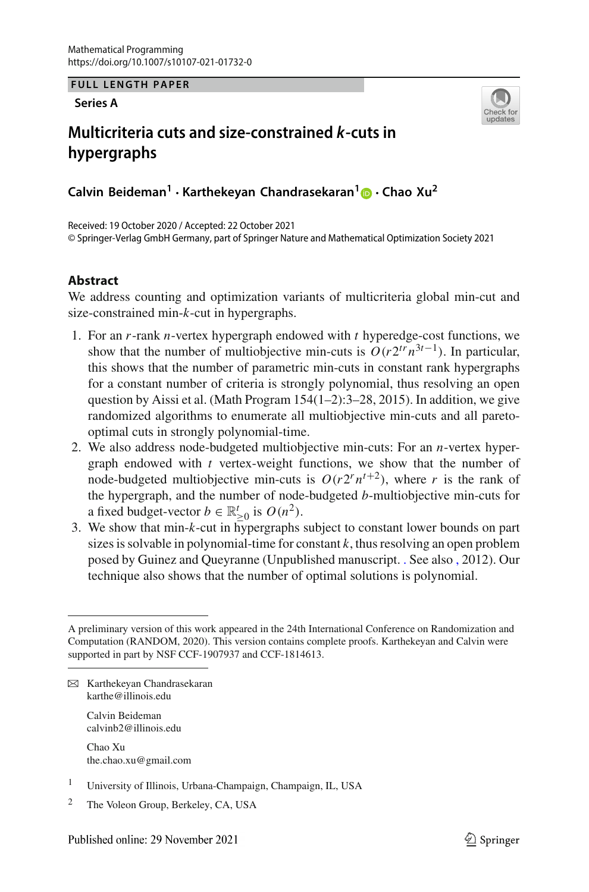**FULL LENGTH PAPER**

**Series A**



# **Multicriteria cuts and size-constrained** *k***-cuts in hypergraphs**

**Calvin Beideman<sup>1</sup> · Karthekeyan Chandrasekaran[1](http://orcid.org/0000-0002-3421-7238) · Chao Xu<sup>2</sup>**

Received: 19 October 2020 / Accepted: 22 October 2021 © Springer-Verlag GmbH Germany, part of Springer Nature and Mathematical Optimization Society 2021

# **Abstract**

We address counting and optimization variants of multicriteria global min-cut and size-constrained min-*k*-cut in hypergraphs.

- 1. For an *r*-rank *n*-vertex hypergraph endowed with *t* hyperedge-cost functions, we show that the number of multiobjective min-cuts is  $O(r2^{tr}n^{3t-1})$ . In particular, this shows that the number of parametric min-cuts in constant rank hypergraphs for a constant number of criteria is strongly polynomial, thus resolving an open question by Aissi et al. (Math Program  $154(1-2)$ : 3-28, 2015). In addition, we give randomized algorithms to enumerate all multiobjective min-cuts and all paretooptimal cuts in strongly polynomial-time.
- 2. We also address node-budgeted multiobjective min-cuts: For an *n*-vertex hypergraph endowed with *t* vertex-weight functions, we show that the number of node-budgeted multiobjective min-cuts is  $O(r2^r n^{t+2})$ , where *r* is the rank of the hypergraph, and the number of node-budgeted *b*-multiobjective min-cuts for a fixed budget-vector  $b \in \mathbb{R}^t_{\geq 0}$  is  $O(n^2)$ .
- 3. We show that min-*k*-cut in hypergraphs subject to constant lower bounds on part sizes is solvable in polynomial-time for constant  $k$ , thus resolving an open problem posed by Guinez and Queyranne (Unpublished manuscript. [.](https://docs.google.com/viewer?a=v&pid=sites&srcid=ZGVmYXVsdGRvbWFpbnxmbGF2aW9ndWluZXpob21lcGFnZXxneDo0NDVlMThkMDg4ZWRlOGI1) See also [,](https://smartech.gatech.edu/bitstream/handle/1853/43309/Queyranne.pdf) 2012). Our technique also shows that the number of optimal solutions is polynomial.

Calvin Beideman calvinb2@illinois.edu

Chao Xu the.chao.xu@gmail.com

- <sup>1</sup> University of Illinois, Urbana-Champaign, Champaign, IL, USA
- <sup>2</sup> The Voleon Group, Berkeley, CA, USA

A preliminary version of this work appeared in the 24th International Conference on Randomization and Computation (RANDOM, 2020). This version contains complete proofs. Karthekeyan and Calvin were supported in part by NSF CCF-1907937 and CCF-1814613.

B Karthekeyan Chandrasekaran karthe@illinois.edu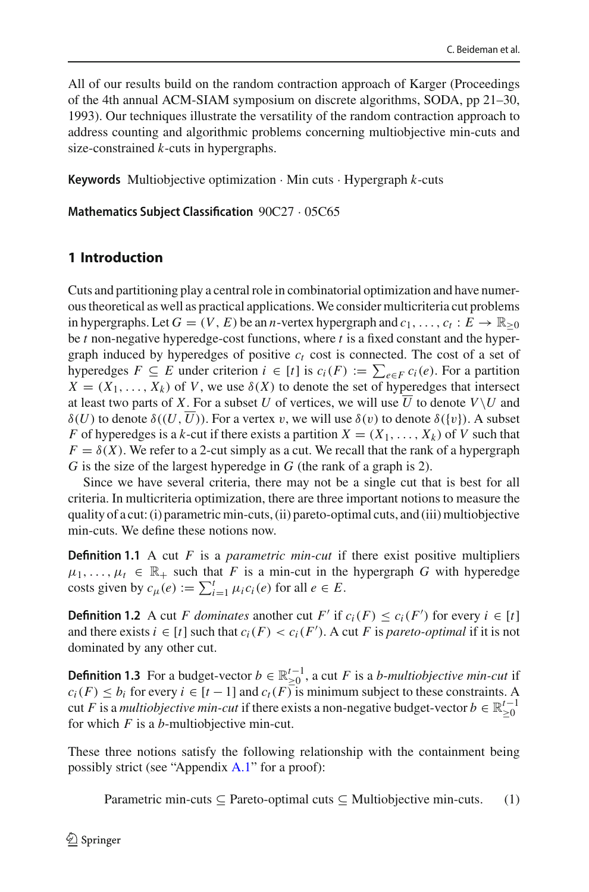All of our results build on the random contraction approach of Karger (Proceedings of the 4th annual ACM-SIAM symposium on discrete algorithms, SODA, pp 21–30, 1993). Our techniques illustrate the versatility of the random contraction approach to address counting and algorithmic problems concerning multiobjective min-cuts and size-constrained *k*-cuts in hypergraphs.

**Keywords** Multiobjective optimization · Min cuts · Hypergraph *k*-cuts

**Mathematics Subject Classification** 90C27 · 05C65

# **1 Introduction**

Cuts and partitioning play a central role in combinatorial optimization and have numerous theoretical as well as practical applications. We consider multicriteria cut problems in hypergraphs. Let  $G = (V, E)$  be an *n*-vertex hypergraph and  $c_1, \ldots, c_t : E \to \mathbb{R}_{\geq 0}$ be *t* non-negative hyperedge-cost functions, where *t* is a fixed constant and the hypergraph induced by hyperedges of positive  $c_t$  cost is connected. The cost of a set of hyperedges  $F \subseteq E$  under criterion  $i \in [t]$  is  $c_i(F) := \sum_{e \in F} c_i(e)$ . For a partition  $X = (X_1, \ldots, X_k)$  of *V*, we use  $\delta(X)$  to denote the set of hyperedges that intersect at least two parts of X. For a subset U of vertices, we will use U to denote  $V\setminus U$  and  $\delta(U)$  to denote  $\delta((U, U))$ . For a vertex v, we will use  $\delta(v)$  to denote  $\delta({v})$ . A subset *F* of hyperedges is a *k*-cut if there exists a partition  $X = (X_1, \ldots, X_k)$  of *V* such that  $F = \delta(X)$ . We refer to a 2-cut simply as a cut. We recall that the rank of a hypergraph *G* is the size of the largest hyperedge in *G* (the rank of a graph is 2).

Since we have several criteria, there may not be a single cut that is best for all criteria. In multicriteria optimization, there are three important notions to measure the quality of a cut: (i) parametric min-cuts, (ii) pareto-optimal cuts, and (iii) multiobjective min-cuts. We define these notions now.

**Definition 1.1** A cut *F* is a *parametric min-cut* if there exist positive multipliers  $\mu_1, \ldots, \mu_t \in \mathbb{R}_+$  such that *F* is a min-cut in the hypergraph *G* with hyperedge costs given by  $c_{\mu}(e) := \sum_{i=1}^{t} \mu_i c_i(e)$  for all  $e \in E$ .

<span id="page-1-2"></span>**Definition 1.2** A cut *F dominates* another cut *F'* if  $c_i(F) \le c_i(F')$  for every  $i \in [t]$ and there exists  $i \in [t]$  such that  $c_i(F) < c_i(F')$ . A cut *F* is *pareto-optimal* if it is not dominated by any other cut.

<span id="page-1-1"></span>**Definition 1.3** For a budget-vector  $b \in \mathbb{R}^{t-1}_{\geq 0}$ , a cut *F* is a *b*-*multiobjective min-cut* if  $c_i(F) \leq b_i$  for every  $i \in [t-1]$  and  $c_f(F)$  is minimum subject to these constraints. A cut *F* is a *multiobjective min-cut* if there exists a non-negative budget-vector  $b \in \mathbb{R}_{\geq 0}^{t-1}$ for which *F* is a *b*-multiobjective min-cut.

These three notions satisfy the following relationship with the containment being possibly strict (see "Appendix [A.1"](#page-4-0) for a proof):

<span id="page-1-0"></span>Parametric min-cuts  $\subseteq$  Pareto-optimal cuts  $\subseteq$  Multiobjective min-cuts. (1)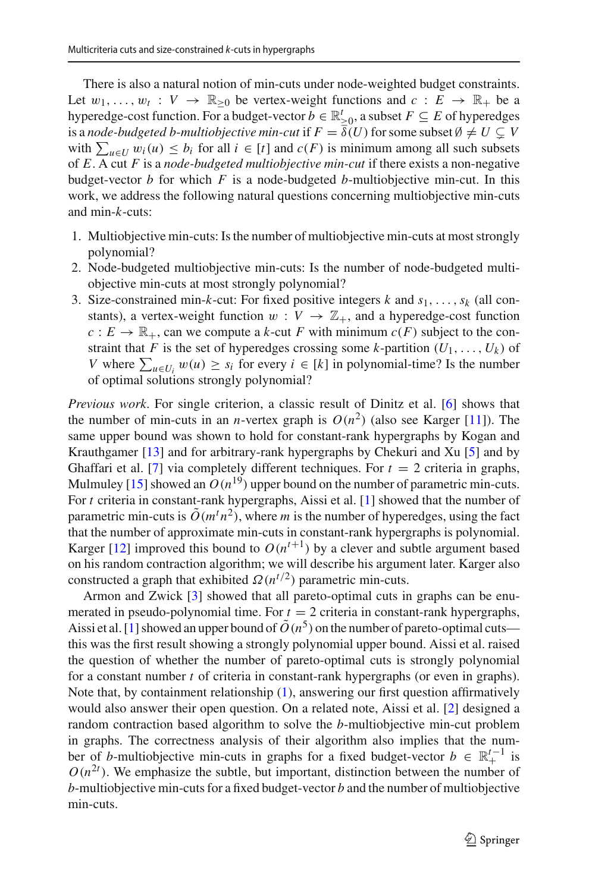There is also a natural notion of min-cuts under node-weighted budget constraints. Let  $w_1, \ldots, w_t : V \to \mathbb{R}_{\geq 0}$  be vertex-weight functions and  $c : E \to \mathbb{R}_+$  be a hyperedge-cost function. For a budget-vector  $b \in \mathbb{R}_{\geq 0}^t$ , a subset  $F \subseteq E$  of hyperedges is a *node-budgeted b-multiobjective min-cut* if  $F = \overline{\delta}(U)$  for some subset  $\emptyset \neq U \subsetneq V$ with  $\sum_{u \in U} w_i(u) \leq b_i$  for all  $i \in [t]$  and  $c(F)$  is minimum among all such subsets of *E*. A cut *F* is a *node-budgeted multiobjective min-cut* if there exists a non-negative budget-vector *b* for which *F* is a node-budgeted *b*-multiobjective min-cut. In this work, we address the following natural questions concerning multiobjective min-cuts and min-*k*-cuts:

- 1. Multiobjective min-cuts: Is the number of multiobjective min-cuts at most strongly polynomial?
- 2. Node-budgeted multiobjective min-cuts: Is the number of node-budgeted multiobjective min-cuts at most strongly polynomial?
- 3. Size-constrained min-*k*-cut: For fixed positive integers *k* and *s*1,...,*sk* (all constants), a vertex-weight function  $w: V \to \mathbb{Z}_+$ , and a hyperedge-cost function  $c: E \to \mathbb{R}_+$ , can we compute a *k*-cut *F* with minimum  $c(F)$  subject to the constraint that *F* is the set of hyperedges crossing some *k*-partition  $(U_1, \ldots, U_k)$  of *V* where  $\sum_{u \in U_i} w(u) \geq s_i$  for every  $i \in [k]$  in polynomial-time? Is the number of optimal solutions strongly polynomial?

*Previous work*. For single criterion, a classic result of Dinitz et al. [\[6\]](#page-42-0) shows that the number of min-cuts in an *n*-vertex graph is  $O(n^2)$  (also see Karger [\[11\]](#page-42-1)). The same upper bound was shown to hold for constant-rank hypergraphs by Kogan and Krauthgamer [\[13](#page-42-2)] and for arbitrary-rank hypergraphs by Chekuri and Xu [\[5\]](#page-42-3) and by Ghaffari et al. [\[7\]](#page-42-4) via completely different techniques. For  $t = 2$  criteria in graphs, Mulmuley [\[15](#page-42-5)] showed an  $O(n^{19})$  upper bound on the number of parametric min-cuts. For *t* criteria in constant-rank hypergraphs, Aissi et al. [\[1\]](#page-42-6) showed that the number of parametric min-cuts is  $\tilde{O}(m^t n^2)$ , where *m* is the number of hyperedges, using the fact that the number of approximate min-cuts in constant-rank hypergraphs is polynomial. Karger [\[12](#page-42-7)] improved this bound to  $O(n^{t+1})$  by a clever and subtle argument based on his random contraction algorithm; we will describe his argument later. Karger also constructed a graph that exhibited  $\Omega(n^{t/2})$  parametric min-cuts.

Armon and Zwick [\[3\]](#page-42-8) showed that all pareto-optimal cuts in graphs can be enumerated in pseudo-polynomial time. For  $t = 2$  criteria in constant-rank hypergraphs, Aissi et al. [\[1\]](#page-42-6) showed an upper bound of  $\tilde{O}(n^5)$  on the number of pareto-optimal cuts this was the first result showing a strongly polynomial upper bound. Aissi et al. raised the question of whether the number of pareto-optimal cuts is strongly polynomial for a constant number *t* of criteria in constant-rank hypergraphs (or even in graphs). Note that, by containment relationship [\(1\)](#page-1-0), answering our first question affirmatively would also answer their open question. On a related note, Aissi et al. [\[2](#page-42-9)] designed a random contraction based algorithm to solve the *b*-multiobjective min-cut problem in graphs. The correctness analysis of their algorithm also implies that the number of *b*-multiobjective min-cuts in graphs for a fixed budget-vector  $b \in \mathbb{R}^{t-1}_+$  is  $O(n^{2t})$ . We emphasize the subtle, but important, distinction between the number of *b*-multiobjective min-cuts for a fixed budget-vector *b* and the number of multiobjective min-cuts.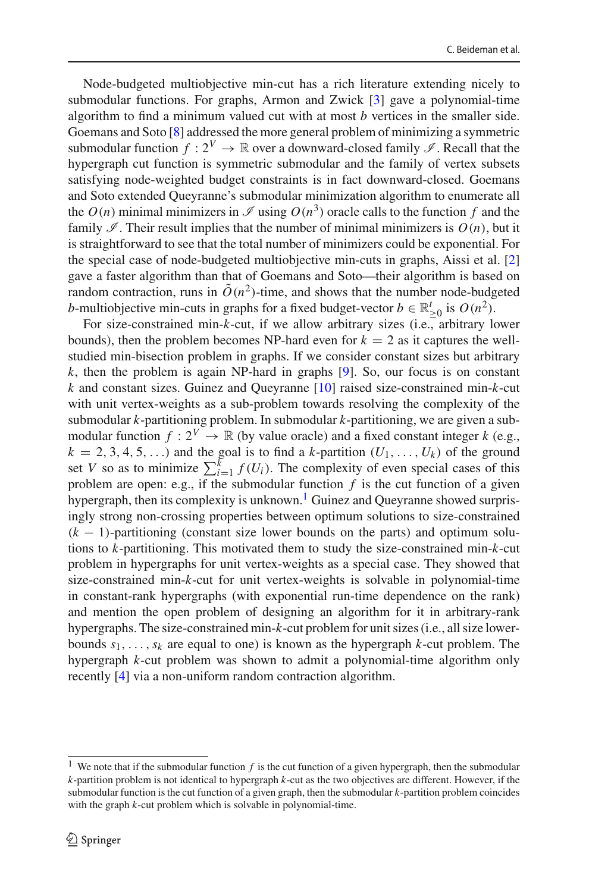Node-budgeted multiobjective min-cut has a rich literature extending nicely to submodular functions. For graphs, Armon and Zwick [\[3\]](#page-42-8) gave a polynomial-time algorithm to find a minimum valued cut with at most *b* vertices in the smaller side. Goemans and Soto [\[8](#page-42-10)] addressed the more general problem of minimizing a symmetric submodular function  $f: 2^V \to \mathbb{R}$  over a downward-closed family  $\mathscr{I}$ . Recall that the hypergraph cut function is symmetric submodular and the family of vertex subsets satisfying node-weighted budget constraints is in fact downward-closed. Goemans and Soto extended Queyranne's submodular minimization algorithm to enumerate all the  $O(n)$  minimal minimizers in  $\mathscr I$  using  $O(n^3)$  oracle calls to the function f and the family  $\mathscr I$ . Their result implies that the number of minimal minimizers is  $O(n)$ , but it is straightforward to see that the total number of minimizers could be exponential. For the special case of node-budgeted multiobjective min-cuts in graphs, Aissi et al. [\[2\]](#page-42-9) gave a faster algorithm than that of Goemans and Soto—their algorithm is based on random contraction, runs in  $\tilde{O}(n^2)$ -time, and shows that the number node-budgeted *b*-multiobjective min-cuts in graphs for a fixed budget-vector  $b \in \mathbb{R}_{\geq 0}^t$  is  $O(n^2)$ .

For size-constrained min-*k*-cut, if we allow arbitrary sizes (i.e., arbitrary lower bounds), then the problem becomes NP-hard even for  $k = 2$  as it captures the wellstudied min-bisection problem in graphs. If we consider constant sizes but arbitrary *k*, then the problem is again NP-hard in graphs [\[9\]](#page-42-11). So, our focus is on constant *k* and constant sizes. Guinez and Queyranne [\[10](#page-42-12)] raised size-constrained min-*k*-cut with unit vertex-weights as a sub-problem towards resolving the complexity of the submodular *k*-partitioning problem. In submodular *k*-partitioning, we are given a submodular function  $f: 2^V \to \mathbb{R}$  (by value oracle) and a fixed constant integer *k* (e.g.,  $k = 2, 3, 4, 5, \ldots$ ) and the goal is to find a *k*-partition  $(U_1, \ldots, U_k)$  of the ground set *V* so as to minimize  $\sum_{i=1}^{k} f(U_i)$ . The complexity of even special cases of this problem are open: e.g., if the submodular function  $f$  is the cut function of a given hypergraph, then its complexity is unknown.<sup>1</sup> Guinez and Queyranne showed surprisingly strong non-crossing properties between optimum solutions to size-constrained (*k* − 1)-partitioning (constant size lower bounds on the parts) and optimum solutions to *k*-partitioning. This motivated them to study the size-constrained min-*k*-cut problem in hypergraphs for unit vertex-weights as a special case. They showed that size-constrained min-*k*-cut for unit vertex-weights is solvable in polynomial-time in constant-rank hypergraphs (with exponential run-time dependence on the rank) and mention the open problem of designing an algorithm for it in arbitrary-rank hypergraphs. The size-constrained min-*k*-cut problem for unit sizes (i.e., all size lowerbounds  $s_1, \ldots, s_k$  are equal to one) is known as the hypergraph *k*-cut problem. The hypergraph *k*-cut problem was shown to admit a polynomial-time algorithm only recently [\[4\]](#page-42-13) via a non-uniform random contraction algorithm.

<span id="page-3-0"></span><sup>&</sup>lt;sup>1</sup> We note that if the submodular function  $f$  is the cut function of a given hypergraph, then the submodular *k*-partition problem is not identical to hypergraph *k*-cut as the two objectives are different. However, if the submodular function is the cut function of a given graph, then the submodular *k*-partition problem coincides with the graph *k*-cut problem which is solvable in polynomial-time.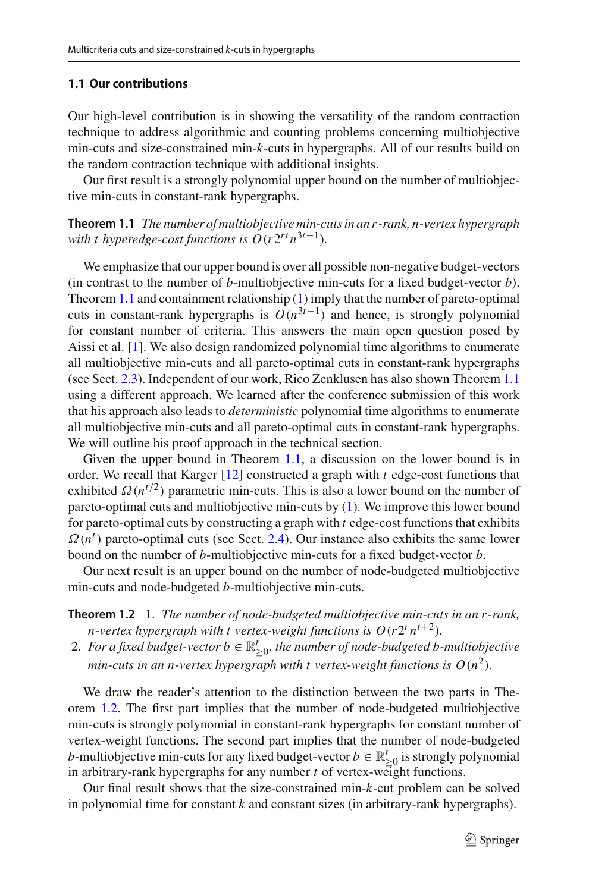## <span id="page-4-0"></span>**1.1 Our contributions**

Our high-level contribution is in showing the versatility of the random contraction technique to address algorithmic and counting problems concerning multiobjective min-cuts and size-constrained min-*k*-cuts in hypergraphs. All of our results build on the random contraction technique with additional insights.

<span id="page-4-1"></span>Our first result is a strongly polynomial upper bound on the number of multiobjective min-cuts in constant-rank hypergraphs.

**Theorem 1.1** *The number of multiobjective min-cuts in an r -rank, n-vertex hypergraph with t hyperedge-cost functions is*  $O(r2^{rt}n^{3t-1})$ *.* 

We emphasize that our upper bound is over all possible non-negative budget-vectors (in contrast to the number of *b*-multiobjective min-cuts for a fixed budget-vector *b*). Theorem [1.1](#page-4-1) and containment relationship [\(1\)](#page-1-0) imply that the number of pareto-optimal cuts in constant-rank hypergraphs is  $O(n^{3t-1})$  and hence, is strongly polynomial for constant number of criteria. This answers the main open question posed by Aissi et al. [\[1\]](#page-42-6). We also design randomized polynomial time algorithms to enumerate all multiobjective min-cuts and all pareto-optimal cuts in constant-rank hypergraphs (see Sect. [2.3\)](#page-17-0). Independent of our work, Rico Zenklusen has also shown Theorem [1.1](#page-4-1) using a different approach. We learned after the conference submission of this work that his approach also leads to *deterministic* polynomial time algorithms to enumerate all multiobjective min-cuts and all pareto-optimal cuts in constant-rank hypergraphs. We will outline his proof approach in the technical section.

Given the upper bound in Theorem [1.1,](#page-4-1) a discussion on the lower bound is in order. We recall that Karger [\[12](#page-42-7)] constructed a graph with *t* edge-cost functions that exhibited  $\Omega(n^{t/2})$  parametric min-cuts. This is also a lower bound on the number of pareto-optimal cuts and multiobjective min-cuts by [\(1\)](#page-1-0). We improve this lower bound for pareto-optimal cuts by constructing a graph with *t* edge-cost functions that exhibits  $\Omega(n^t)$  pareto-optimal cuts (see Sect. [2.4\)](#page-18-0). Our instance also exhibits the same lower bound on the number of *b*-multiobjective min-cuts for a fixed budget-vector *b*.

<span id="page-4-2"></span>Our next result is an upper bound on the number of node-budgeted multiobjective min-cuts and node-budgeted *b*-multiobjective min-cuts.

**Theorem 1.2** 1. *The number of node-budgeted multiobjective min-cuts in an r -rank, n*-vertex hypergraph with t vertex-weight functions is  $O(r2^r n^{t+2})$ .

2. For a fixed budget-vector  $b \in \mathbb{R}^t_{\geq 0}$ , the number of node-budgeted b-multiobjective *min-cuts in an n-vertex hypergraph with t vertex-weight functions is*  $O(n^2)$ *.* 

We draw the reader's attention to the distinction between the two parts in Theorem [1.2.](#page-4-2) The first part implies that the number of node-budgeted multiobjective min-cuts is strongly polynomial in constant-rank hypergraphs for constant number of vertex-weight functions. The second part implies that the number of node-budgeted *b*-multiobjective min-cuts for any fixed budget-vector  $b \in \mathbb{R}^t_{\geq 0}$  is strongly polynomial in arbitrary-rank hypergraphs for any number *t* of vertex-weight functions.

<span id="page-4-3"></span>Our final result shows that the size-constrained min-*k*-cut problem can be solved in polynomial time for constant *k* and constant sizes (in arbitrary-rank hypergraphs).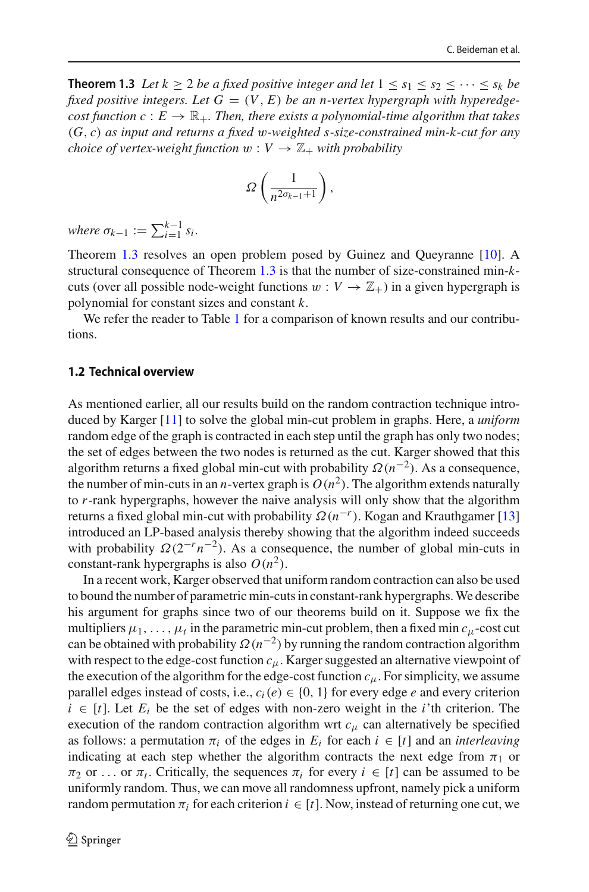**Theorem 1.3** *Let*  $k \ge 2$  *be a fixed positive integer and let*  $1 \le s_1 \le s_2 \le \cdots \le s_k$  *be* fixed positive integers. Let  $G = (V, E)$  be an n-vertex hypergraph with hyperedge*cost function c* :  $E \to \mathbb{R}_+$ *. Then, there exists a polynomial-time algorithm that takes* (*G*, *c*) *as input and returns a fixed* w*-weighted s-size-constrained min-k-cut for any choice of vertex-weight function*  $w: V \to \mathbb{Z}_+$  *with probability* 

$$
\Omega\left(\frac{1}{n^{2\sigma_{k-1}+1}}\right),\,
$$

 $where \sigma_{k-1} := \sum_{i=1}^{k-1} s_i.$ 

Theorem [1.3](#page-4-3) resolves an open problem posed by Guinez and Queyranne [\[10](#page-42-12)]. A structural consequence of Theorem [1.3](#page-4-3) is that the number of size-constrained min-*k*cuts (over all possible node-weight functions  $w: V \to \mathbb{Z}_+$ ) in a given hypergraph is polynomial for constant sizes and constant *k*.

We refer the reader to Table [1](#page-6-0) for a comparison of known results and our contributions.

# **1.2 Technical overview**

As mentioned earlier, all our results build on the random contraction technique introduced by Karger [\[11\]](#page-42-1) to solve the global min-cut problem in graphs. Here, a *uniform* random edge of the graph is contracted in each step until the graph has only two nodes; the set of edges between the two nodes is returned as the cut. Karger showed that this algorithm returns a fixed global min-cut with probability Ω(*n*−2). As a consequence, the number of min-cuts in an *n*-vertex graph is  $O(n^2)$ . The algorithm extends naturally to *r*-rank hypergraphs, however the naive analysis will only show that the algorithm returns a fixed global min-cut with probability  $\Omega(n^{-r})$ . Kogan and Krauthgamer [\[13\]](#page-42-2) introduced an LP-based analysis thereby showing that the algorithm indeed succeeds with probability  $\Omega(2^{-r}n^{-2})$ . As a consequence, the number of global min-cuts in constant-rank hypergraphs is also  $O(n^2)$ .

In a recent work, Karger observed that uniform random contraction can also be used to bound the number of parametric min-cuts in constant-rank hypergraphs.We describe his argument for graphs since two of our theorems build on it. Suppose we fix the multipliers  $\mu_1, \ldots, \mu_t$  in the parametric min-cut problem, then a fixed min  $c_\mu$ -cost cut can be obtained with probability  $\Omega(n^{-2})$  by running the random contraction algorithm with respect to the edge-cost function *c*μ. Karger suggested an alternative viewpoint of the execution of the algorithm for the edge-cost function  $c<sub>μ</sub>$ . For simplicity, we assume parallel edges instead of costs, i.e.,  $c_i(e) \in \{0, 1\}$  for every edge *e* and every criterion  $i \in [t]$ . Let  $E_i$  be the set of edges with non-zero weight in the *i*'th criterion. The execution of the random contraction algorithm wrt  $c<sub>μ</sub>$  can alternatively be specified as follows: a permutation  $\pi_i$  of the edges in  $E_i$  for each  $i \in [t]$  and an *interleaving* indicating at each step whether the algorithm contracts the next edge from  $\pi_1$  or  $\pi_2$  or ... or  $\pi_t$ . Critically, the sequences  $\pi_i$  for every  $i \in [t]$  can be assumed to be uniformly random. Thus, we can move all randomness upfront, namely pick a uniform random permutation  $\pi_i$  for each criterion  $i \in [t]$ . Now, instead of returning one cut, we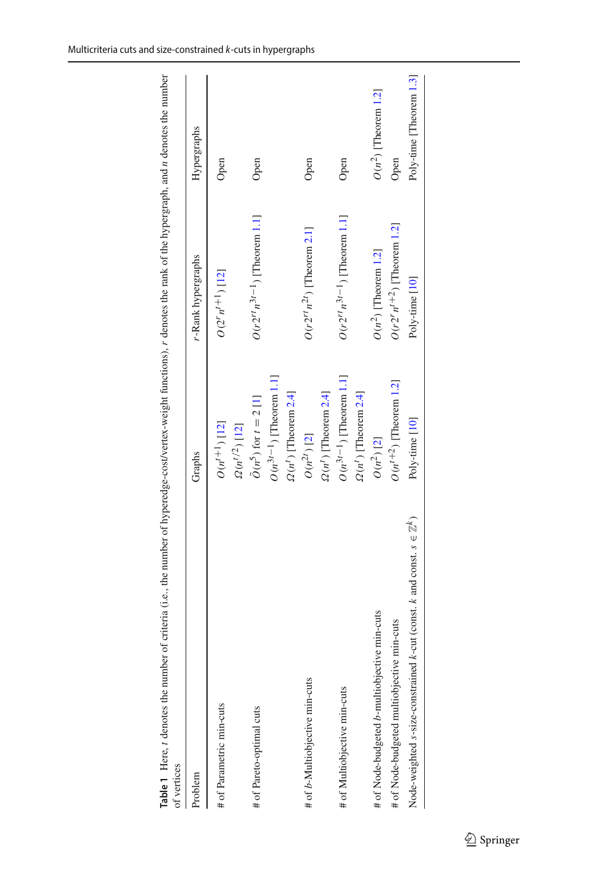<span id="page-6-0"></span>

| of vertices                                                                        |                                             |                                    |                         |
|------------------------------------------------------------------------------------|---------------------------------------------|------------------------------------|-------------------------|
| Problem                                                                            | Graphs                                      | r-Rank hypergraphs                 | Hypergraphs             |
| # of Parametric min-cuts                                                           | $O(n^{t+1})$ [12]<br>$\Omega(n^{t/2})$ [12] | $O(2^r n^{t+1})$ [12]              | Open                    |
| # of Pareto-optimal cuts                                                           | $\tilde{O}(n^5)$ for $t = 2$ [1]            | $O(r2^{rt}n^{3t-1})$ [Theorem 1.1] | Open                    |
|                                                                                    | $O(n^{3t-1})$ [Theorem 1.1]                 |                                    |                         |
|                                                                                    | $\Omega(n^l)$ [Theorem 2.4]                 |                                    |                         |
| # of b-Multiobjective min-cuts                                                     | $O(n^{2t})$ [2]                             | $O(r2^{rt}n^{2t})$ [Theorem 2.1]   | Open                    |
|                                                                                    | $\Omega(n^t)$ [Theorem 2.4]                 |                                    |                         |
| # of Multiobjective min-cuts                                                       | $O(n^{3t-1})$ [Theorem 1.1]                 | $O(r2^{rt}n^{3t-1})$ [Theorem 1.1] | Open                    |
|                                                                                    | $\Omega(n^1)$ [Theorem 2.4]                 |                                    |                         |
| # of Node-budgeted b-multiobjective min-cuts                                       | $O(n^2)$ [2]                                | $O(n^2)$ [Theorem 1.2]             | $O(n^2)$ [Theorem 1.2]  |
| # of Node-budgeted multiobjective min-cuts                                         | $O(n^{t+2})$ [Theorem 1.2]                  | $O(r2^r n^{t+2})$ [Theorem 1.2]    | Open                    |
| Node-weighted s-size-constrained k-cut (const. k and const. $s \in \mathbb{Z}^k$ ) | Poly-time [10]                              | Poly-time [10]                     | Poly-time [Theorem 1.3] |
|                                                                                    |                                             |                                    |                         |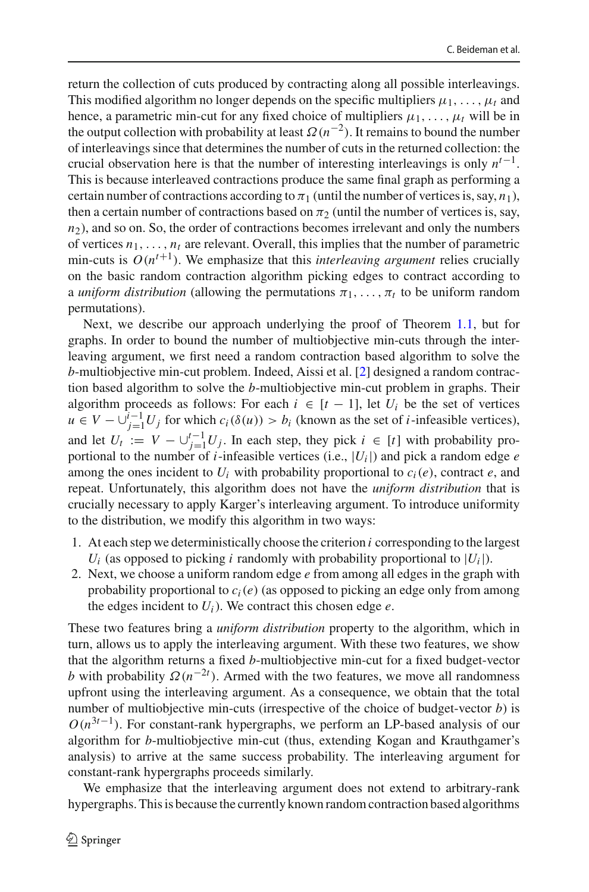return the collection of cuts produced by contracting along all possible interleavings. This modified algorithm no longer depends on the specific multipliers  $\mu_1, \ldots, \mu_t$  and hence, a parametric min-cut for any fixed choice of multipliers  $\mu_1, \ldots, \mu_t$  will be in the output collection with probability at least  $\Omega(n^{-2})$ . It remains to bound the number of interleavings since that determines the number of cuts in the returned collection: the crucial observation here is that the number of interesting interleavings is only *nt*−1. This is because interleaved contractions produce the same final graph as performing a certain number of contractions according to  $\pi_1$  (until the number of vertices is, say,  $n_1$ ), then a certain number of contractions based on  $\pi_2$  (until the number of vertices is, say,  $n_2$ ), and so on. So, the order of contractions becomes irrelevant and only the numbers of vertices  $n_1, \ldots, n_t$  are relevant. Overall, this implies that the number of parametric min-cuts is  $O(n^{t+1})$ . We emphasize that this *interleaving argument* relies crucially on the basic random contraction algorithm picking edges to contract according to a *uniform distribution* (allowing the permutations  $\pi_1, \ldots, \pi_t$  to be uniform random permutations).

Next, we describe our approach underlying the proof of Theorem [1.1,](#page-4-1) but for graphs. In order to bound the number of multiobjective min-cuts through the interleaving argument, we first need a random contraction based algorithm to solve the *b*-multiobjective min-cut problem. Indeed, Aissi et al. [\[2](#page-42-9)] designed a random contraction based algorithm to solve the *b*-multiobjective min-cut problem in graphs. Their algorithm proceeds as follows: For each  $i \in [t-1]$ , let  $U_i$  be the set of vertices *u* ∈ *V* −  $\bigcup_{j=1}^{i-1} U_j$  for which *c<sub>i</sub>*( $\delta(u)$ ) > *b<sub>i</sub>* (known as the set of *i*-infeasible vertices), and let  $U_t := V - \bigcup_{j=1}^{t-1} U_j$ . In each step, they pick  $i \in [t]$  with probability proportional to the number of *i*-infeasible vertices (i.e.,  $|U_i|$ ) and pick a random edge  $e$ among the ones incident to  $U_i$  with probability proportional to  $c_i(e)$ , contract  $e$ , and repeat. Unfortunately, this algorithm does not have the *uniform distribution* that is crucially necessary to apply Karger's interleaving argument. To introduce uniformity to the distribution, we modify this algorithm in two ways:

- 1. At each step we deterministically choose the criterion *i* corresponding to the largest  $U_i$  (as opposed to picking *i* randomly with probability proportional to  $|U_i|$ ).
- 2. Next, we choose a uniform random edge *e* from among all edges in the graph with probability proportional to *ci*(*e*) (as opposed to picking an edge only from among the edges incident to  $U_i$ ). We contract this chosen edge  $e$ .

These two features bring a *uniform distribution* property to the algorithm, which in turn, allows us to apply the interleaving argument. With these two features, we show that the algorithm returns a fixed *b*-multiobjective min-cut for a fixed budget-vector *b* with probability  $\Omega(n^{-2t})$ . Armed with the two features, we move all randomness upfront using the interleaving argument. As a consequence, we obtain that the total number of multiobjective min-cuts (irrespective of the choice of budget-vector *b*) is  $O(n^{3t-1})$ . For constant-rank hypergraphs, we perform an LP-based analysis of our algorithm for *b*-multiobjective min-cut (thus, extending Kogan and Krauthgamer's analysis) to arrive at the same success probability. The interleaving argument for constant-rank hypergraphs proceeds similarly.

We emphasize that the interleaving argument does not extend to arbitrary-rank hypergraphs. This is because the currently known random contraction based algorithms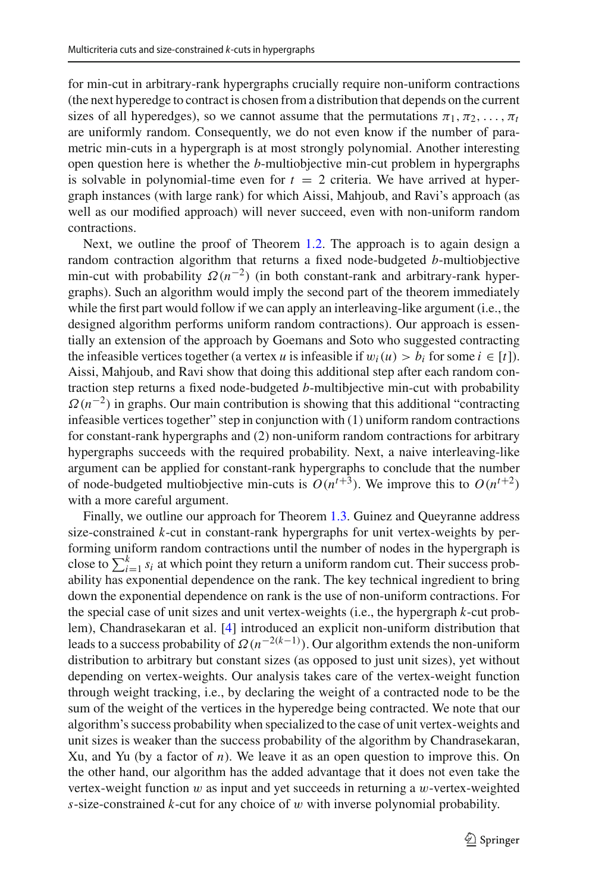for min-cut in arbitrary-rank hypergraphs crucially require non-uniform contractions (the next hyperedge to contract is chosen from a distribution that depends on the current sizes of all hyperedges), so we cannot assume that the permutations  $\pi_1, \pi_2, \ldots, \pi_t$ are uniformly random. Consequently, we do not even know if the number of parametric min-cuts in a hypergraph is at most strongly polynomial. Another interesting open question here is whether the *b*-multiobjective min-cut problem in hypergraphs is solvable in polynomial-time even for  $t = 2$  criteria. We have arrived at hypergraph instances (with large rank) for which Aissi, Mahjoub, and Ravi's approach (as well as our modified approach) will never succeed, even with non-uniform random contractions.

Next, we outline the proof of Theorem [1.2.](#page-4-2) The approach is to again design a random contraction algorithm that returns a fixed node-budgeted *b*-multiobjective min-cut with probability  $\Omega(n^{-2})$  (in both constant-rank and arbitrary-rank hypergraphs). Such an algorithm would imply the second part of the theorem immediately while the first part would follow if we can apply an interleaving-like argument (i.e., the designed algorithm performs uniform random contractions). Our approach is essentially an extension of the approach by Goemans and Soto who suggested contracting the infeasible vertices together (a vertex *u* is infeasible if  $w_i(u) > b_i$  for some  $i \in [t]$ ). Aissi, Mahjoub, and Ravi show that doing this additional step after each random contraction step returns a fixed node-budgeted *b*-multibjective min-cut with probability  $\Omega(n^{-2})$  in graphs. Our main contribution is showing that this additional "contracting" infeasible vertices together" step in conjunction with (1) uniform random contractions for constant-rank hypergraphs and (2) non-uniform random contractions for arbitrary hypergraphs succeeds with the required probability. Next, a naive interleaving-like argument can be applied for constant-rank hypergraphs to conclude that the number of node-budgeted multiobjective min-cuts is  $O(n^{t+3})$ . We improve this to  $O(n^{t+2})$ with a more careful argument.

Finally, we outline our approach for Theorem [1.3.](#page-4-3) Guinez and Queyranne address size-constrained *k*-cut in constant-rank hypergraphs for unit vertex-weights by performing uniform random contractions until the number of nodes in the hypergraph is close to  $\sum_{i=1}^{k} s_i$  at which point they return a uniform random cut. Their success probability has exponential dependence on the rank. The key technical ingredient to bring down the exponential dependence on rank is the use of non-uniform contractions. For the special case of unit sizes and unit vertex-weights (i.e., the hypergraph *k*-cut problem), Chandrasekaran et al. [\[4](#page-42-13)] introduced an explicit non-uniform distribution that leads to a success probability of Ω(*n*−2(*k*−1) ). Our algorithm extends the non-uniform distribution to arbitrary but constant sizes (as opposed to just unit sizes), yet without depending on vertex-weights. Our analysis takes care of the vertex-weight function through weight tracking, i.e., by declaring the weight of a contracted node to be the sum of the weight of the vertices in the hyperedge being contracted. We note that our algorithm's success probability when specialized to the case of unit vertex-weights and unit sizes is weaker than the success probability of the algorithm by Chandrasekaran, Xu, and Yu (by a factor of *n*). We leave it as an open question to improve this. On the other hand, our algorithm has the added advantage that it does not even take the vertex-weight function  $w$  as input and yet succeeds in returning a  $w$ -vertex-weighted *s*-size-constrained *k*-cut for any choice of w with inverse polynomial probability.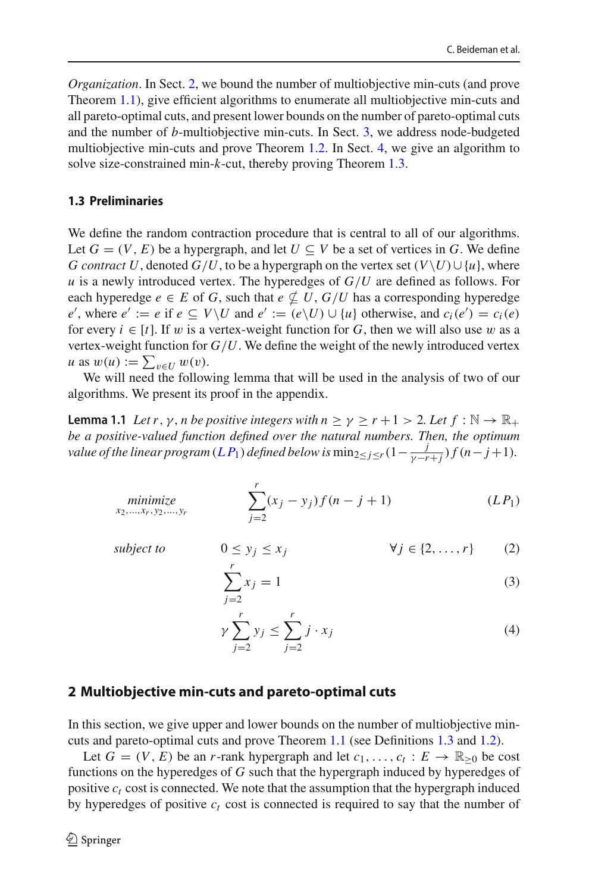*Organization*. In Sect. [2,](#page-9-0) we bound the number of multiobjective min-cuts (and prove Theorem [1.1\)](#page-4-1), give efficient algorithms to enumerate all multiobjective min-cuts and all pareto-optimal cuts, and present lower bounds on the number of pareto-optimal cuts and the number of *b*-multiobjective min-cuts. In Sect. [3,](#page-22-0) we address node-budgeted multiobjective min-cuts and prove Theorem [1.2.](#page-4-2) In Sect. [4,](#page-31-0) we give an algorithm to solve size-constrained min-*k*-cut, thereby proving Theorem [1.3.](#page-4-3)

# **1.3 Preliminaries**

We define the random contraction procedure that is central to all of our algorithms. Let  $G = (V, E)$  be a hypergraph, and let  $U \subseteq V$  be a set of vertices in G. We define *G contract U*, denoted *G*/*U*, to be a hypergraph on the vertex set ( $V\setminus U\cup \{u\}$ , where *u* is a newly introduced vertex. The hyperedges of *G*/*U* are defined as follows. For each hyperedge  $e \in E$  of *G*, such that  $e \nsubseteq U$ ,  $G/U$  has a corresponding hyperedge *e*', where *e*' := *e* if *e* ⊆ *V*\*U* and *e'* := (*e*\*U*) ∪ {*u*} otherwise, and *c<sub>i</sub>*(*e'*) = *c<sub>i</sub>*(*e*) for every  $i \in [t]$ . If w is a vertex-weight function for G, then we will also use w as a vertex-weight function for  $G/U$ . We define the weight of the newly introduced vertex  $u$  as  $w(u) := \sum_{v \in U} w(v)$ .

We will need the following lemma that will be used in the analysis of two of our algorithms. We present its proof in the appendix.

**Lemma 1.1** *Let r*, *y*, *n be positive integers with*  $n \ge \gamma \ge r + 1 > 2$ *. Let*  $f : \mathbb{N} \to \mathbb{R}_+$ *be a positive-valued function defined over the natural numbers. Then, the optimum value of the linear program*  $(L P_1)$  $(L P_1)$  $(L P_1)$  *defined below is*  $\min_{2 \leq j \leq r} (1 - \frac{j}{\gamma - r + j}) f(n - j + 1)$ *.* 

minimize  
<sub>x<sub>2</sub>,...,x<sub>r</sub>,y<sub>2</sub>,...,y<sub>r</sub></sub> 
$$
\sum_{j=2}^{r} (x_j - y_j) f(n - j + 1)
$$
 (LP<sub>1</sub>)

*subject to*  $0 \leq y_i \leq x_i$ 

<span id="page-9-3"></span><span id="page-9-2"></span><span id="page-9-1"></span>
$$
\forall j \in \{2, \ldots, r\} \tag{2}
$$

$$
\sum_{j=2}^{r} x_j = 1
$$
 (3)

$$
\gamma \sum_{j=2}^{r} y_j \le \sum_{j=2}^{r} j \cdot x_j \tag{4}
$$

## <span id="page-9-0"></span>**2 Multiobjective min-cuts and pareto-optimal cuts**

In this section, we give upper and lower bounds on the number of multiobjective mincuts and pareto-optimal cuts and prove Theorem [1.1](#page-4-1) (see Definitions [1.3](#page-1-1) and [1.2\)](#page-1-2).

Let  $G = (V, E)$  be an *r*-rank hypergraph and let  $c_1, \ldots, c_t : E \to \mathbb{R}_{\geq 0}$  be cost functions on the hyperedges of *G* such that the hypergraph induced by hyperedges of positive  $c_t$  cost is connected. We note that the assumption that the hypergraph induced by hyperedges of positive  $c_t$  cost is connected is required to say that the number of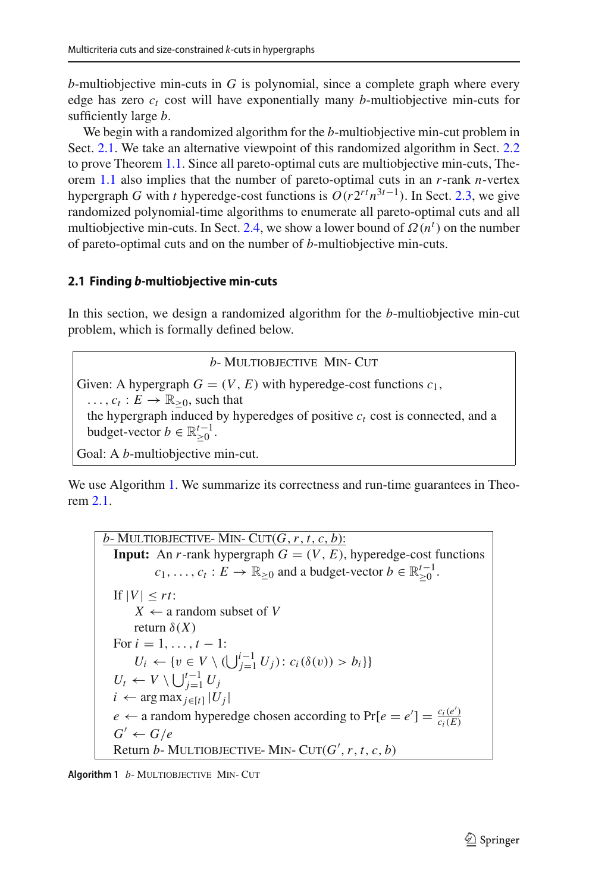*b*-multiobjective min-cuts in *G* is polynomial, since a complete graph where every edge has zero  $c_t$  cost will have exponentially many *b*-multiobjective min-cuts for sufficiently large *b*.

We begin with a randomized algorithm for the *b*-multiobjective min-cut problem in Sect. [2.1.](#page-10-1) We take an alternative viewpoint of this randomized algorithm in Sect. [2.2](#page-15-0) to prove Theorem [1.1.](#page-4-1) Since all pareto-optimal cuts are multiobjective min-cuts, Theorem [1.1](#page-4-1) also implies that the number of pareto-optimal cuts in an *r*-rank *n*-vertex hypergraph *G* with *t* hyperedge-cost functions is  $O(r2^{rt}n^{3t-1})$ . In Sect. [2.3,](#page-17-0) we give randomized polynomial-time algorithms to enumerate all pareto-optimal cuts and all multiobjective min-cuts. In Sect. [2.4,](#page-18-0) we show a lower bound of  $\Omega(n^t)$  on the number of pareto-optimal cuts and on the number of *b*-multiobjective min-cuts.

## <span id="page-10-1"></span>**2.1 Finding** *b***-multiobjective min-cuts**

In this section, we design a randomized algorithm for the *b*-multiobjective min-cut problem, which is formally defined below.

*b*- MULTIOBJECTIVE MIN- CUT Given: A hypergraph  $G = (V, E)$  with hyperedge-cost functions  $c_1$ ,  $\ldots$ ,  $c_t : E \to \mathbb{R}_{\geq 0}$ , such that the hypergraph induced by hyperedges of positive  $c_t$  cost is connected, and a budget-vector  $b \in \mathbb{R}^{t-1}_{\geq 0}$ . Goal: A *b*-multiobjective min-cut.

We use Algorithm [1.](#page-10-2) We summarize its correctness and run-time guarantees in Theorem [2.1.](#page-10-0)

 $b$ - MULTIOBJECTIVE- MIN- CUT $(G, r, t, c, b)$ : **Input:** An *r*-rank hypergraph  $G = (V, E)$ , hyperedge-cost functions  $c_1, \ldots, c_t : E \to \mathbb{R}_{\geq 0}$  and a budget-vector  $b \in \mathbb{R}_{\geq 0}^{t-1}$ . If  $|V| \leq rt$ :  $X \leftarrow$  a random subset of *V* return  $\delta(X)$ For  $i = 1, ..., t - 1$ :  $U_i \leftarrow \{v \in V \setminus (\bigcup_{j=1}^{i-1} U_j) : c_i(\delta(v)) > b_i\}$  $U_t \leftarrow V \setminus \bigcup_{j=1}^{t-1} U_j$ *i* ← arg max<sub>*j*∈[*t*]</sub>  $|U_j|$ *e*  $\leftarrow$  a random hyperedge chosen according to Pr[ $e = e'$ ] =  $\frac{c_i(e')}{c_i(E)}$  $G' \leftarrow G/e$ Return  $b$ - MULTIOBJECTIVE- MIN-  $CUT(G', r, t, c, b)$ 

<span id="page-10-2"></span><span id="page-10-0"></span>**Algorithm 1** *b*-MULTIOBJECTIVE MIN- CUT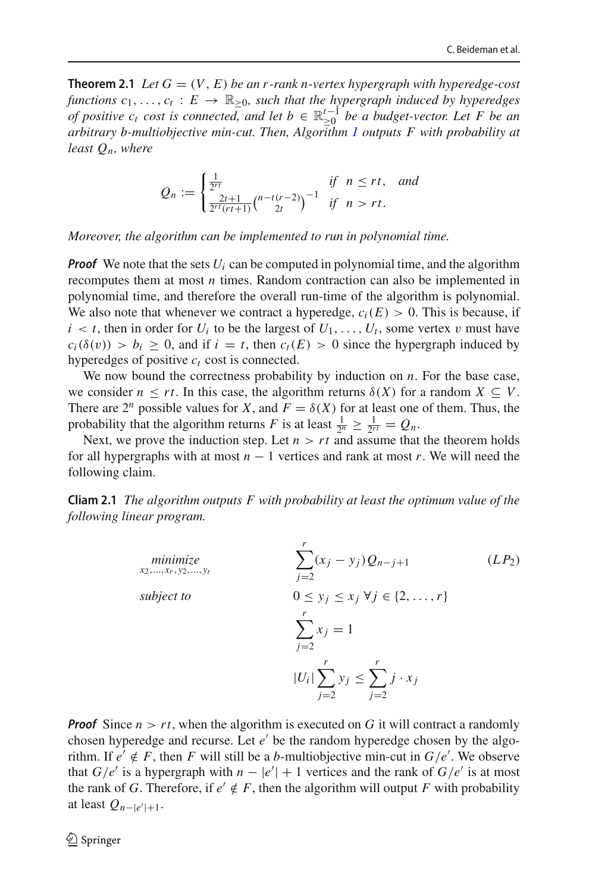**Theorem 2.1** *Let*  $G = (V, E)$  *be an r-rank n-vertex hypergraph with hyperedge-cost functions*  $c_1, \ldots, c_t : E \to \mathbb{R}_{\geq 0}$ *, such that the hypergraph induced by hyperedges of positive c<sub>t</sub> cost is connected, and let*  $b \in \mathbb{R}_{\geq 0}^{t-1}$  *be a budget-vector. Let* F *be an*<br>zetting the multi-kinetic view and Them Alexander L with and akility of *arbitrary b-multiobjective min-cut. Then, Algorithm [1](#page-10-2) outputs F with probability at least Qn, where*

$$
Q_n := \begin{cases} \frac{1}{2^{rt}} & \text{if } n \le rt, \text{ and} \\ \frac{2t+1}{2^{rt}(rt+1)} {n-t(r-2) \choose 2t}^{-1} & \text{if } n > rt. \end{cases}
$$

*Moreover, the algorithm can be implemented to run in polynomial time.*

*Proof* We note that the sets  $U_i$  can be computed in polynomial time, and the algorithm recomputes them at most *n* times. Random contraction can also be implemented in polynomial time, and therefore the overall run-time of the algorithm is polynomial. We also note that whenever we contract a hyperedge,  $c_i(E) > 0$ . This is because, if  $i < t$ , then in order for  $U_i$  to be the largest of  $U_1, \ldots, U_t$ , some vertex v must have  $c_i(\delta(v)) > b_i \ge 0$ , and if  $i = t$ , then  $c_t(E) > 0$  since the hypergraph induced by hyperedges of positive  $c_t$  cost is connected.

We now bound the correctness probability by induction on *n*. For the base case, we consider  $n \leq rt$ . In this case, the algorithm returns  $\delta(X)$  for a random  $X \subseteq V$ . There are  $2^n$  possible values for *X*, and  $F = \delta(X)$  for at least one of them. Thus, the probability that the algorithm returns *F* is at least  $\frac{1}{2^n} \geq \frac{1}{2^{r}t} = Q_n$ .

Next, we prove the induction step. Let  $n > rt$  and assume that the theorem holds for all hypergraphs with at most  $n - 1$  vertices and rank at most  $r$ . We will need the following claim.

<span id="page-11-0"></span>**Cliam 2.1** *The algorithm outputs F with probability at least the optimum value of the following linear program.*

<span id="page-11-1"></span>minimize  
\n*x*<sub>2</sub>,...,*x*<sub>r</sub>,*y*<sub>2</sub>,...,*y*<sub>r</sub>  
\nsubject to  
\n
$$
0 \le y_j \le x_j \forall j \in \{2,...,r\}
$$
\n
$$
\sum_{j=2}^r x_j = 1
$$
\n
$$
|U_i| \sum_{j=2}^r y_j \le \sum_{j=2}^r j \cdot x_j
$$
\n(LP2)

*Proof* Since  $n > rt$ , when the algorithm is executed on *G* it will contract a randomly chosen hyperedge and recurse. Let *e'* be the random hyperedge chosen by the algorithm. If  $e' \notin F$ , then *F* will still be a *b*-multiobjective min-cut in  $G/e'$ . We observe that *G*/*e'* is a hypergraph with  $n - |e'| + 1$  vertices and the rank of *G*/*e'* is at most the rank of *G*. Therefore, if  $e' \notin F$ , then the algorithm will output *F* with probability at least  $Q_{n-|e'|+1}$ .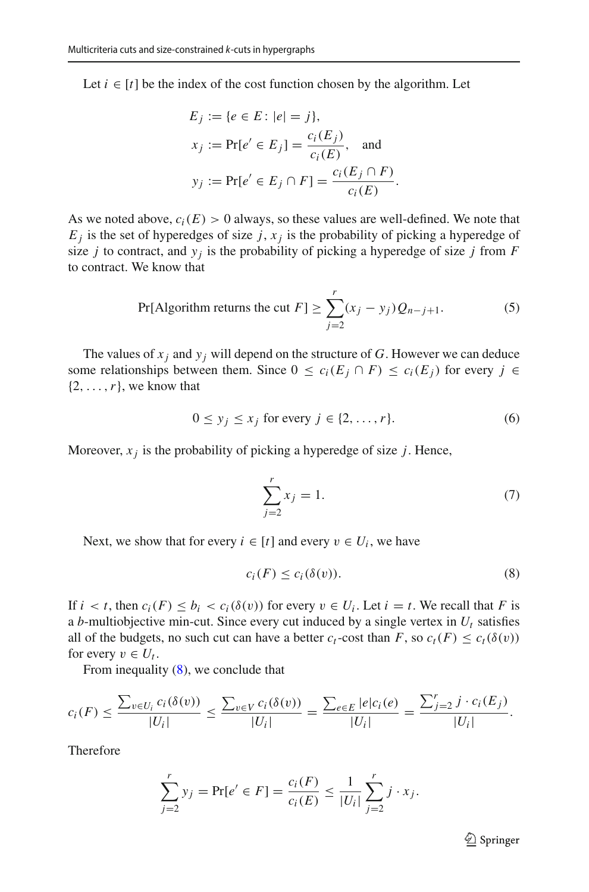Let  $i \in [t]$  be the index of the cost function chosen by the algorithm. Let

$$
E_j := \{e \in E : |e| = j\},
$$
  
\n
$$
x_j := \Pr[e' \in E_j] = \frac{c_i(E_j)}{c_i(E)}, \text{ and}
$$
  
\n
$$
y_j := \Pr[e' \in E_j \cap F] = \frac{c_i(E_j \cap F)}{c_i(E)}.
$$

As we noted above,  $c_i(E) > 0$  always, so these values are well-defined. We note that  $E_j$  is the set of hyperedges of size  $j$ ,  $x_j$  is the probability of picking a hyperedge of size *j* to contract, and  $y_i$  is the probability of picking a hyperedge of size *j* from *F* to contract. We know that

<span id="page-12-1"></span>Pr[Algorithm returns the cut 
$$
F
$$
]  $\geq \sum_{j=2}^{r} (x_j - y_j) Q_{n-j+1}.$  (5)

The values of  $x_j$  and  $y_j$  will depend on the structure of G. However we can deduce some relationships between them. Since  $0 \le c_i(E_i \cap F) \le c_i(E_j)$  for every  $j \in$  $\{2,\ldots,r\}$ , we know that

$$
0 \le y_j \le x_j \text{ for every } j \in \{2, \dots, r\}. \tag{6}
$$

Moreover,  $x_i$  is the probability of picking a hyperedge of size  $j$ . Hence,

<span id="page-12-3"></span><span id="page-12-2"></span><span id="page-12-0"></span>
$$
\sum_{j=2}^{r} x_j = 1.
$$
 (7)

Next, we show that for every  $i \in [t]$  and every  $v \in U_i$ , we have

$$
c_i(F) \leq c_i(\delta(v)).\tag{8}
$$

If  $i < t$ , then  $c_i(F) \le b_i < c_i(\delta(v))$  for every  $v \in U_i$ . Let  $i = t$ . We recall that *F* is a *b*-multiobjective min-cut. Since every cut induced by a single vertex in  $U_t$  satisfies all of the budgets, no such cut can have a better  $c_t$ -cost than  $F$ , so  $c_t(F) \leq c_t(\delta(v))$ for every  $v \in U_t$ .

From inequality [\(8\)](#page-12-0), we conclude that

$$
c_i(F) \le \frac{\sum_{v \in U_i} c_i(\delta(v))}{|U_i|} \le \frac{\sum_{v \in V} c_i(\delta(v))}{|U_i|} = \frac{\sum_{e \in E} |e| c_i(e)}{|U_i|} = \frac{\sum_{j=2}^r j \cdot c_i(E_j)}{|U_i|}.
$$

Therefore

$$
\sum_{j=2}^{r} y_j = \Pr[e' \in F] = \frac{c_i(F)}{c_i(E)} \le \frac{1}{|U_i|} \sum_{j=2}^{r} j \cdot x_j.
$$

 $\mathcal{D}$  Springer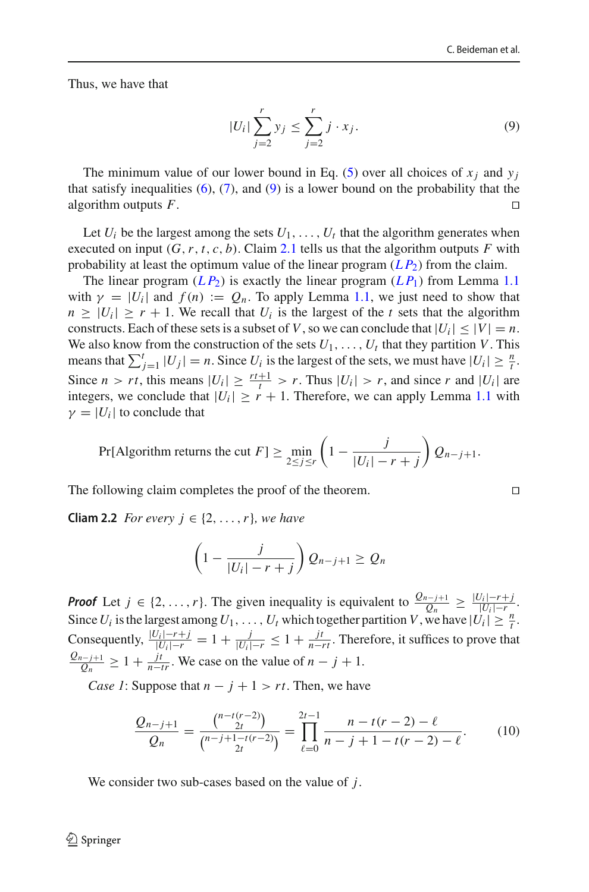Thus, we have that

<span id="page-13-0"></span>
$$
|U_i| \sum_{j=2}^r y_j \le \sum_{j=2}^r j \cdot x_j.
$$
 (9)

The minimum value of our lower bound in Eq. [\(5\)](#page-12-1) over all choices of  $x_i$  and  $y_i$ that satisfy inequalities  $(6)$ ,  $(7)$ , and  $(9)$  is a lower bound on the probability that the algorithm outputs *F*.

Let  $U_i$  be the largest among the sets  $U_1, \ldots, U_t$  that the algorithm generates when executed on input  $(G, r, t, c, b)$ . Claim [2.1](#page-11-0) tells us that the algorithm outputs *F* with probability at least the optimum value of the linear program  $(LP_2)$  from the claim.

The linear program  $(LP_2)$  is exactly the linear program  $(LP_1)$  from Lemma [1.1](#page-9-2) with  $\gamma = |U_i|$  and  $f(n) := Q_n$ . To apply Lemma [1.1,](#page-9-2) we just need to show that  $n \geq |U_i| \geq r + 1$ . We recall that  $U_i$  is the largest of the *t* sets that the algorithm constructs. Each of these sets is a subset of *V*, so we can conclude that  $|U_i| \leq |V| = n$ . We also know from the construction of the sets  $U_1, \ldots, U_t$  that they partition *V*. This means that  $\sum_{j=1}^{t} |U_j| = n$ . Since  $U_i$  is the largest of the sets, we must have  $|U_i| \geq \frac{n}{t}$ . Since  $n > rt$ , this means  $|U_i| \geq \frac{rt+1}{t} > r$ . Thus  $|U_i| > r$ , and since *r* and  $|U_i|$  are integers, we conclude that  $|U_i| \ge r + 1$ . Therefore, we can apply Lemma [1.1](#page-9-2) with  $\gamma = |U_i|$  to conclude that

Pr[Algorithm returns the cut 
$$
F
$$
]  $\geq \min_{2 \leq j \leq r} \left(1 - \frac{j}{|U_i| - r + j}\right) Q_{n-j+1}.$ 

The following claim completes the proof of the theorem.

**Cliam 2.2** *For every*  $j \in \{2, \ldots, r\}$ *, we have* 

$$
\left(1-\frac{j}{|U_i|-r+j}\right)Q_{n-j+1}\geq Q_n
$$

*Proof* Let *j* ∈ {2, ..., *r*}. The given inequality is equivalent to  $\frac{Q_{n-j+1}}{Q_n} \geq \frac{|U_i|-r+j}{|U_i|-r}$ . Since *U<sub>i</sub>* is the largest among *U*<sub>1</sub>, ..., *U<sub>t</sub>* which together partition *V*, we have  $|U_i| \geq \frac{n}{i}$ . Consequently,  $\frac{|U_i| - r + j}{|U_i| - r} = 1 + \frac{j}{|U_i| - r} \le 1 + \frac{jt}{n - rt}$ . Therefore, it suffices to prove that  $\frac{Q_{n-j+1}}{Q_n} \geq 1 + \frac{jt}{n-tr}$ . We case on the value of  $n-j+1$ .

*Case 1*: Suppose that  $n - j + 1 > rt$ . Then, we have

<span id="page-13-1"></span>
$$
\frac{Q_{n-j+1}}{Q_n} = \frac{\binom{n-t(r-2)}{2t}}{\binom{n-j+1-t(r-2)}{2t}} = \prod_{\ell=0}^{2t-1} \frac{n-t(r-2)-\ell}{n-j+1-t(r-2)-\ell}.\tag{10}
$$

We consider two sub-cases based on the value of *j*.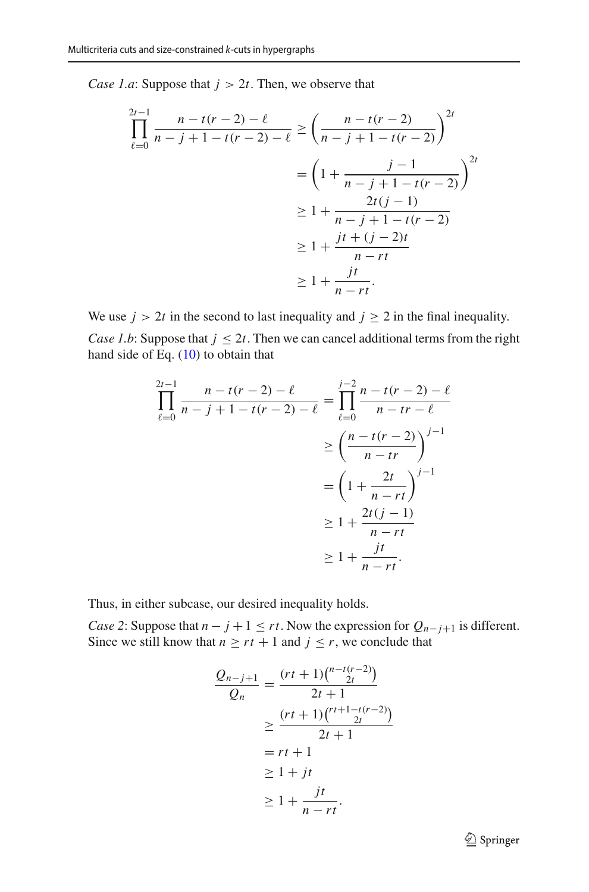*Case 1.a*: Suppose that  $j > 2t$ . Then, we observe that

$$
\prod_{\ell=0}^{2t-1} \frac{n - t(r-2) - \ell}{n - j + 1 - t(r-2) - \ell} \ge \left(\frac{n - t(r-2)}{n - j + 1 - t(r-2)}\right)^{2t}
$$

$$
= \left(1 + \frac{j - 1}{n - j + 1 - t(r-2)}\right)^{2t}
$$

$$
\ge 1 + \frac{2t(j - 1)}{n - j + 1 - t(r-2)}
$$

$$
\ge 1 + \frac{jt + (j - 2)t}{n - rt}
$$

$$
\ge 1 + \frac{jt}{n - rt}.
$$

We use  $j > 2t$  in the second to last inequality and  $j \ge 2$  in the final inequality. *Case 1.b*: Suppose that  $j \leq 2t$ . Then we can cancel additional terms from the right hand side of Eq.  $(10)$  to obtain that

$$
\prod_{\ell=0}^{2t-1} \frac{n - t(r-2) - \ell}{n - j + 1 - t(r-2) - \ell} = \prod_{\ell=0}^{j-2} \frac{n - t(r-2) - \ell}{n - tr - \ell}
$$

$$
\geq \left(\frac{n - t(r-2)}{n - tr}\right)^{j-1}
$$

$$
= \left(1 + \frac{2t}{n - rt}\right)^{j-1}
$$

$$
\geq 1 + \frac{2t(j-1)}{n - rt}
$$

$$
\geq 1 + \frac{jt}{n - rt}.
$$

Thus, in either subcase, our desired inequality holds.

*Case 2*: Suppose that  $n - j + 1 \le rt$ . Now the expression for  $Q_{n-j+1}$  is different. Since we still know that  $n \geq rt + 1$  and  $j \leq r$ , we conclude that

$$
\frac{Q_{n-j+1}}{Q_n} = \frac{(rt+1)\binom{n-t(r-2)}{2t}}{2t+1}
$$
\n
$$
\geq \frac{(rt+1)\binom{r+1-t(r-2)}{2t}}{2t+1}
$$
\n
$$
= rt + 1
$$
\n
$$
\geq 1 + jt
$$
\n
$$
\geq 1 + \frac{jt}{n-rt}.
$$

<sup>2</sup> Springer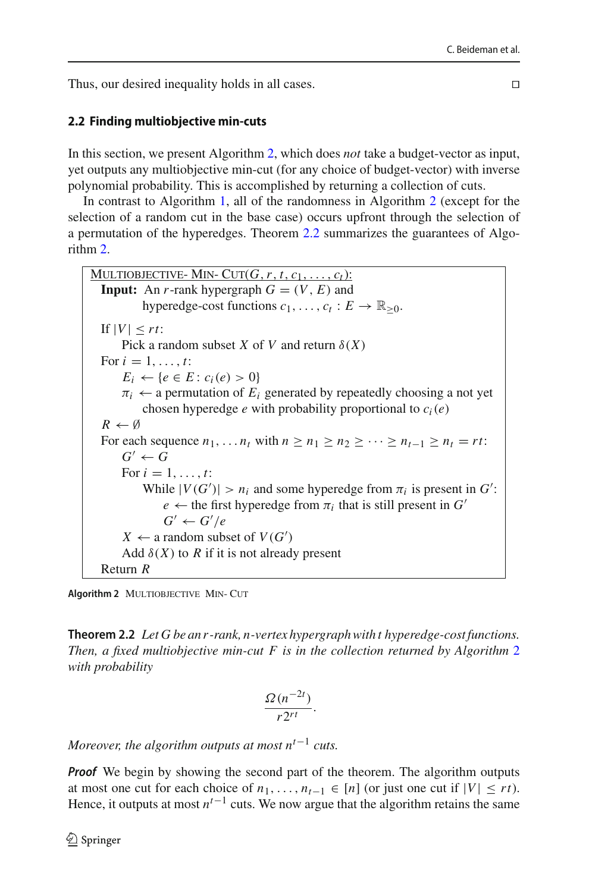Thus, our desired inequality holds in all cases.

# <span id="page-15-0"></span>**2.2 Finding multiobjective min-cuts**

In this section, we present Algorithm [2,](#page-15-1) which does *not* take a budget-vector as input, yet outputs any multiobjective min-cut (for any choice of budget-vector) with inverse polynomial probability. This is accomplished by returning a collection of cuts.

In contrast to Algorithm [1,](#page-10-2) all of the randomness in Algorithm [2](#page-15-1) (except for the selection of a random cut in the base case) occurs upfront through the selection of a permutation of the hyperedges. Theorem [2.2](#page-15-2) summarizes the guarantees of Algorithm [2.](#page-15-1)

```
MULTIOBJECTIVE- MIN- CUT(G, r, t, c_1, \ldots, c_t):
  Input: An r-rank hypergraph G = (V, E) and
           hyperedge-cost functions c_1, \ldots, c_t : E \to \mathbb{R}_{\geq 0}.
  |f||V| < rtPick a random subset X of V and return \delta(X)For i = 1, ..., t:
      E_i \leftarrow \{e \in E : c_i(e) > 0\}\pi_i \leftarrow a permutation of E_i generated by repeatedly choosing a not yet
           chosen hyperedge e with probability proportional to c_i(e)R \leftarrow \emptysetFor each sequence n_1, \ldots, n_t with n > n_1 > n_2 > \cdots > n_{t-1} > n_t = rt:
      G' \leftarrow GFor i = 1, ..., t:
           While |V(G')| > n_i and some hyperedge from \pi_i is present in G':
               e \leftarrow the first hyperedge from \pi_i that is still present in G'G' \leftarrow G'/eX \leftarrow a random subset of V(G')Add \delta(X) to R if it is not already present
  Return R
```
<span id="page-15-2"></span><span id="page-15-1"></span>**Algorithm 2** MULTIOBJECTIVE MIN- CUT

**Theorem 2.2** *Let G be an r -rank, n-vertex hypergraph with t hyperedge-cost functions. Then, a fixed multiobjective min-cut F is in the collection returned by Algorithm* [2](#page-15-1) *with probability*

$$
\frac{\Omega(n^{-2t})}{r2^{rt}}.
$$

*Moreover, the algorithm outputs at most nt*−<sup>1</sup> *cuts.*

**Proof** We begin by showing the second part of the theorem. The algorithm outputs at most one cut for each choice of  $n_1, \ldots, n_{t-1}$  ∈ [*n*] (or just one cut if  $|V| ≤ rt$ ). Hence, it outputs at most  $n^{t-1}$  cuts. We now argue that the algorithm retains the same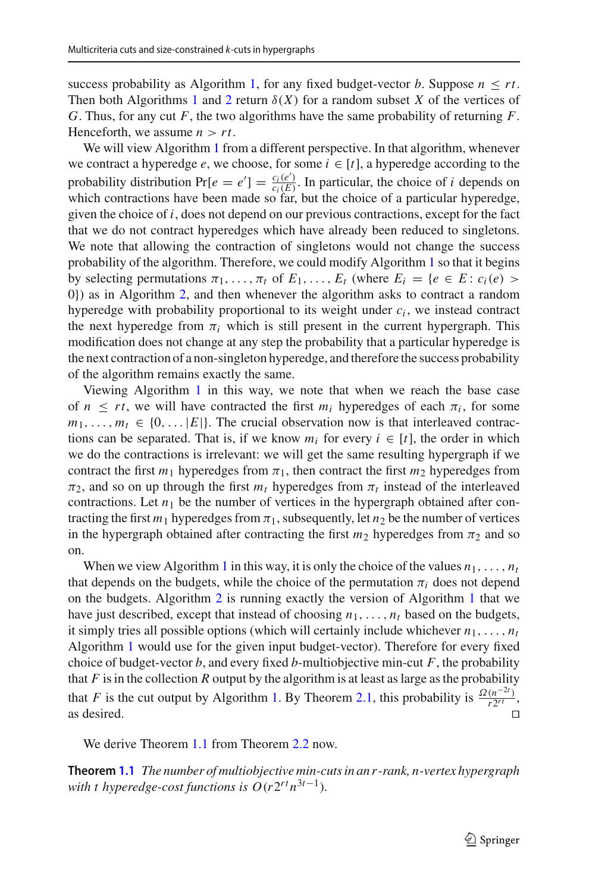success probability as Algorithm [1,](#page-10-2) for any fixed budget-vector *b*. Suppose  $n \leq rt$ . Then both Algorithms [1](#page-10-2) and [2](#page-15-1) return  $\delta(X)$  for a random subset X of the vertices of *G*. Thus, for any cut *F*, the two algorithms have the same probability of returning *F*. Henceforth, we assume  $n > rt$ .

We will view Algorithm [1](#page-10-2) from a different perspective. In that algorithm, whenever we contract a hyperedge  $e$ , we choose, for some  $i \in [t]$ , a hyperedge according to the probability distribution  $Pr[e = e'] = \frac{c_i(e')}{c_i(E)}$ . In particular, the choice of *i* depends on which contractions have been made so far, but the choice of a particular hyperedge, given the choice of *i*, does not depend on our previous contractions, except for the fact that we do not contract hyperedges which have already been reduced to singletons. We note that allowing the contraction of singletons would not change the success probability of the algorithm. Therefore, we could modify Algorithm [1](#page-10-2) so that it begins by selecting permutations  $\pi_1, \ldots, \pi_t$  of  $E_1, \ldots, E_t$  (where  $E_i = \{e \in E : c_i(e) >$ 0}) as in Algorithm [2,](#page-15-1) and then whenever the algorithm asks to contract a random hyperedge with probability proportional to its weight under  $c_i$ , we instead contract the next hyperedge from  $\pi_i$  which is still present in the current hypergraph. This modification does not change at any step the probability that a particular hyperedge is the next contraction of a non-singleton hyperedge, and therefore the success probability of the algorithm remains exactly the same.

Viewing Algorithm [1](#page-10-2) in this way, we note that when we reach the base case of  $n \leq rt$ , we will have contracted the first  $m_i$  hyperedges of each  $\pi_i$ , for some  $m_1, \ldots, m_t \in \{0, \ldots |E|\}$ . The crucial observation now is that interleaved contractions can be separated. That is, if we know  $m_i$  for every  $i \in [t]$ , the order in which we do the contractions is irrelevant: we will get the same resulting hypergraph if we contract the first  $m_1$  hyperedges from  $\pi_1$ , then contract the first  $m_2$  hyperedges from  $\pi_2$ , and so on up through the first  $m_t$  hyperedges from  $\pi_t$  instead of the interleaved contractions. Let  $n_1$  be the number of vertices in the hypergraph obtained after contracting the first  $m_1$  hyperedges from  $\pi_1$ , subsequently, let  $n_2$  be the number of vertices in the hypergraph obtained after contracting the first  $m_2$  hyperedges from  $\pi_2$  and so on.

When we view Algorithm [1](#page-10-2) in this way, it is only the choice of the values  $n_1, \ldots, n_t$ that depends on the budgets, while the choice of the permutation  $\pi_i$  does not depend on the budgets. Algorithm [2](#page-15-1) is running exactly the version of Algorithm [1](#page-10-2) that we have just described, except that instead of choosing  $n_1, \ldots, n_t$  based on the budgets, it simply tries all possible options (which will certainly include whichever  $n_1, \ldots, n_t$ Algorithm [1](#page-10-2) would use for the given input budget-vector). Therefore for every fixed choice of budget-vector  $b$ , and every fixed  $b$ -multiobjective min-cut  $F$ , the probability that  $F$  is in the collection  $R$  output by the algorithm is at least as large as the probability that *F* is the cut output by Algorithm [1.](#page-10-2) By Theorem [2.1,](#page-10-0) this probability is  $\frac{\Omega(n^{-2t})}{r2^{rt}}$ , as desired.  $\Box$ 

We derive Theorem [1.1](#page-4-1) from Theorem [2.2](#page-15-2) now.

**Theorem [1.1](#page-4-1)** *The number of multiobjective min-cuts in an r -rank, n-vertex hypergraph with t hyperedge-cost functions is*  $O(r2^{rt}n^{3t-1})$ *.*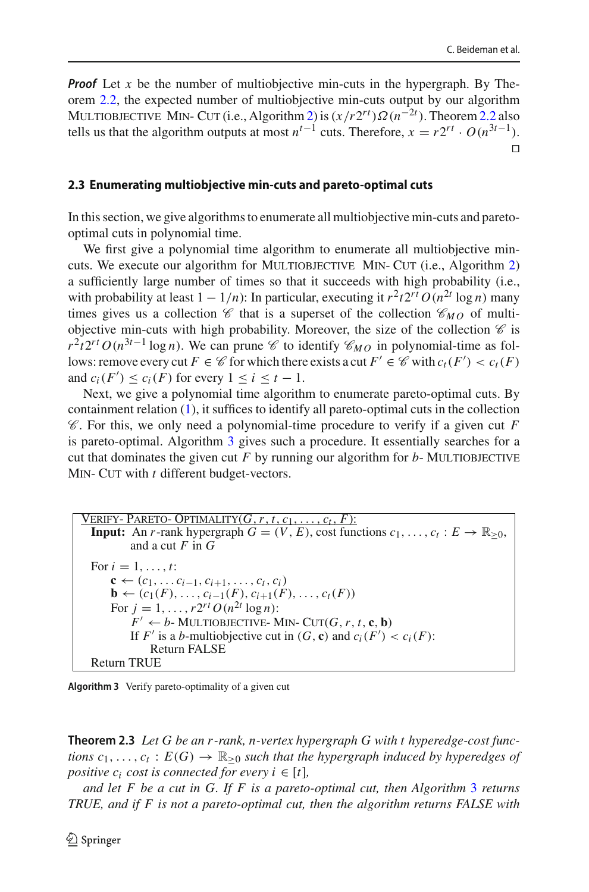*Proof* Let *x* be the number of multiobjective min-cuts in the hypergraph. By Theorem [2.2,](#page-15-2) the expected number of multiobjective min-cuts output by our algorithm MULTIOBJECTIVE MIN- CUT (i.e., Algorithm [2\)](#page-15-1) is  $(x/r2^{rt})\Omega(n^{-2t})$ . Theorem [2.2](#page-15-2) also tells us that the algorithm outputs at most  $n^{t-1}$  cuts. Therefore,  $x = r2^{rt} \cdot O(n^{3t-1})$ .  $\Box$ 

#### <span id="page-17-0"></span>**2.3 Enumerating multiobjective min-cuts and pareto-optimal cuts**

In this section, we give algorithms to enumerate all multiobjective min-cuts and paretooptimal cuts in polynomial time.

We first give a polynomial time algorithm to enumerate all multiobjective min-cuts. We execute our algorithm for MULTIOBJECTIVE MIN- CUT (i.e., Algorithm [2\)](#page-15-1) a sufficiently large number of times so that it succeeds with high probability (i.e., with probability at least  $1 - 1/n$ : In particular, executing it  $r^2t2^{rt}O(n^{2t} \log n)$  many times gives us a collection  $\mathscr C$  that is a superset of the collection  $\mathscr C_{MO}$  of multiobjective min-cuts with high probability. Moreover, the size of the collection  $\mathscr C$  is  $r^2t2^{rt}O(n^{3t-1}\log n)$ . We can prune *C* to identify  $C_{MO}$  in polynomial-time as follows: remove every cut  $F \in \mathscr{C}$  for which there exists a cut  $F' \in \mathscr{C}$  with  $c_t(F') < c_t(F)$ and  $c_i(F') \leq c_i(F)$  for every  $1 \leq i \leq t - 1$ .

Next, we give a polynomial time algorithm to enumerate pareto-optimal cuts. By containment relation [\(1\)](#page-1-0), it suffices to identify all pareto-optimal cuts in the collection *C* . For this, we only need a polynomial-time procedure to verify if a given cut *F* is pareto-optimal. Algorithm [3](#page-17-1) gives such a procedure. It essentially searches for a cut that dominates the given cut  $F$  by running our algorithm for  $b$ - MULTIOBJECTIVE MIN- CUT with *t* different budget-vectors.

 $V$ erify- Pareto- Optimality $(G, r, t, c_1, \ldots, c_t, F)$ : **Input:** An *r*-rank hypergraph  $G = (V, E)$ , cost functions  $c_1, \ldots, c_t : E \to \mathbb{R}_{\geq 0}$ , and a cut *F* in *G* For  $i = 1, ..., t$ : **c** ←  $(c_1, \ldots c_{i-1}, c_{i+1}, \ldots, c_t, c_i)$ **b** ←  $(c_1(F), \ldots, c_{i-1}(F), c_{i+1}(F), \ldots, c_t(F))$ For  $j = 1, ..., r2^{rt} O(n^{2t} \log n)$ :  $F' \leftarrow b$ - MULTIOBJECTIVE- MIN- CUT $(G, r, t, c, b)$ If  $F'$  is a *b*-multiobjective cut in  $(G, \mathbf{c})$  and  $c_i(F') < c_i(F)$ : Return FALSE Return TRUE

<span id="page-17-1"></span>

**Theorem 2.3** *Let G be an r -rank, n-vertex hypergraph G with t hyperedge-cost functions*  $c_1, \ldots, c_t : E(G) \to \mathbb{R}_{\geq 0}$  *such that the hypergraph induced by hyperedges of positive c<sub>i</sub> cost is connected for every i*  $\in$  [*t*]*,* 

*and let F be a cut in G. If F is a pareto-optimal cut, then Algorithm* [3](#page-17-1) *returns TRUE, and if F is not a pareto-optimal cut, then the algorithm returns FALSE with*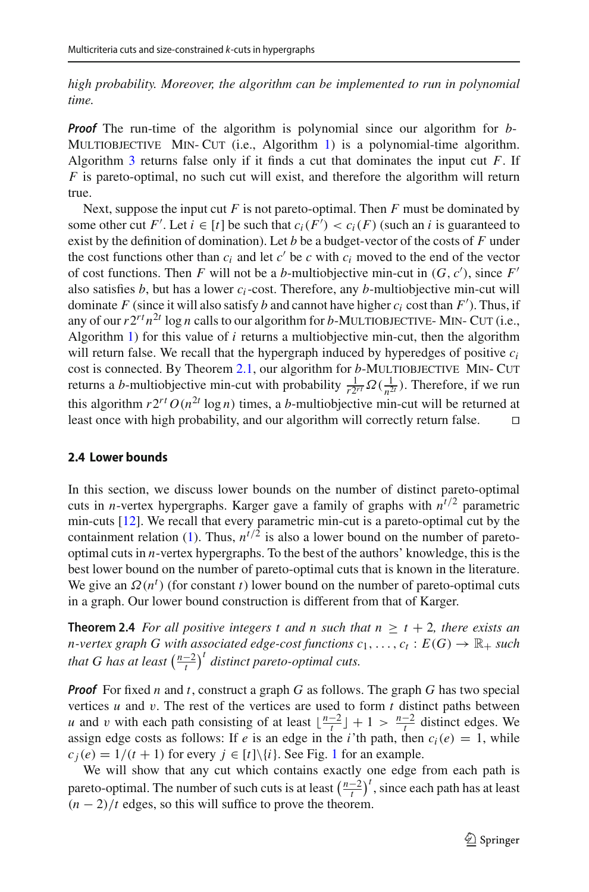*high probability. Moreover, the algorithm can be implemented to run in polynomial time.*

*Proof* The run-time of the algorithm is polynomial since our algorithm for *b*-MULTIOBJECTIVE MIN- CUT (i.e., Algorithm [1\)](#page-10-2) is a polynomial-time algorithm. Algorithm [3](#page-17-1) returns false only if it finds a cut that dominates the input cut *F*. If *F* is pareto-optimal, no such cut will exist, and therefore the algorithm will return true.

Next, suppose the input cut *F* is not pareto-optimal. Then *F* must be dominated by some other cut *F'*. Let  $i \in [t]$  be such that  $c_i(F') < c_i(F)$  (such an *i* is guaranteed to exist by the definition of domination). Let *b* be a budget-vector of the costs of *F* under the cost functions other than  $c_i$  and let  $c'$  be  $c$  with  $c_i$  moved to the end of the vector of cost functions. Then *F* will not be a *b*-multiobjective min-cut in  $(G, c')$ , since *F'* also satisfies  $b$ , but has a lower  $c_i$ -cost. Therefore, any  $b$ -multiobjective min-cut will dominate *F* (since it will also satisfy *b* and cannot have higher  $c_i$  cost than  $F'$ ). Thus, if any of our  $r2^{rt}n^{2t}$  log *n* calls to our algorithm for *b*-MULTIOBJECTIVE- MIN- CUT (i.e., Algorithm [1\)](#page-10-2) for this value of *i* returns a multiobjective min-cut, then the algorithm will return false. We recall that the hypergraph induced by hyperedges of positive *ci* cost is connected. By Theorem [2.1,](#page-10-0) our algorithm for *b*-MULTIOBJECTIVE MIN- CUT returns a *b*-multiobjective min-cut with probability  $\frac{1}{r2^{rt}} \Omega(\frac{1}{n^{2t}})$ . Therefore, if we run this algorithm  $r2^{rt} O(n^{2t} \log n)$  times, a *b*-multiobjective min-cut will be returned at least once with high probability, and our algorithm will correctly return false.  $\square$ 

#### <span id="page-18-0"></span>**2.4 Lower bounds**

In this section, we discuss lower bounds on the number of distinct pareto-optimal cuts in *n*-vertex hypergraphs. Karger gave a family of graphs with  $n^{t/2}$  parametric min-cuts [\[12](#page-42-7)]. We recall that every parametric min-cut is a pareto-optimal cut by the containment relation [\(1\)](#page-1-0). Thus,  $n^{t/2}$  is also a lower bound on the number of paretooptimal cuts in *n*-vertex hypergraphs. To the best of the authors' knowledge, this is the best lower bound on the number of pareto-optimal cuts that is known in the literature. We give an  $\Omega(n^t)$  (for constant *t*) lower bound on the number of pareto-optimal cuts in a graph. Our lower bound construction is different from that of Karger.

<span id="page-18-1"></span>**Theorem 2.4** *For all positive integers t and n such that*  $n \ge t + 2$ *, there exists an n*-vertex graph G with associated edge-cost functions  $c_1, \ldots, c_t : E(G) \to \mathbb{R}_+$  such *that G has at least*  $\left(\frac{n-2}{t}\right)^t$  *distinct pareto-optimal cuts.* 

*Proof* For fixed *n* and *t*, construct a graph *G* as follows. The graph *G* has two special vertices  $u$  and  $v$ . The rest of the vertices are used to form  $t$  distinct paths between *u* and *v* with each path consisting of at least  $\lfloor \frac{n-2}{t} \rfloor + 1 > \frac{n-2}{t}$  distinct edges. We assign edge costs as follows: If *e* is an edge in the *i*'th path, then  $c_i(e) = 1$ , while  $c_j(e) = 1/(t + 1)$  $c_j(e) = 1/(t + 1)$  $c_j(e) = 1/(t + 1)$  for every  $j \in [t] \setminus \{i\}$ . See Fig. 1 for an example.

We will show that any cut which contains exactly one edge from each path is pareto-optimal. The number of such cuts is at least  $\left(\frac{n-2}{t}\right)^t$ , since each path has at least  $(n-2)/t$  edges, so this will suffice to prove the theorem.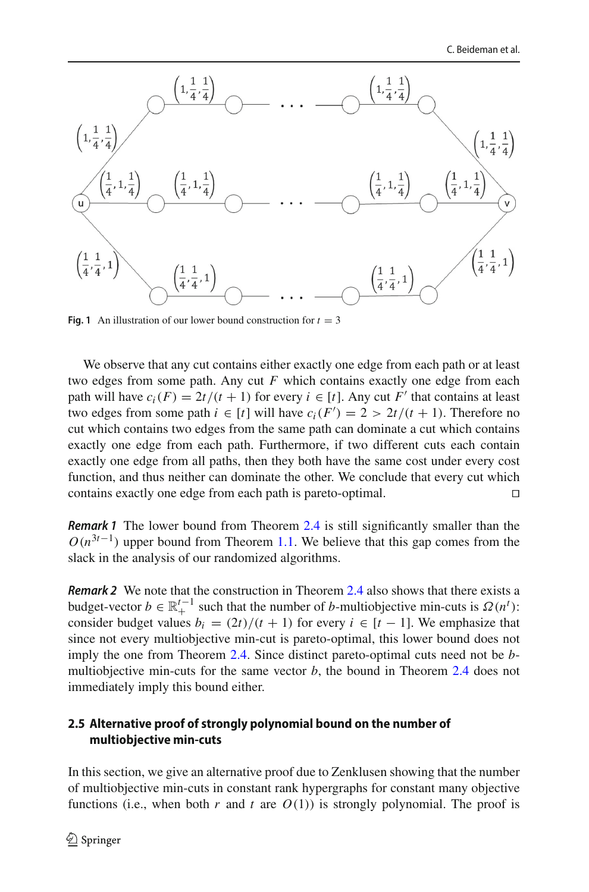

**Fig. 1** An illustration of our lower bound construction for  $t = 3$ 

We observe that any cut contains either exactly one edge from each path or at least two edges from some path. Any cut *F* which contains exactly one edge from each path will have  $c_i(F) = 2t/(t+1)$  for every  $i \in [t]$ . Any cut F' that contains at least two edges from some path  $i \in [t]$  will have  $c_i(F') = 2 > 2t/(t + 1)$ . Therefore no cut which contains two edges from the same path can dominate a cut which contains exactly one edge from each path. Furthermore, if two different cuts each contain exactly one edge from all paths, then they both have the same cost under every cost function, and thus neither can dominate the other. We conclude that every cut which contains exactly one edge from each path is pareto-optimal.

*Remark 1* The lower bound from Theorem [2.4](#page-18-1) is still significantly smaller than the  $O(n^{3t-1})$  upper bound from Theorem [1.1.](#page-4-1) We believe that this gap comes from the slack in the analysis of our randomized algorithms.

*Remark 2* We note that the construction in Theorem [2.4](#page-18-1) also shows that there exists a budget-vector  $b \in \mathbb{R}^{t-1}_+$  such that the number of *b*-multiobjective min-cuts is  $\Omega(n^t)$ : consider budget values  $b_i = (2t)/(t + 1)$  for every  $i \in [t - 1]$ . We emphasize that since not every multiobjective min-cut is pareto-optimal, this lower bound does not imply the one from Theorem [2.4.](#page-18-1) Since distinct pareto-optimal cuts need not be *b*multiobjective min-cuts for the same vector  $b$ , the bound in Theorem [2.4](#page-18-1) does not immediately imply this bound either.

# **2.5 Alternative proof of strongly polynomial bound on the number of multiobjective min-cuts**

In this section, we give an alternative proof due to Zenklusen showing that the number of multiobjective min-cuts in constant rank hypergraphs for constant many objective functions (i.e., when both  $r$  and  $t$  are  $O(1)$ ) is strongly polynomial. The proof is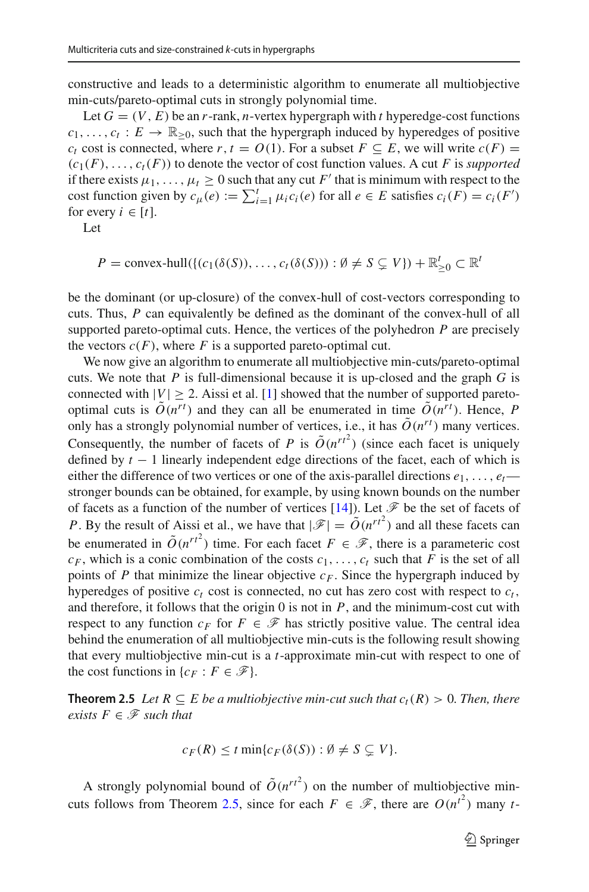constructive and leads to a deterministic algorithm to enumerate all multiobjective min-cuts/pareto-optimal cuts in strongly polynomial time.

Let  $G = (V, E)$  be an *r*-rank, *n*-vertex hypergraph with *t* hyperedge-cost functions  $c_1, \ldots, c_t : E \to \mathbb{R}_{\geq 0}$ , such that the hypergraph induced by hyperedges of positive *c<sub>t</sub>* cost is connected, where *r*,  $t = O(1)$ . For a subset  $F \subseteq E$ , we will write  $c(F) =$  $(c_1(F), \ldots, c_t(F))$  to denote the vector of cost function values. A cut *F* is *supported* if there exists  $\mu_1, \ldots, \mu_t \geq 0$  such that any cut F' that is minimum with respect to the cost function given by  $c_{\mu}(e) := \sum_{i=1}^{t} \mu_i c_i(e)$  for all  $e \in E$  satisfies  $c_i(F) = c_i(F')$ for every  $i \in [t]$ .

Let

$$
P = \text{convex-hull}(\{(c_1(\delta(S)), \dots, c_t(\delta(S))): \emptyset \neq S \subsetneq V\}) + \mathbb{R}_{\geq 0}^t \subset \mathbb{R}^t
$$

be the dominant (or up-closure) of the convex-hull of cost-vectors corresponding to cuts. Thus, *P* can equivalently be defined as the dominant of the convex-hull of all supported pareto-optimal cuts. Hence, the vertices of the polyhedron *P* are precisely the vectors  $c(F)$ , where *F* is a supported pareto-optimal cut.

We now give an algorithm to enumerate all multiobjective min-cuts/pareto-optimal cuts. We note that *P* is full-dimensional because it is up-closed and the graph *G* is connected with  $|V| \ge 2$ . Aissi et al. [\[1\]](#page-42-6) showed that the number of supported paretooptimal cuts is  $\tilde{O}(n^{rt})$  and they can all be enumerated in time  $\tilde{O}(n^{rt})$ . Hence, *P* only has a strongly polynomial number of vertices, i.e., it has  $\tilde{O}(n^{rt})$  many vertices. Consequently, the number of facets of *P* is  $\tilde{O}(n^{rt^2})$  (since each facet is uniquely defined by  $t - 1$  linearly independent edge directions of the facet, each of which is either the difference of two vertices or one of the axis-parallel directions  $e_1, \ldots, e_t$  stronger bounds can be obtained, for example, by using known bounds on the number of facets as a function of the number of vertices  $[14]$  $[14]$ ). Let  $\mathscr F$  be the set of facets of *P*. By the result of Aissi et al., we have that  $|\mathscr{F}| = \tilde{O}(n^{r^2})$  and all these facets can be enumerated in  $\tilde{O}(n^{r^2})$  time. For each facet  $F \in \mathcal{F}$ , there is a parameteric cost  $c_F$ , which is a conic combination of the costs  $c_1, \ldots, c_t$  such that *F* is the set of all points of *P* that minimize the linear objective  $c_F$ . Since the hypergraph induced by hyperedges of positive  $c_t$  cost is connected, no cut has zero cost with respect to  $c_t$ , and therefore, it follows that the origin  $0$  is not in  $P$ , and the minimum-cost cut with respect to any function  $c_F$  for  $F \in \mathcal{F}$  has strictly positive value. The central idea behind the enumeration of all multiobjective min-cuts is the following result showing that every multiobjective min-cut is a *t*-approximate min-cut with respect to one of the cost functions in  $\{c_F : F \in \mathcal{F}\}.$ 

**Theorem 2.5** *Let*  $R ⊆ E$  *be a multiobjective min-cut such that*  $c_t(R) > 0$ *. Then, there exists*  $F \in \mathcal{F}$  *such that* 

<span id="page-20-0"></span>
$$
c_F(R) \leq t \min\{c_F(\delta(S)) : \emptyset \neq S \subsetneq V\}.
$$

A strongly polynomial bound of  $\tilde{O}(n^{rt^2})$  on the number of multiobjective min-cuts follows from Theorem [2.5,](#page-20-0) since for each  $F \in \mathcal{F}$ , there are  $O(n^{t^2})$  many *t*-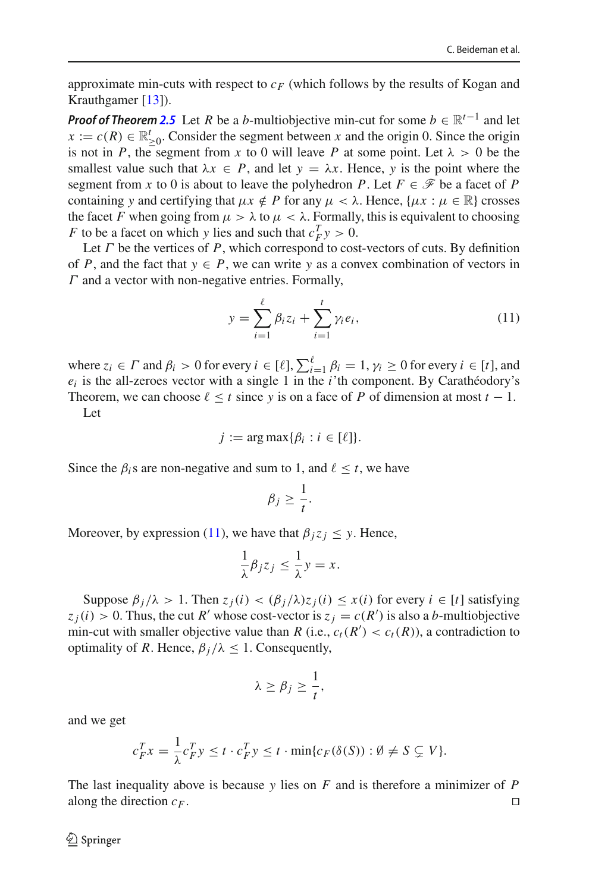approximate min-cuts with respect to  $c_F$  (which follows by the results of Kogan and Krauthgamer [\[13](#page-42-2)]).

*Proof of Theorem [2.5](#page-20-0)* Let *R* be a *b*-multiobjective min-cut for some  $b \in \mathbb{R}^{t-1}$  and let  $x := c(R) \in \mathbb{R}_{\geq 0}^t$ . Consider the segment between *x* and the origin 0. Since the origin is not in *P*, the segment from *x* to 0 will leave *P* at some point. Let  $\lambda > 0$  be the smallest value such that  $\lambda x \in P$ , and let  $y = \lambda x$ . Hence, *y* is the point where the segment from *x* to 0 is about to leave the polyhedron *P*. Let  $F \in \mathcal{F}$  be a facet of *P* containing *y* and certifying that  $\mu x \notin P$  for any  $\mu < \lambda$ . Hence,  $\{\mu x : \mu \in \mathbb{R}\}$  crosses the facet *F* when going from  $\mu > \lambda$  to  $\mu < \lambda$ . Formally, this is equivalent to choosing *F* to be a facet on which *y* lies and such that  $c_F^T y > 0$ .

Let  $\Gamma$  be the vertices of  $P$ , which correspond to cost-vectors of cuts. By definition of *P*, and the fact that  $y \in P$ , we can write *y* as a convex combination of vectors in  $\Gamma$  and a vector with non-negative entries. Formally,

<span id="page-21-0"></span>
$$
y = \sum_{i=1}^{\ell} \beta_i z_i + \sum_{i=1}^{t} \gamma_i e_i,
$$
 (11)

where  $z_i \in \Gamma$  and  $\beta_i > 0$  for every  $i \in [\ell], \sum_{i=1}^{\ell} \beta_i = 1, \gamma_i \ge 0$  for every  $i \in [t],$  and  $e_i$  is the all-zeroes vector with a single 1 in the  $i$ 'th component. By Carathéodory's Theorem, we can choose  $\ell \leq t$  since y is on a face of P of dimension at most  $t - 1$ .

Let

$$
j := \arg \max \{ \beta_i : i \in [\ell] \}.
$$

Since the  $\beta_i$ s are non-negative and sum to 1, and  $\ell \leq t$ , we have

$$
\beta_j \geq \frac{1}{t}.
$$

Moreover, by expression [\(11\)](#page-21-0), we have that  $\beta_j z_j \leq y$ . Hence,

$$
\frac{1}{\lambda}\beta_j z_j \le \frac{1}{\lambda}y = x.
$$

Suppose  $\beta_j/\lambda > 1$ . Then  $z_j(i) < (\beta_j/\lambda)z_j(i) \leq x(i)$  for every  $i \in [t]$  satisfying  $z_j(i) > 0$ . Thus, the cut *R'* whose cost-vector is  $z_j = c(R')$  is also a *b*-multiobjective min-cut with smaller objective value than *R* (i.e.,  $c_t(R') < c_t(R)$ ), a contradiction to optimality of *R*. Hence,  $\beta_i/\lambda \leq 1$ . Consequently,

$$
\lambda \geq \beta_j \geq \frac{1}{t},
$$

and we get

$$
c_F^T x = \frac{1}{\lambda} c_F^T y \le t \cdot c_F^T y \le t \cdot \min\{c_F(\delta(S)) : \emptyset \ne S \subsetneq V\}.
$$

The last inequality above is because *y* lies on *F* and is therefore a minimizer of *P* along the direction  $c_F$ .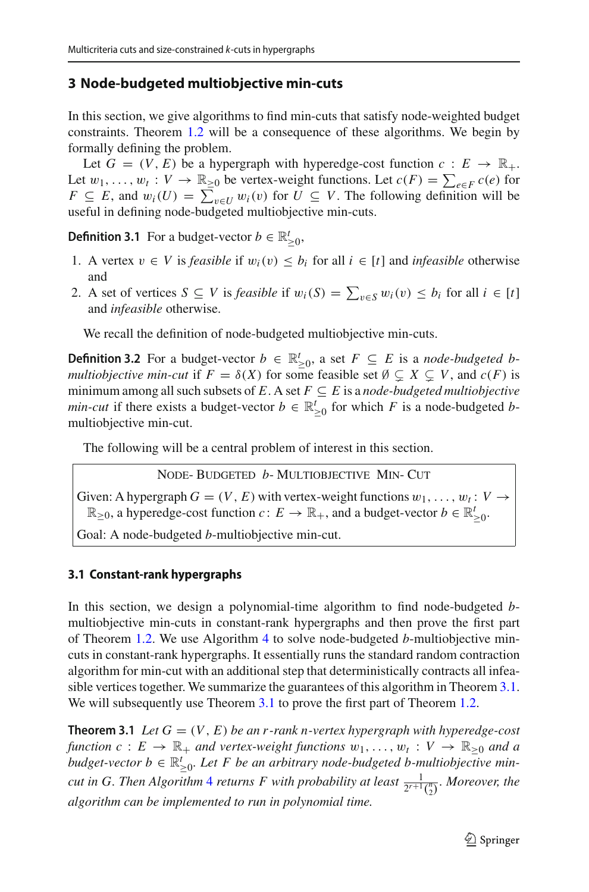# <span id="page-22-0"></span>**3 Node-budgeted multiobjective min-cuts**

In this section, we give algorithms to find min-cuts that satisfy node-weighted budget constraints. Theorem [1.2](#page-4-2) will be a consequence of these algorithms. We begin by formally defining the problem.

<span id="page-22-2"></span>Let  $G = (V, E)$  be a hypergraph with hyperedge-cost function  $c : E \to \mathbb{R}_+$ . Let  $w_1, \ldots, w_t : V \to \mathbb{R}_{\geq 0}$  be vertex-weight functions. Let  $c(F) = \sum_{e \in F} c(e)$  for *F* ⊆ *E*, and  $w_i(U) = \sum_{v \in U} w_i(v)$  for  $U \subseteq V$ . The following definition will be useful in defining node-budgeted multiobjective min-cuts.

**Definition 3.1** For a budget-vector  $b \in \mathbb{R}^t_{\geq 0}$ ,

- 1. A vertex *v* ∈ *V* is *feasible* if  $w_i(v) \leq b_i$  for all  $i \in [t]$  and *infeasible* otherwise and
- 2. A set of vertices  $S \subseteq V$  is *feasible* if  $w_i(S) = \sum_{v \in S} w_i(v) \le b_i$  for all  $i \in [t]$ and *infeasible* otherwise.

We recall the definition of node-budgeted multiobjective min-cuts.

**Definition 3.2** For a budget-vector *b* ∈  $\mathbb{R}_{\geq 0}^t$ , a set *F* ⊆ *E* is a *node-budgeted b*-<br> $\mathbb{R}^t$  is a *node-budgeted bmultiobjective min-cut* if  $F = \delta(X)$  for some feasible set  $\emptyset \subsetneq X \subsetneq V$ , and  $c(F)$  is minimum among all such subsets of  $E$ . A set  $F \subseteq E$  is a *node-budgeted multiobjective min-cut* if there exists a budget-vector  $b \in \mathbb{R}^t_{\geq 0}$  for which *F* is a node-budgeted *b*multiobjective min-cut.

The following will be a central problem of interest in this section.

Node- Budgeted *b*- Multiobjective Min- Cut

Given: A hypergraph  $G = (V, E)$  with vertex-weight functions  $w_1, \ldots, w_t : V \rightarrow$  $\mathbb{R}_{\geq 0}$ , a hyperedge-cost function *c* : *E* →  $\mathbb{R}_+$ , and a budget-vector *b* ∈  $\mathbb{R}'_{\geq 0}$ .

Goal: A node-budgeted *b*-multiobjective min-cut.

## **3.1 Constant-rank hypergraphs**

In this section, we design a polynomial-time algorithm to find node-budgeted *b*multiobjective min-cuts in constant-rank hypergraphs and then prove the first part of Theorem [1.2.](#page-4-2) We use Algorithm [4](#page-23-0) to solve node-budgeted *b*-multiobjective mincuts in constant-rank hypergraphs. It essentially runs the standard random contraction algorithm for min-cut with an additional step that deterministically contracts all infeasible vertices together. We summarize the guarantees of this algorithm in Theorem [3.1.](#page-22-1) We will subsequently use Theorem [3.1](#page-22-1) to prove the first part of Theorem [1.2.](#page-4-2)

<span id="page-22-1"></span>**Theorem 3.1** *Let*  $G = (V, E)$  *be an r-rank n-vertex hypergraph with hyperedge-cost function*  $c: E \to \mathbb{R}_+$  *and vertex-weight functions*  $w_1, \ldots, w_t: V \to \mathbb{R}_{\geq 0}$  *and a budget-vector*  $b \in \mathbb{R}^t_{\geq 0}$ . Let F be an arbitrary node-budgeted b-multiobjective min*cut in G. Then Algorithm* [4](#page-23-0) *returns F with probability at least*  $\frac{1}{2^{r+1} {n \choose 2}}$ *. Moreover, the algorithm can be implemented to run in polynomial time.*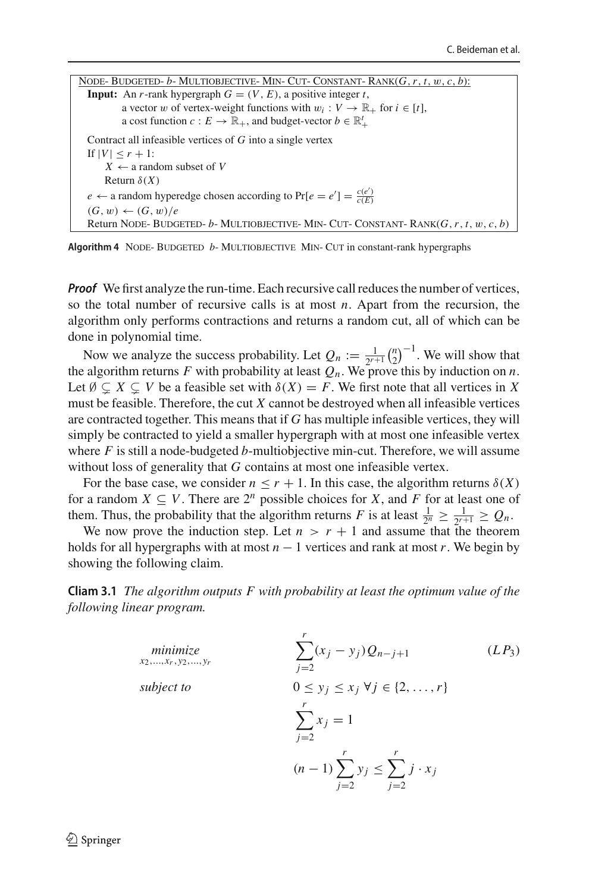Node- Budgeted- *b*- Multiobjective- Min- Cut- Constant- Rank(*G*,*r*, *t*, w, *c*, *b*): **Input:** An *r*-rank hypergraph  $G = (V, E)$ , a positive integer *t*, a vector w of vertex-weight functions with  $w_i : V \to \mathbb{R}_+$  for  $i \in [t]$ , a cost function *c* :  $E \to \mathbb{R}_+$ , and budget-vector  $b \in \mathbb{R}_+^t$ Contract all infeasible vertices of *G* into a single vertex If  $|V| \leq r + 1$ :  $X \leftarrow$  a random subset of *V* Return  $\delta(X)$ *e* ← a random hyperedge chosen according to  $Pr[e = e'] = \frac{c(e')}{c(E)}$  $(G, w) \leftarrow (G, w) / e$ Return Node- Budgeted- *b*- Multiobjective- Min- Cut- Constant- Rank(*G*,*r*, *t*, w, *c*, *b*)

<span id="page-23-0"></span>**Algorithm 4** NODE-BUDGETED *b*-MULTIOBJECTIVE MIN- CUT in constant-rank hypergraphs

*Proof* We first analyze the run-time. Each recursive call reduces the number of vertices, so the total number of recursive calls is at most *n*. Apart from the recursion, the algorithm only performs contractions and returns a random cut, all of which can be done in polynomial time.

Now we analyze the success probability. Let  $Q_n := \frac{1}{2^{r+1}} {n \choose 2}^{-1}$ . We will show that the algorithm returns *F* with probability at least  $Q_n$ . We prove this by induction on *n*. Let  $\emptyset \subsetneq X \subsetneq V$  be a feasible set with  $\delta(X) = F$ . We first note that all vertices in X must be feasible. Therefore, the cut *X* cannot be destroyed when all infeasible vertices are contracted together. This means that if *G* has multiple infeasible vertices, they will simply be contracted to yield a smaller hypergraph with at most one infeasible vertex where *F* is still a node-budgeted *b*-multiobjective min-cut. Therefore, we will assume without loss of generality that *G* contains at most one infeasible vertex.

For the base case, we consider  $n \le r + 1$ . In this case, the algorithm returns  $\delta(X)$ for a random  $X \subseteq V$ . There are  $2^n$  possible choices for *X*, and *F* for at least one of them. Thus, the probability that the algorithm returns *F* is at least  $\frac{1}{2^n} \geq \frac{1}{2^{r+1}} \geq Q_n$ .

We now prove the induction step. Let  $n > r + 1$  and assume that the theorem holds for all hypergraphs with at most  $n - 1$  vertices and rank at most  $r$ . We begin by showing the following claim.

<span id="page-23-1"></span>**Cliam 3.1** *The algorithm outputs F with probability at least the optimum value of the following linear program.*

<span id="page-23-2"></span>
$$
\begin{array}{ll}\n\text{minimize} & \sum_{x_2,\dots,x_r,y_2,\dots,y_r}^r & \text{(L.P3)} \\
\text{subject to} & 0 \le y_j \le x_j \ \forall j \in \{2,\dots,r\} \\
& \sum_{j=2}^r x_j = 1 \\
& (n-1) \sum_{j=2}^r y_j \le \sum_{j=2}^r j \cdot x_j\n\end{array}
$$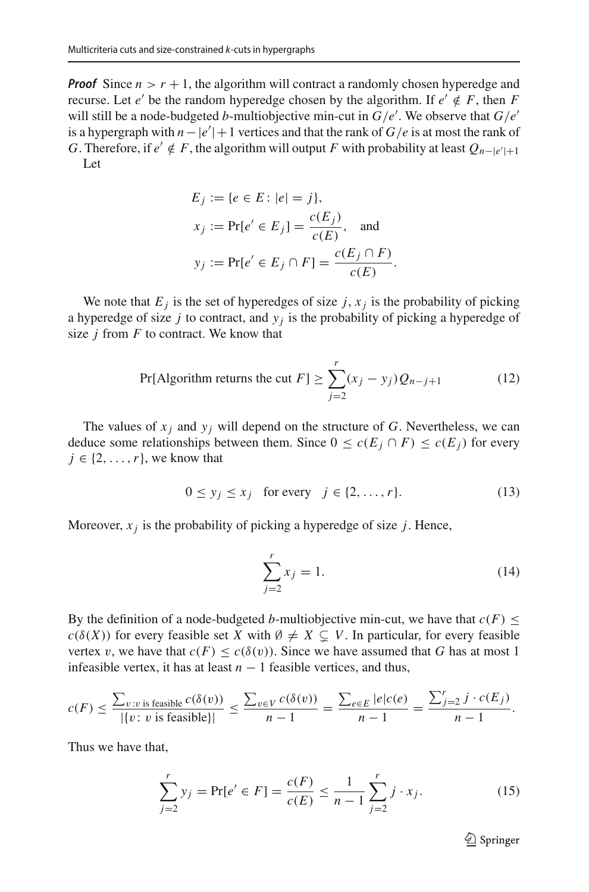*Proof* Since  $n > r + 1$ , the algorithm will contract a randomly chosen hyperedge and recurse. Let *e'* be the random hyperedge chosen by the algorithm. If  $e' \notin F$ , then *F* will still be a node-budgeted *b*-multiobjective min-cut in *G*/*e* . We observe that *G*/*e* is a hypergraph with  $n - |e'| + 1$  vertices and that the rank of  $G/e$  is at most the rank of *G*. Therefore, if  $e' \notin F$ , the algorithm will output *F* with probability at least  $Q_{n-|e'|+1}$ Let

$$
E_j := \{e \in E : |e| = j\},
$$
  
\n
$$
x_j := \Pr[e' \in E_j] = \frac{c(E_j)}{c(E)}, \text{ and}
$$
  
\n
$$
y_j := \Pr[e' \in E_j \cap F] = \frac{c(E_j \cap F)}{c(E)}.
$$

We note that  $E_j$  is the set of hyperedges of size  $j$ ,  $x_j$  is the probability of picking a hyperedge of size  $j$  to contract, and  $y_j$  is the probability of picking a hyperedge of size *j* from *F* to contract. We know that

<span id="page-24-0"></span>
$$
\Pr[\text{Algorithm returns the cut } F] \ge \sum_{j=2}^{r} (x_j - y_j) Q_{n-j+1} \tag{12}
$$

The values of  $x_i$  and  $y_i$  will depend on the structure of G. Nevertheless, we can deduce some relationships between them. Since  $0 \le c(E_i \cap F) \le c(E_i)$  for every  $j \in \{2, \ldots, r\}$ , we know that

$$
0 \le y_j \le x_j \quad \text{for every} \quad j \in \{2, \dots, r\}. \tag{13}
$$

Moreover,  $x_j$  is the probability of picking a hyperedge of size  $j$ . Hence,

<span id="page-24-2"></span><span id="page-24-1"></span>
$$
\sum_{j=2}^{r} x_j = 1.
$$
 (14)

By the definition of a node-budgeted *b*-multiobjective min-cut, we have that  $c(F) \leq$  $c(\delta(X))$  for every feasible set *X* with  $\emptyset \neq X \subsetneq V$ . In particular, for every feasible vertex v, we have that  $c(F) \leq c(\delta(v))$ . Since we have assumed that G has at most 1 infeasible vertex, it has at least  $n - 1$  feasible vertices, and thus,

$$
c(F) \le \frac{\sum_{v:v \text{ is feasible}} c(\delta(v))}{|\{v:v \text{ is feasible}\}|} \le \frac{\sum_{v \in V} c(\delta(v))}{n-1} = \frac{\sum_{e \in E} |e|c(e)}{n-1} = \frac{\sum_{j=2}^{r} j \cdot c(E_j)}{n-1}.
$$

Thus we have that,

<span id="page-24-3"></span>
$$
\sum_{j=2}^{r} y_j = \Pr[e' \in F] = \frac{c(F)}{c(E)} \le \frac{1}{n-1} \sum_{j=2}^{r} j \cdot x_j.
$$
 (15)

 $\mathcal{D}$  Springer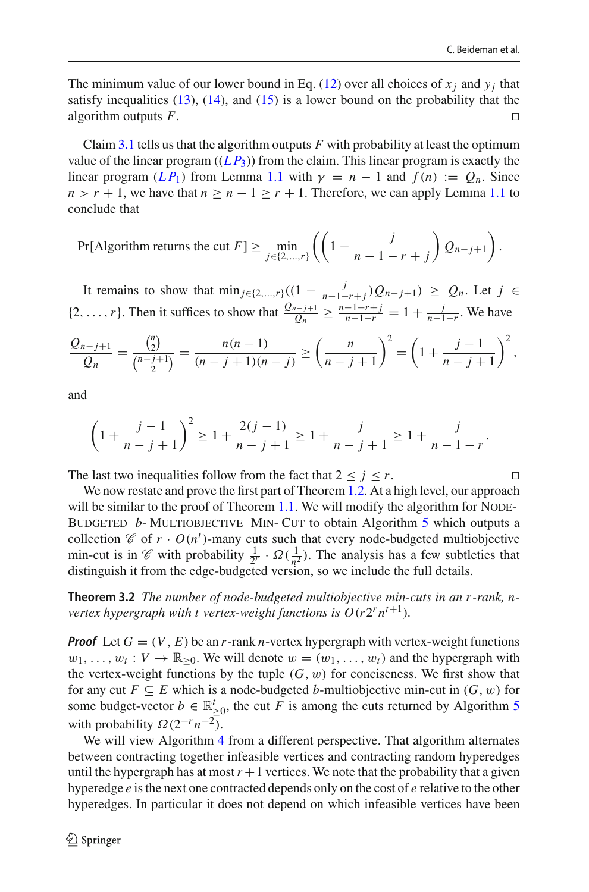The minimum value of our lower bound in Eq. [\(12\)](#page-24-0) over all choices of  $x_i$  and  $y_i$  that satisfy inequalities  $(13)$ ,  $(14)$ , and  $(15)$  is a lower bound on the probability that the algorithm outputs  $F$ .

Claim [3.1](#page-23-1) tells us that the algorithm outputs *F* with probability at least the optimum value of the linear program  $((LP_3))$  from the claim. This linear program is exactly the linear program  $(LP_1)$  from Lemma [1.1](#page-9-2) with  $\gamma = n - 1$  and  $f(n) := Q_n$ . Since  $n > r + 1$ , we have that  $n > n - 1 > r + 1$ . Therefore, we can apply Lemma [1.1](#page-9-2) to conclude that

Pr[Algorithm returns the cut 
$$
F
$$
]  $\geq \min_{j \in \{2,\dots,r\}} \left( \left(1 - \frac{j}{n-1-r+j}\right) Q_{n-j+1} \right)$ .

It remains to show that  $\min_{j \in \{2,\dots,r\}} ((1 - \frac{j}{n-1-r+j})Q_{n-j+1}) \geq Q_n$ . Let *j* ∈ {2,...,*r*}. Then it suffices to show that  $\frac{Q_{n-j+1}}{Q_n} \ge \frac{n-1-r+j}{n-1-r} = 1 + \frac{j}{n-1-r}$ . We have

$$
\frac{Q_{n-j+1}}{Q_n} = \frac{\binom{n}{2}}{\binom{n-j+1}{2}} = \frac{n(n-1)}{(n-j+1)(n-j)} \ge \left(\frac{n}{n-j+1}\right)^2 = \left(1 + \frac{j-1}{n-j+1}\right)^2,
$$

and

$$
\left(1+\frac{j-1}{n-j+1}\right)^2 \ge 1+\frac{2(j-1)}{n-j+1} \ge 1+\frac{j}{n-j+1} \ge 1+\frac{j}{n-1-r}.
$$

The last two inequalities follow from the fact that  $2 \le j \le r$ .

We now restate and prove the first part of Theorem [1.2.](#page-4-2) At a high level, our approach will be similar to the proof of Theorem  $1.1$ . We will modify the algorithm for NODE-BUDGETED *b*- MULTIOBJECTIVE MIN- CUT to obtain Algorithm [5](#page-26-0) which outputs a collection  $\mathscr{C}$  of  $r \cdot O(n^t)$ -many cuts such that every node-budgeted multiobjective min-cut is in *C* with probability  $\frac{1}{2^r}$  ·  $\Omega(\frac{1}{n^2})$ . The analysis has a few subtleties that distinguish it from the edge-budgeted version, so we include the full details.

**Theorem 3.2** *The number of node-budgeted multiobjective min-cuts in an r -rank, nvertex hypergraph with t vertex-weight functions is*  $O(r2^r n^{t+1})$ *.* 

*Proof* Let  $G = (V, E)$  be an *r*-rank *n*-vertex hypergraph with vertex-weight functions  $w_1, \ldots, w_t : V \to \mathbb{R}_{\geq 0}$ . We will denote  $w = (w_1, \ldots, w_t)$  and the hypergraph with the vertex-weight functions by the tuple  $(G, w)$  for conciseness. We first show that for any cut  $F \subseteq E$  which is a node-budgeted *b*-multiobjective min-cut in  $(G, w)$  for some budget-vector  $b \in \mathbb{R}^t_{\geq 0}$ , the cut *F* is among the cuts returned by Algorithm [5](#page-26-0) with probability  $\Omega(2^{-r}n^{-2})$ .

We will view Algorithm [4](#page-23-0) from a different perspective. That algorithm alternates between contracting together infeasible vertices and contracting random hyperedges until the hypergraph has at most  $r + 1$  vertices. We note that the probability that a given hyperedge *e* is the next one contracted depends only on the cost of *e* relative to the other hyperedges. In particular it does not depend on which infeasible vertices have been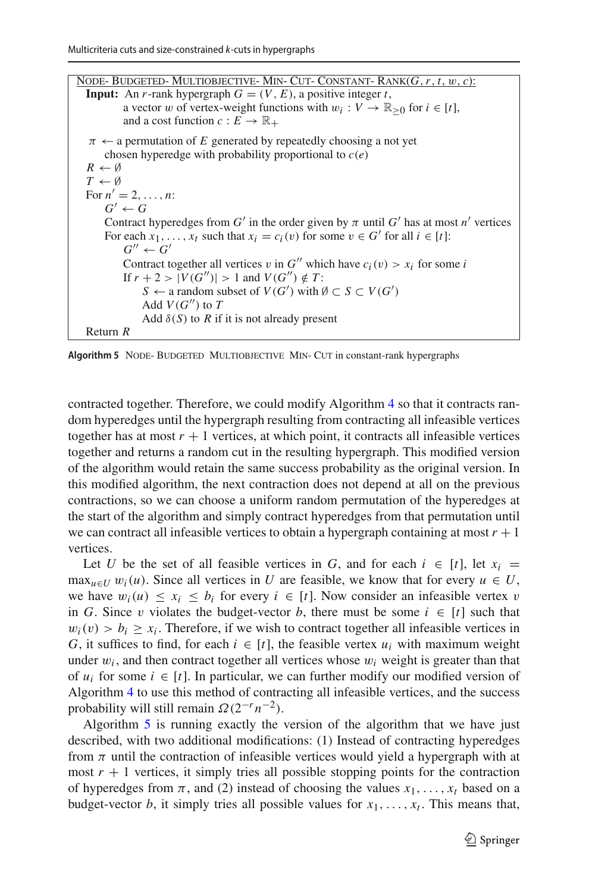Node- Budgeted- Multiobjective- Min- Cut- Constant- Rank(*G*,*r*, *t*, w, *c*): **Input:** An *r*-rank hypergraph  $G = (V, E)$ , a positive integer *t*, a vector w of vertex-weight functions with  $w_i : V \to \mathbb{R}_{\geq 0}$  for  $i \in [t]$ , and a cost function  $c : E \to \mathbb{R}_+$  $\pi \leftarrow$  a permutation of *E* generated by repeatedly choosing a not yet chosen hyperedge with probability proportional to *c*(*e*)  $R \leftarrow \emptyset$  $T \leftarrow \emptyset$ For  $n' = 2, ..., n$ :  $G' \leftarrow G$ Contract hyperedges from  $G'$  in the order given by  $\pi$  until  $G'$  has at most  $n'$  vertices For each  $x_1, \ldots, x_t$  such that  $x_i = c_i(v)$  for some  $v \in G'$  for all  $i \in [t]$ :  $G'' \leftarrow G'$ Contract together all vertices v in  $G''$  which have  $c_i(v) > x_i$  for some *i* If  $r + 2 > |V(G'')| > 1$  and  $V(G'') \notin T$ : *S* ← a random subset of *V*(*G*<sup>'</sup>) with Ø ⊂ *S* ⊂ *V*(*G*<sup>'</sup>) Add  $V(G'')$  to  $T$ Add  $\delta(S)$  to *R* if it is not already present Return *R*

<span id="page-26-0"></span>Algorithm 5 NODE- BUDGETED MULTIOBJECTIVE MIN- CUT in constant-rank hypergraphs

contracted together. Therefore, we could modify Algorithm [4](#page-23-0) so that it contracts random hyperedges until the hypergraph resulting from contracting all infeasible vertices together has at most  $r + 1$  vertices, at which point, it contracts all infeasible vertices together and returns a random cut in the resulting hypergraph. This modified version of the algorithm would retain the same success probability as the original version. In this modified algorithm, the next contraction does not depend at all on the previous contractions, so we can choose a uniform random permutation of the hyperedges at the start of the algorithm and simply contract hyperedges from that permutation until we can contract all infeasible vertices to obtain a hypergraph containing at most  $r + 1$ vertices.

Let *U* be the set of all feasible vertices in *G*, and for each  $i \in [t]$ , let  $x_i =$  $\max_{u \in U} w_i(u)$ . Since all vertices in *U* are feasible, we know that for every  $u \in U$ , we have  $w_i(u) \le x_i \le b_i$  for every  $i \in [t]$ . Now consider an infeasible vertex v in *G*. Since v violates the budget-vector *b*, there must be some  $i \in [t]$  such that  $w_i(v) > b_i \ge x_i$ . Therefore, if we wish to contract together all infeasible vertices in *G*, it suffices to find, for each  $i \in [t]$ , the feasible vertex  $u_i$  with maximum weight under  $w_i$ , and then contract together all vertices whose  $w_i$  weight is greater than that of  $u_i$  for some  $i \in [t]$ . In particular, we can further modify our modified version of Algorithm [4](#page-23-0) to use this method of contracting all infeasible vertices, and the success probability will still remain  $\Omega(2^{-r}n^{-2})$ .

Algorithm [5](#page-26-0) is running exactly the version of the algorithm that we have just described, with two additional modifications: (1) Instead of contracting hyperedges from  $\pi$  until the contraction of infeasible vertices would yield a hypergraph with at most  $r + 1$  vertices, it simply tries all possible stopping points for the contraction of hyperedges from  $\pi$ , and (2) instead of choosing the values  $x_1, \ldots, x_t$  based on a budget-vector *b*, it simply tries all possible values for  $x_1, \ldots, x_t$ . This means that,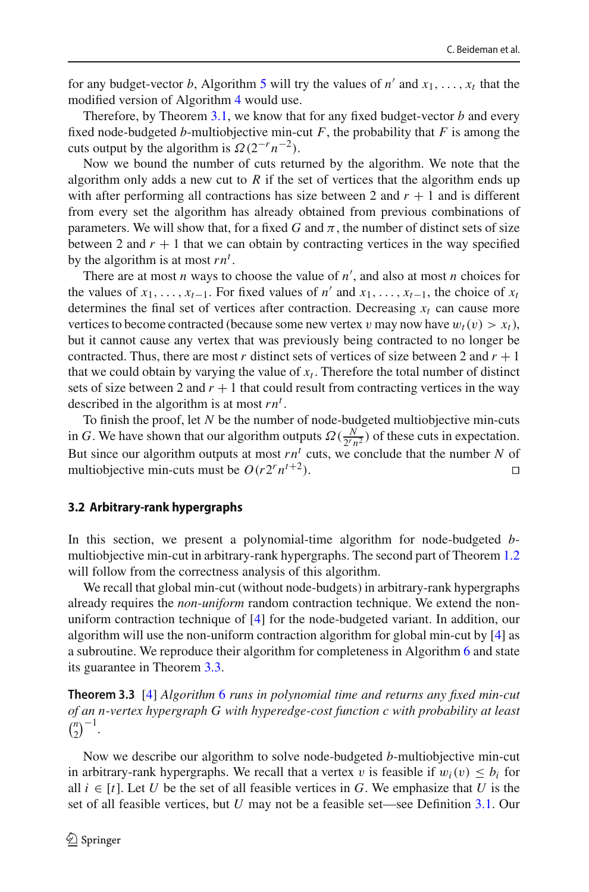for any budget-vector *b*, Algorithm [5](#page-26-0) will try the values of *n'* and  $x_1, \ldots, x_t$  that the modified version of Algorithm [4](#page-23-0) would use.

Therefore, by Theorem [3.1,](#page-22-1) we know that for any fixed budget-vector *b* and every fixed node-budgeted *b*-multiobjective min-cut  $F$ , the probability that  $F$  is among the cuts output by the algorithm is  $\Omega(2^{-r}n^{-2})$ .

Now we bound the number of cuts returned by the algorithm. We note that the algorithm only adds a new cut to  $R$  if the set of vertices that the algorithm ends up with after performing all contractions has size between 2 and  $r + 1$  and is different from every set the algorithm has already obtained from previous combinations of parameters. We will show that, for a fixed *G* and  $\pi$ , the number of distinct sets of size between 2 and  $r + 1$  that we can obtain by contracting vertices in the way specified by the algorithm is at most  $rn<sup>t</sup>$ .

There are at most *n* ways to choose the value of *n* , and also at most *n* choices for the values of  $x_1, \ldots, x_{t-1}$ . For fixed values of *n'* and  $x_1, \ldots, x_{t-1}$ , the choice of  $x_t$ determines the final set of vertices after contraction. Decreasing  $x_t$  can cause more vertices to become contracted (because some new vertex v may now have  $w_t(v) > x_t$ ), but it cannot cause any vertex that was previously being contracted to no longer be contracted. Thus, there are most *r* distinct sets of vertices of size between 2 and  $r + 1$ that we could obtain by varying the value of  $x_t$ . Therefore the total number of distinct sets of size between 2 and  $r + 1$  that could result from contracting vertices in the way described in the algorithm is at most  $rn<sup>t</sup>$ .

To finish the proof, let *N* be the number of node-budgeted multiobjective min-cuts in *G*. We have shown that our algorithm outputs  $\Omega(\frac{N}{2^r n^2})$  of these cuts in expectation. But since our algorithm outputs at most  $rn<sup>t</sup>$  cuts, we conclude that the number N of multiobjective min-cuts must be  $O(r2^r n^{t+2})$ .

#### **3.2 Arbitrary-rank hypergraphs**

In this section, we present a polynomial-time algorithm for node-budgeted *b*multiobjective min-cut in arbitrary-rank hypergraphs. The second part of Theorem [1.2](#page-4-2) will follow from the correctness analysis of this algorithm.

We recall that global min-cut (without node-budgets) in arbitrary-rank hypergraphs already requires the *non-uniform* random contraction technique. We extend the nonuniform contraction technique of [\[4\]](#page-42-13) for the node-budgeted variant. In addition, our algorithm will use the non-uniform contraction algorithm for global min-cut by [\[4](#page-42-13)] as a subroutine. We reproduce their algorithm for completeness in Algorithm [6](#page-28-0) and state its guarantee in Theorem [3.3.](#page-27-0)

<span id="page-27-0"></span>**Theorem 3.3** [\[4](#page-42-13)] *Algorithm* [6](#page-28-0) *runs in polynomial time and returns any fixed min-cut of an n-vertex hypergraph G with hyperedge-cost function c with probability at least*  $\binom{n}{2}^{-1}$ .

Now we describe our algorithm to solve node-budgeted *b*-multiobjective min-cut in arbitrary-rank hypergraphs. We recall that a vertex v is feasible if  $w_i(v) \leq b_i$  for all  $i \in [t]$ . Let U be the set of all feasible vertices in G. We emphasize that U is the set of all feasible vertices, but *U* may not be a feasible set—see Definition [3.1.](#page-22-2) Our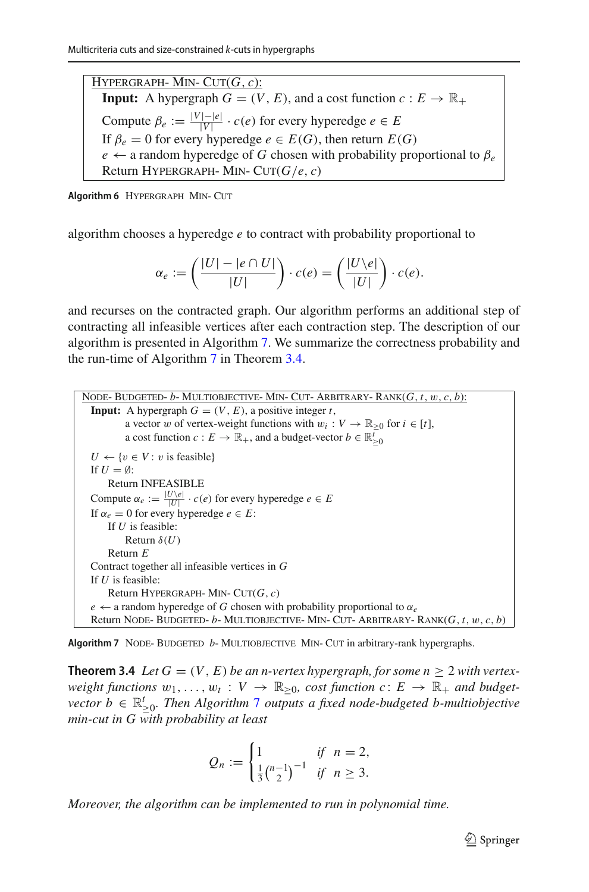$HYPERGRAPH-MIN-CUT(G, c)$ : **Input:** A hypergraph  $G = (V, E)$ , and a cost function  $c : E \to \mathbb{R}_+$ Compute  $\beta_e := \frac{|V| - |e|}{|V|} \cdot c(e)$  for every hyperedge  $e \in E$ If  $\beta_e = 0$  for every hyperedge  $e \in E(G)$ , then return  $E(G)$  $e \leftarrow$  a random hyperedge of *G* chosen with probability proportional to  $\beta_e$ Return HYPERGRAPH- MIN-  $CUT(G/e, c)$ 

<span id="page-28-0"></span>**Algorithm 6** HYPERGRAPH MIN- CUT

algorithm chooses a hyperedge *e* to contract with probability proportional to

$$
\alpha_e := \left(\frac{|U| - |e \cap U|}{|U|}\right) \cdot c(e) = \left(\frac{|U \backslash e|}{|U|}\right) \cdot c(e).
$$

and recurses on the contracted graph. Our algorithm performs an additional step of contracting all infeasible vertices after each contraction step. The description of our algorithm is presented in Algorithm [7.](#page-28-1) We summarize the correctness probability and the run-time of Algorithm [7](#page-28-1) in Theorem [3.4.](#page-28-2)

```
Node- Budgeted- b- Multiobjective- Min- Cut- Arbitrary- Rank(G, t, w, c, b):
  Input: A hypergraph G = (V, E), a positive integer t,
          a vector w of vertex-weight functions with w_i : V \to \mathbb{R}_{\geq 0} for i \in [t],
           a cost function c : E \to \mathbb{R}_+, and a budget-vector b \in \mathbb{R}_{\geq 0}^lU \leftarrow \{v \in V : v \text{ is feasible}\}\If U = \emptyset:
      Return INFEASIBLE
  Compute \alpha_e := \frac{|U \setminus e|}{|U|} \cdot c(e) for every hyperedge e \in EIf \alpha_e = 0 for every hyperedge e \in E:
      If U is feasible:
           Return \delta(U)Return E
 Contract together all infeasible vertices in G
 If U is feasible:
      Return HYPERGRAPH- MIN- CUT(G, c)e \leftarrow a random hyperedge of G chosen with probability proportional to \alpha_eReturn Node- Budgeted- b- Multiobjective- Min- Cut- Arbitrary- Rank(G, t, w, c, b)
```
<span id="page-28-2"></span><span id="page-28-1"></span>Algorithm 7 NODE- BUDGETED *b*- MULTIOBJECTIVE MIN- CUT in arbitrary-rank hypergraphs.

**Theorem 3.4** *Let*  $G = (V, E)$  *be an n-vertex hypergraph, for some n* > 2 *with vertexweight functions*  $w_1, \ldots, w_t : V \to \mathbb{R}_{\geq 0}$ , cost function  $c: E \to \mathbb{R}_+$  and budget*vector*  $b \in \mathbb{R}_{\geq 0}^t$ . Then Algorithm [7](#page-28-1) outputs a fixed node-budgeted b-multiobjective *min-cut in G with probability at least*

$$
Q_n := \begin{cases} 1 & \text{if } n = 2, \\ \frac{1}{3} {n-1 \choose 2}^{-1} & \text{if } n \ge 3. \end{cases}
$$

*Moreover, the algorithm can be implemented to run in polynomial time.*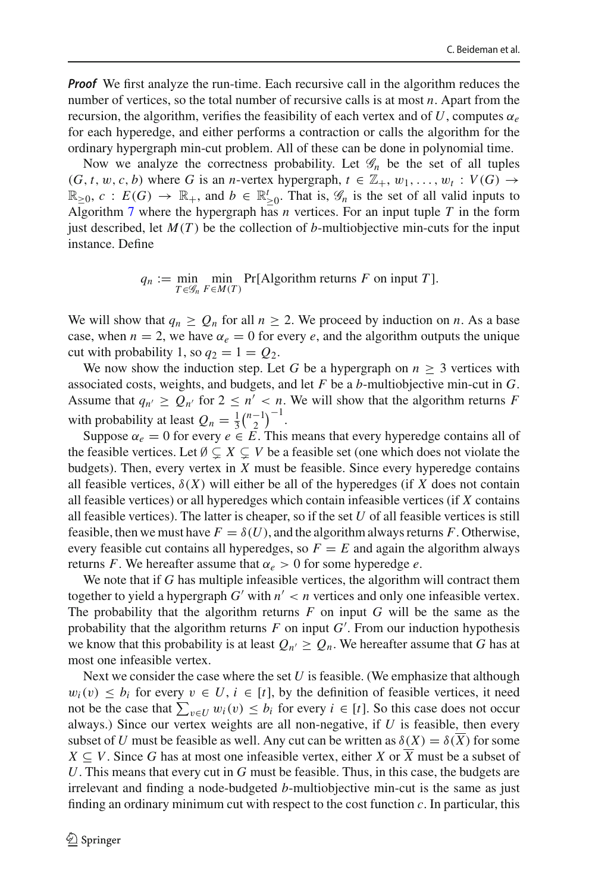*Proof* We first analyze the run-time. Each recursive call in the algorithm reduces the number of vertices, so the total number of recursive calls is at most *n*. Apart from the recursion, the algorithm, verifies the feasibility of each vertex and of  $U$ , computes  $\alpha_e$ for each hyperedge, and either performs a contraction or calls the algorithm for the ordinary hypergraph min-cut problem. All of these can be done in polynomial time.

Now we analyze the correctness probability. Let  $\mathcal{G}_n$  be the set of all tuples  $(G, t, w, c, b)$  where *G* is an *n*-vertex hypergraph,  $t \in \mathbb{Z}_+, w_1, \ldots, w_t : V(G) \rightarrow$  $\mathbb{R}_{\geq 0}$ ,  $c : E(G) \to \mathbb{R}_+$ , and  $b \in \mathbb{R}_{\geq 0}^t$ . That is,  $\mathscr{G}_n$  is the set of all valid inputs to Algorithm [7](#page-28-1) where the hypergraph has *n* vertices. For an input tuple *T* in the form just described, let  $M(T)$  be the collection of *b*-multiobjective min-cuts for the input instance. Define

> $q_n := \min_{T \in \mathscr{G}_n}$ min  $\min_{F \in M(T)} \Pr[\text{Algorithm returns } F \text{ on input } T].$

We will show that  $q_n > Q_n$  for all  $n > 2$ . We proceed by induction on *n*. As a base case, when  $n = 2$ , we have  $\alpha_e = 0$  for every *e*, and the algorithm outputs the unique cut with probability 1, so  $q_2 = 1 = Q_2$ .

We now show the induction step. Let *G* be a hypergraph on  $n \geq 3$  vertices with associated costs, weights, and budgets, and let *F* be a *b*-multiobjective min-cut in *G*. Assume that  $q_{n'} \ge Q_{n'}$  for  $2 \le n' < n$ . We will show that the algorithm returns *F* with probability at least  $Q_n = \frac{1}{3} {n-1 \choose 2}^{-1}$ .

Suppose  $\alpha_e = 0$  for every  $e \in \overline{E}$ . This means that every hyperedge contains all of the feasible vertices. Let  $\emptyset \subsetneq X \subsetneq V$  be a feasible set (one which does not violate the budgets). Then, every vertex in *X* must be feasible. Since every hyperedge contains all feasible vertices,  $\delta(X)$  will either be all of the hyperedges (if X does not contain all feasible vertices) or all hyperedges which contain infeasible vertices (if *X* contains all feasible vertices). The latter is cheaper, so if the set *U* of all feasible vertices is still feasible, then we must have  $F = \delta(U)$ , and the algorithm always returns F. Otherwise, every feasible cut contains all hyperedges, so  $F = E$  and again the algorithm always returns *F*. We hereafter assume that  $\alpha_e > 0$  for some hyperedge *e*.

We note that if *G* has multiple infeasible vertices, the algorithm will contract them together to yield a hypergraph  $G'$  with  $n' < n$  vertices and only one infeasible vertex. The probability that the algorithm returns *F* on input *G* will be the same as the probability that the algorithm returns *F* on input *G* . From our induction hypothesis we know that this probability is at least  $Q_{n'} \ge Q_n$ . We hereafter assume that *G* has at most one infeasible vertex.

Next we consider the case where the set *U* is feasible. (We emphasize that although  $w_i(v) \leq b_i$  for every  $v \in U$ ,  $i \in [t]$ , by the definition of feasible vertices, it need not be the case that  $\sum_{v \in U} w_i(v) \le b_i$  for every  $i \in [t]$ . So this case does not occur always.) Since our vertex weights are all non-negative, if *U* is feasible, then every subset of *U* must be feasible as well. Any cut can be written as  $\delta(X) = \delta(\overline{X})$  for some *X* ⊆ *V*. Since *G* has at most one infeasible vertex, either *X* or  $\overline{X}$  must be a subset of *U*. This means that every cut in *G* must be feasible. Thus, in this case, the budgets are irrelevant and finding a node-budgeted *b*-multiobjective min-cut is the same as just finding an ordinary minimum cut with respect to the cost function *c*. In particular, this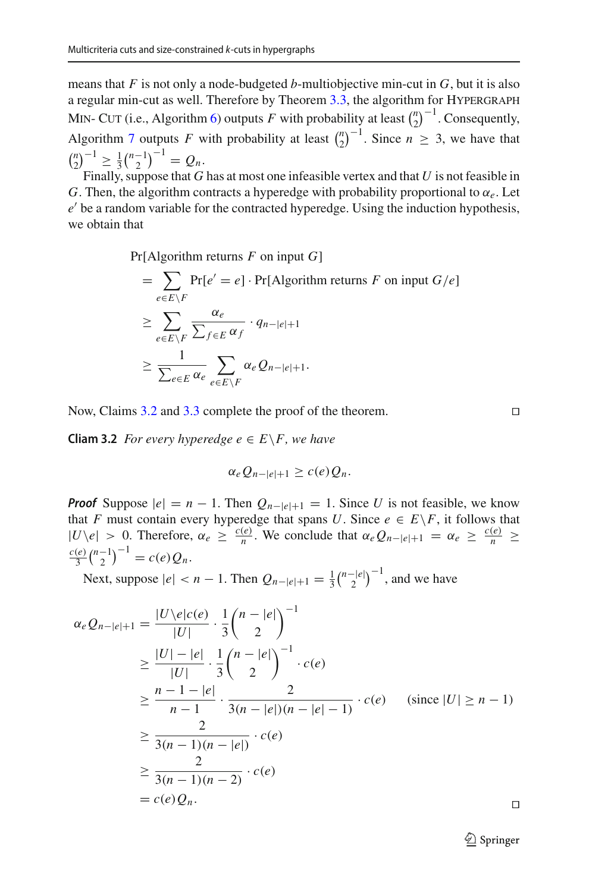means that *F* is not only a node-budgeted *b*-multiobjective min-cut in *G*, but it is also a regular min-cut as well. Therefore by Theorem  $3.3$ , the algorithm for HYPERGRAPH MIN- CUT (i.e., Algorithm [6\)](#page-28-0) outputs *F* with probability at least  $\binom{n}{2}^{-1}$ . Consequently, Algorithm [7](#page-28-1) outputs *F* with probability at least  $\binom{n}{2}^{-1}$ . Since  $n \geq 3$ , we have that  ${n \choose 2}^{-1} \ge \frac{1}{3} {n-1 \choose 2}^{-1} = Q_n.$ 

Finally, suppose that *G* has at most one infeasible vertex and that *U* is not feasible in *G*. Then, the algorithm contracts a hyperedge with probability proportional to  $\alpha_e$ . Let *e*' be a random variable for the contracted hyperedge. Using the induction hypothesis, we obtain that

Pr[Algorithm returns *F* on input *G*]

$$
= \sum_{e \in E \backslash F} \Pr[e' = e] \cdot \Pr[\text{Algorithm returns } F \text{ on input } G/e]
$$
  
\n
$$
\geq \sum_{e \in E \backslash F} \frac{\alpha_e}{\sum_{f \in E} \alpha_f} \cdot q_{n-|e|+1}
$$
  
\n
$$
\geq \frac{1}{\sum_{e \in E} \alpha_e} \sum_{e \in E \backslash F} \alpha_e Q_{n-|e|+1}.
$$

<span id="page-30-0"></span>Now, Claims [3.2](#page-30-0) and [3.3](#page-30-1) complete the proof of the theorem.

**Cliam 3.2** *For every hyperedge e*  $\in E \backslash F$ *, we have* 

$$
\alpha_e Q_{n-|e|+1} \ge c(e) Q_n.
$$

*Proof* Suppose  $|e| = n - 1$ . Then  $Q_{n-|e|+1} = 1$ . Since *U* is not feasible, we know that *F* must contain every hyperedge that spans *U*. Since  $e \in E \backslash F$ , it follows that  $|U\setminus e| > 0$ . Therefore,  $\alpha_e \ge \frac{c(e)}{n}$ . We conclude that  $\alpha_e Q_{n-|e|+1} = \alpha_e \ge \frac{c(e)}{n}$ *c*(*e*)  $\frac{(e)}{3}\binom{n-1}{2}^{-1} = c(e)Q_n.$ 

Next, suppose  $|e| < n - 1$ . Then  $Q_{n-|e|+1} = \frac{1}{3} {n-|e| \choose 2}^{-1}$ , and we have

<span id="page-30-1"></span>
$$
\alpha_e Q_{n-|e|+1} = \frac{|U \setminus e|c(e)}{|U|} \cdot \frac{1}{3} {n-|e| \choose 2}^{-1}
$$
  
\n
$$
\geq \frac{|U|-|e|}{|U|} \cdot \frac{1}{3} {n-|e| \choose 2}^{-1} \cdot c(e)
$$
  
\n
$$
\geq \frac{n-1-|e|}{n-1} \cdot \frac{2}{3(n-|e|)(n-|e|-1)} \cdot c(e) \quad \text{(since } |U| \geq n-1)
$$
  
\n
$$
\geq \frac{2}{3(n-1)(n-|e|)} \cdot c(e)
$$
  
\n
$$
\geq \frac{2}{3(n-1)(n-2)} \cdot c(e)
$$
  
\n
$$
= c(e) Q_n.
$$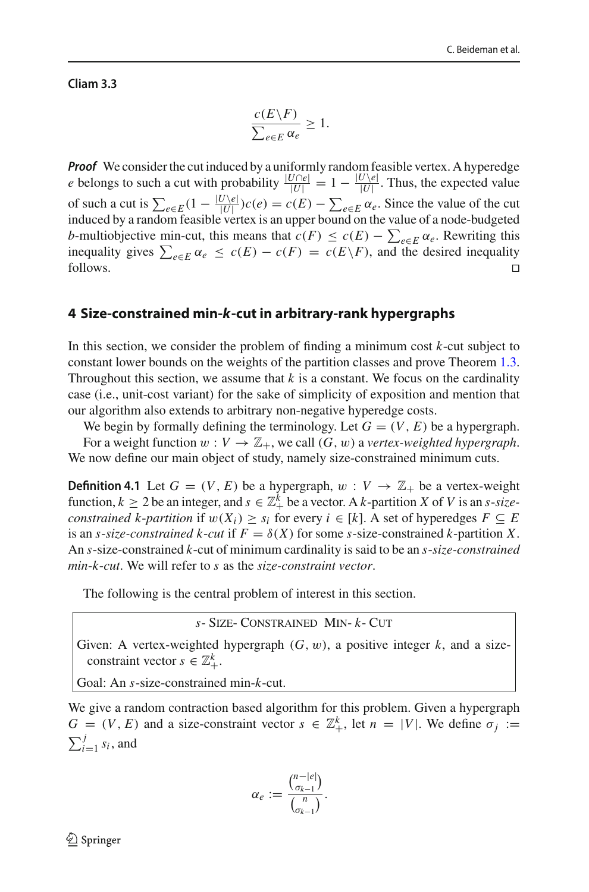#### **Cliam 3.3**

$$
\frac{c(E\backslash F)}{\sum_{e\in E}\alpha_e} \ge 1.
$$

*Proof* We consider the cut induced by a uniformly random feasible vertex. A hyperedge *e* belongs to such a cut with probability  $\frac{|U \cap e|}{|U|} = 1 - \frac{|U \setminus e|}{|U|}$ . Thus, the expected value of such a cut is  $\sum_{e \in E} (1 - \frac{|U \setminus e|}{|U|}) c(e) = c(E) - \sum_{e \in E} \alpha_e$ . Since the value of the cut induced by a random feasible vertex is an upper bound on the value of a node-budgeted *b*-multiobjective min-cut, this means that  $c(F) \leq c(E) - \sum_{e \in E} \alpha_e$ . Rewriting this inequality gives  $\sum_{e \in E} \alpha_e \le c(E) - c(F) = c(E \setminus F)$ , and the desired inequality follows.  $\Box$ 

# <span id="page-31-0"></span>**4 Size-constrained min-***k***-cut in arbitrary-rank hypergraphs**

In this section, we consider the problem of finding a minimum cost *k*-cut subject to constant lower bounds on the weights of the partition classes and prove Theorem [1.3.](#page-4-3) Throughout this section, we assume that  $k$  is a constant. We focus on the cardinality case (i.e., unit-cost variant) for the sake of simplicity of exposition and mention that our algorithm also extends to arbitrary non-negative hyperedge costs.

We begin by formally defining the terminology. Let  $G = (V, E)$  be a hypergraph. For a weight function  $w : V \to \mathbb{Z}_+$ , we call  $(G, w)$  a *vertex-weighted hypergraph*. We now define our main object of study, namely size-constrained minimum cuts.

**Definition 4.1** Let  $G = (V, E)$  be a hypergraph,  $w : V \rightarrow \mathbb{Z}_+$  be a vertex-weight function,  $k \ge 2$  be an integer, and  $s \in \mathbb{Z}_+^k$  be a vector. A *k*-partition *X* of *V* is an *s*-*sizeconstrained k-partition* if  $w(X_i) \geq s_i$  for every  $i \in [k]$ . A set of hyperedges  $F \subseteq E$ is an *s*-*size-constrained k-cut* if  $F = \delta(X)$  for some *s*-size-constrained *k*-partition X. An *s*-size-constrained *k*-cut of minimum cardinality is said to be an *s*-*size-constrained min*-*k*-*cut*. We will refer to *s* as the *size-constraint vector*.

The following is the central problem of interest in this section.

*s*- Size- Constrained Min- *k*- Cut

Given: A vertex-weighted hypergraph  $(G, w)$ , a positive integer  $k$ , and a sizeconstraint vector  $s \in \mathbb{Z}_+^k$ .

Goal: An *s*-size-constrained min-*k*-cut.

We give a random contraction based algorithm for this problem. Given a hypergraph  $G = (V, E)$  and a size-constraint vector  $s \in \mathbb{Z}_+^k$ , let  $n = |V|$ . We define  $\sigma_j :=$  $\sum_{i=1}^{j} s_i$ , and

$$
\alpha_e := \frac{\binom{n-|e|}{\sigma_{k-1}}}{\binom{n}{\sigma_{k-1}}}.
$$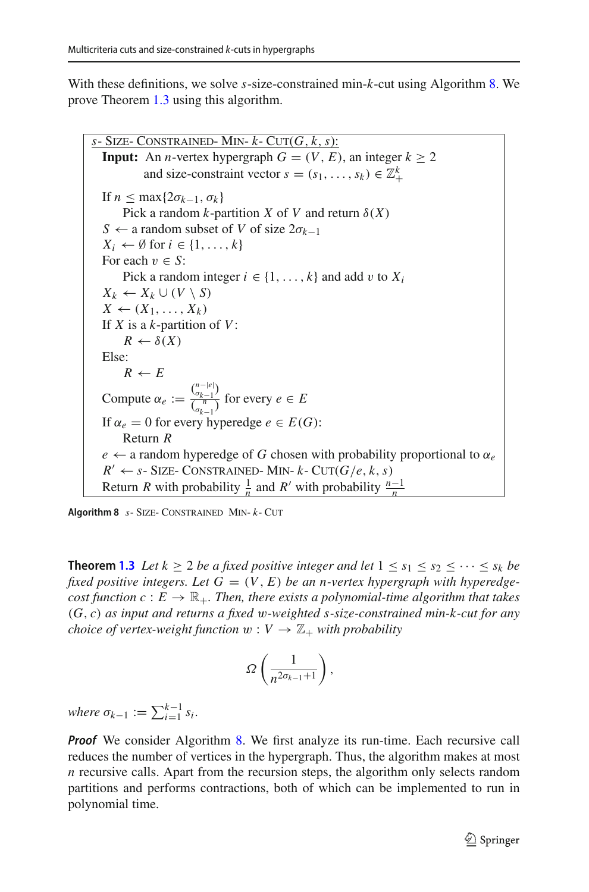With these definitions, we solve *s*-size-constrained min-*k*-cut using Algorithm [8.](#page-32-0) We prove Theorem [1.3](#page-4-3) using this algorithm.

 $s$ - SIZE- CONSTRAINED- MIN-  $k$ - CUT( $G, k, s$ ): **Input:** An *n*-vertex hypergraph  $G = (V, E)$ , an integer  $k \ge 2$ and size-constraint vector  $s = (s_1, \ldots, s_k) \in \mathbb{Z}_+^k$ If  $n \leq \max\{2\sigma_{k-1}, \sigma_k\}$ Pick a random *k*-partition *X* of *V* and return  $\delta(X)$ *S* ← a random subset of *V* of size 2σ*k*−<sup>1</sup>  $X_i \leftarrow \emptyset$  for  $i \in \{1, \ldots, k\}$ For each  $v \in S$ : Pick a random integer  $i \in \{1, \ldots, k\}$  and add v to  $X_i$  $X_k$  ←  $X_k$  ∪ (*V* \ *S*)  $X \leftarrow (X_1, \ldots, X_k)$ If *X* is a *k*-partition of *V*:  $R \leftarrow \delta(X)$ Else:  $R \leftarrow E$ Compute  $\alpha_e := \frac{\binom{n-|e|}{\sigma_{k-1}}}{\binom{n}{\sigma_{k-1}}}$  $\frac{\binom{b_k-1}{r}}{\binom{n}{b_{k-1}}}$  for every  $e \in E$ If  $\alpha_e = 0$  for every hyperedge  $e \in E(G)$ : Return *R*  $e \leftarrow$  a random hyperedge of *G* chosen with probability proportional to  $\alpha_e$  $R' \leftarrow s$ - SIZE- CONSTRAINED- MIN-  $k$ - CUT( $G/e, k, s$ ) Return *R* with probability  $\frac{1}{n}$  and *R'* with probability  $\frac{n-1}{n}$ 

<span id="page-32-0"></span>**Algorithm 8** *s*- Size- Constrained Min- *k*- Cut

**Theorem [1.3](#page-4-3)** *Let*  $k \ge 2$  *be a fixed positive integer and let*  $1 \le s_1 \le s_2 \le \cdots \le s_k$  *be* fixed positive integers. Let  $G = (V, E)$  be an n-vertex hypergraph with hyperedge*cost function c* :  $E \to \mathbb{R}_+$ *. Then, there exists a polynomial-time algorithm that takes* (*G*, *c*) *as input and returns a fixed* w*-weighted s-size-constrained min-k-cut for any choice of vertex-weight function*  $w: V \to \mathbb{Z}_+$  *with probability* 

$$
\varOmega\left(\frac{1}{n^{2\sigma_{k-1}+1}}\right),
$$

 $where \sigma_{k-1} := \sum_{i=1}^{k-1} s_i.$ 

*Proof* We consider Algorithm [8.](#page-32-0) We first analyze its run-time. Each recursive call reduces the number of vertices in the hypergraph. Thus, the algorithm makes at most *n* recursive calls. Apart from the recursion steps, the algorithm only selects random partitions and performs contractions, both of which can be implemented to run in polynomial time.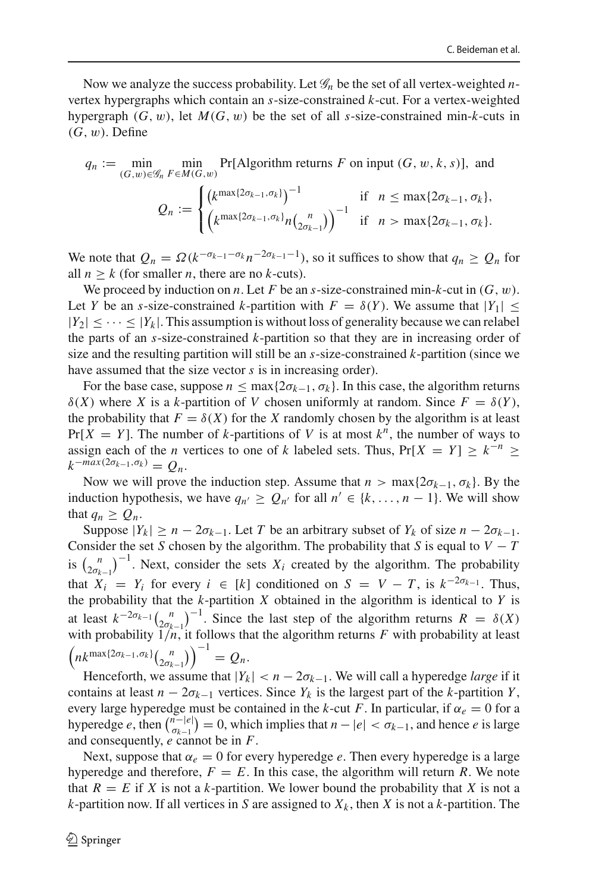Now we analyze the success probability. Let *G<sup>n</sup>* be the set of all vertex-weighted *n*vertex hypergraphs which contain an *s*-size-constrained *k*-cut. For a vertex-weighted hypergraph  $(G, w)$ , let  $M(G, w)$  be the set of all *s*-size-constrained min-*k*-cuts in  $(G, w)$ . Define

$$
q_n := \min_{(G,w)\in\mathcal{G}_n} \min_{F\in M(G,w)} \Pr[\text{Algorithm returns } F \text{ on input } (G, w, k, s)], \text{ and}
$$

$$
Q_n := \begin{cases} \left(k^{\max\{2\sigma_{k-1}, \sigma_k\}}\right)^{-1} & \text{if } n \le \max\{2\sigma_{k-1}, \sigma_k\},\\ \left(k^{\max\{2\sigma_{k-1}, \sigma_k\}} n_{2\sigma_{k-1}}\right)^{-1} & \text{if } n > \max\{2\sigma_{k-1}, \sigma_k\}. \end{cases}
$$

We note that  $Q_n = \Omega(k^{-\sigma_{k-1}-\sigma_k}n^{-2\sigma_{k-1}-1})$ , so it suffices to show that  $q_n \geq Q_n$  for all  $n \geq k$  (for smaller *n*, there are no *k*-cuts).

We proceed by induction on *n*. Let F be an *s*-size-constrained min- $k$ -cut in  $(G, w)$ . Let *Y* be an *s*-size-constrained *k*-partition with  $F = \delta(Y)$ . We assume that  $|Y_1| \leq$  $|Y_2| \leq \cdots \leq |Y_k|$ . This assumption is without loss of generality because we can relabel the parts of an *s*-size-constrained *k*-partition so that they are in increasing order of size and the resulting partition will still be an *s*-size-constrained *k*-partition (since we have assumed that the size vector *s* is in increasing order).

For the base case, suppose  $n \leq \max\{2\sigma_{k-1}, \sigma_k\}$ . In this case, the algorithm returns δ(*X*) where *X* is a *k*-partition of *V* chosen uniformly at random. Since  $F = δ(Y)$ , the probability that  $F = \delta(X)$  for the *X* randomly chosen by the algorithm is at least  $Pr[X = Y]$ . The number of *k*-partitions of *V* is at most  $k^n$ , the number of ways to assign each of the *n* vertices to one of *k* labeled sets. Thus,  $Pr[X = Y] \geq k^{-n} \geq$  $k^{-max(2\sigma_{k-1}, \sigma_k)} = Q_n$ .

Now we will prove the induction step. Assume that  $n > \max\{2\sigma_{k-1}, \sigma_k\}$ . By the induction hypothesis, we have  $q_{n'} \geq Q_{n'}$  for all  $n' \in \{k, ..., n-1\}$ . We will show that  $q_n \geq Q_n$ .

Suppose  $|Y_k| \ge n - 2\sigma_{k-1}$ . Let *T* be an arbitrary subset of  $Y_k$  of size  $n - 2\sigma_{k-1}$ . Consider the set *S* chosen by the algorithm. The probability that *S* is equal to  $V - T$ is  $\binom{n}{2\sigma_{k-1}}^{-1}$ . Next, consider the sets  $X_i$  created by the algorithm. The probability that  $X_i = Y_i$  for every  $i \in [k]$  conditioned on  $S = V - T$ , is  $k^{-2\sigma_{k-1}}$ . Thus, the probability that the  $k$ -partition  $X$  obtained in the algorithm is identical to  $Y$  is at least  $k^{-2\sigma_{k-1}}\binom{n}{2\sigma_{k-1}}^{-1}$ . Since the last step of the algorithm returns  $R = \delta(X)$ with probability  $1/n$ , it follows that the algorithm returns  $F$  with probability at least  $\left(nk^{\max\{2\sigma_{k-1},\sigma_k\}}\binom{n}{2\sigma_{k-1}}\right)^{-1} = Q_n.$ 

Henceforth, we assume that  $|Y_k| < n - 2\sigma_{k-1}$ . We will call a hyperedge *large* if it contains at least  $n - 2\sigma_{k-1}$  vertices. Since  $Y_k$  is the largest part of the *k*-partition *Y*, every large hyperedge must be contained in the *k*-cut *F*. In particular, if  $\alpha_e = 0$  for a hyperedge *e*, then  $\binom{n-|e|}{\sigma_{k-1}} = 0$ , which implies that  $n - |e| < \sigma_{k-1}$ , and hence *e* is large and consequently, *e* cannot be in *F*.

Next, suppose that  $\alpha_e = 0$  for every hyperedge *e*. Then every hyperedge is a large hyperedge and therefore,  $F = E$ . In this case, the algorithm will return R. We note that  $R = E$  if *X* is not a *k*-partition. We lower bound the probability that *X* is not a *k*-partition now. If all vertices in *S* are assigned to  $X_k$ , then *X* is not a *k*-partition. The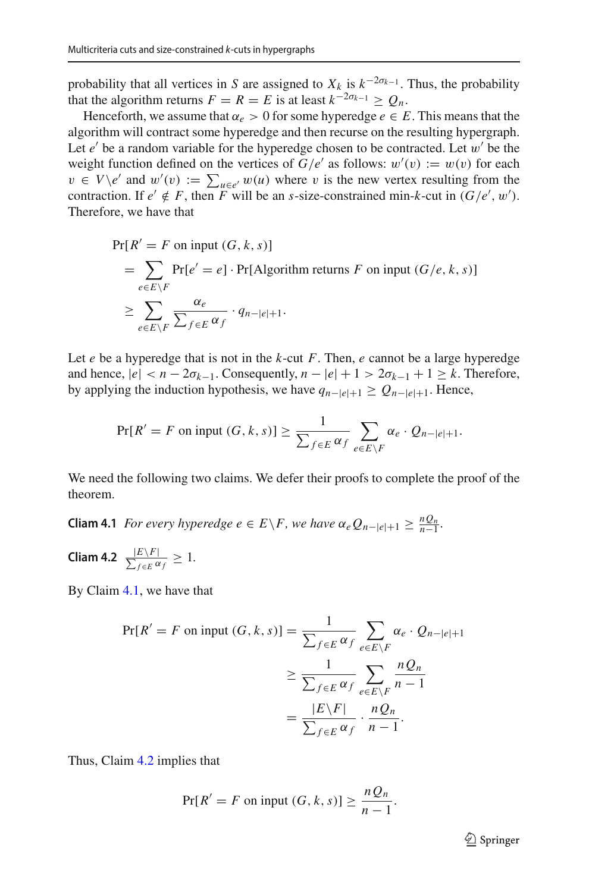probability that all vertices in *S* are assigned to  $X_k$  is  $k^{-2\sigma_{k-1}}$ . Thus, the probability that the algorithm returns  $F = R = E$  is at least  $k^{-2\sigma_{k-1}} \geq O_n$ .

Henceforth, we assume that  $\alpha_e > 0$  for some hyperedge  $e \in E$ . This means that the algorithm will contract some hyperedge and then recurse on the resulting hypergraph. Let  $e'$  be a random variable for the hyperedge chosen to be contracted. Let  $w'$  be the weight function defined on the vertices of  $G/e'$  as follows:  $w'(v) := w(v)$  for each  $v \in V \backslash e'$  and  $w'(v) := \sum_{u \in e'} w(u)$  where v is the new vertex resulting from the contraction. If  $e' \notin F$ , then *F* will be an *s*-size-constrained min-*k*-cut in  $(G/e', w')$ . Therefore, we have that

$$
\Pr[R' = F \text{ on input } (G, k, s)]
$$
  
= 
$$
\sum_{e \in E \setminus F} \Pr[e' = e] \cdot \Pr[\text{Algorithm returns } F \text{ on input } (G/e, k, s)]
$$
  

$$
\geq \sum_{e \in E \setminus F} \frac{\alpha_e}{\sum_{f \in E} \alpha_f} \cdot q_{n-|e|+1}.
$$

Let *e* be a hyperedge that is not in the *k*-cut *F*. Then, *e* cannot be a large hyperedge and hence,  $|e| < n - 2\sigma_{k-1}$ . Consequently,  $n - |e| + 1 > 2\sigma_{k-1} + 1 \ge k$ . Therefore, by applying the induction hypothesis, we have  $q_{n-|e|+1} \geq Q_{n-|e|+1}$ . Hence,

$$
\Pr[R' = F \text{ on input } (G, k, s)] \ge \frac{1}{\sum_{f \in E} \alpha_f} \sum_{e \in E \setminus F} \alpha_e \cdot Q_{n-|e|+1}.
$$

We need the following two claims. We defer their proofs to complete the proof of the theorem.

<span id="page-34-0"></span>**Cliam 4.1** *For every hyperedge*  $e \in E \backslash F$ *, we have*  $\alpha_e Q_{n-|e|+1} \geq \frac{nQ_n}{n-1}$ *.* 

<span id="page-34-1"></span>**Cliam 4.2**  $\frac{|E\setminus F|}{\sum_{f\in E} \alpha_f} \geq 1$ .

By Claim [4.1,](#page-34-0) we have that

$$
\Pr[R' = F \text{ on input } (G, k, s)] = \frac{1}{\sum_{f \in E} \alpha_f} \sum_{e \in E \setminus F} \alpha_e \cdot Q_{n-|e|+1}
$$

$$
\geq \frac{1}{\sum_{f \in E} \alpha_f} \sum_{e \in E \setminus F} \frac{n Q_n}{n-1}
$$

$$
= \frac{|E \setminus F|}{\sum_{f \in E} \alpha_f} \cdot \frac{n Q_n}{n-1}.
$$

Thus, Claim [4.2](#page-34-1) implies that

$$
Pr[R' = F \text{ on input } (G, k, s)] \ge \frac{nQ_n}{n-1}.
$$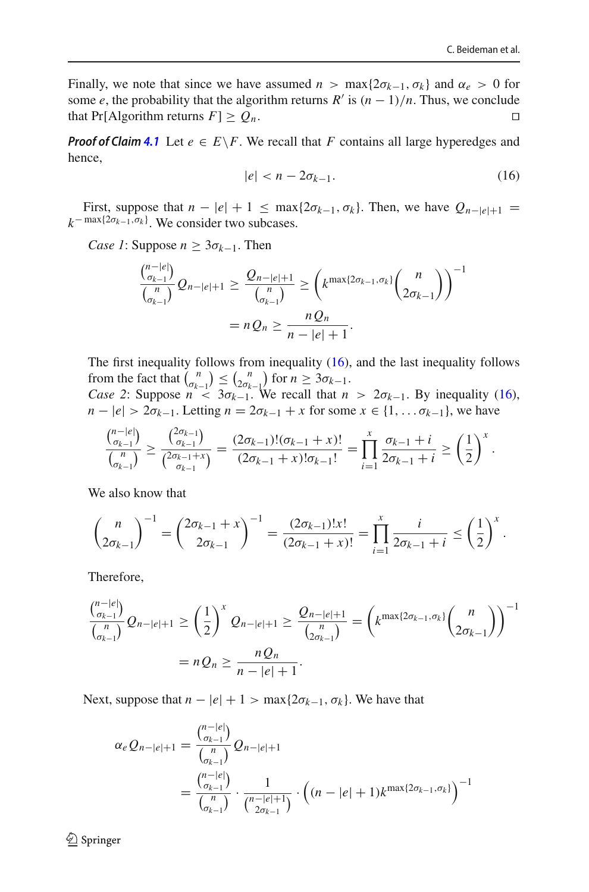Finally, we note that since we have assumed  $n > \max\{2\sigma_{k-1}, \sigma_k\}$  and  $\alpha_e > 0$  for some *e*, the probability that the algorithm returns *R'* is  $(n - 1)/n$ . Thus, we conclude that Pr[Algorithm returns *F*] >  $O_n$ . that Pr[Algorithm returns  $F \geq Q_n$ .

*Proof of Claim* [4.1](#page-34-0) Let  $e \in E \backslash F$ . We recall that *F* contains all large hyperedges and hence,

<span id="page-35-0"></span>
$$
|e| < n - 2\sigma_{k-1}.\tag{16}
$$

First, suppose that  $n - |e| + 1 \le \max\{2\sigma_{k-1}, \sigma_k\}$ . Then, we have  $Q_{n-|e|+1} =$  $k^{-\max\{2\sigma_{k-1}, \sigma_k\}}$ . We consider two subcases.

*Case 1*: Suppose  $n \geq 3\sigma_{k-1}$ . Then

*n*−|*e*<sup>|</sup>

$$
\frac{\binom{n-|e|}{\sigma_{k-1}}}{\binom{n}{\sigma_{k-1}}} Q_{n-|e|+1} \ge \frac{Q_{n-|e|+1}}{\binom{n}{\sigma_{k-1}}} \ge \left(k^{\max\{2\sigma_{k-1},\sigma_k\}}\binom{n}{2\sigma_{k-1}}\right)^{-1}
$$

$$
= nQ_n \ge \frac{nQ_n}{n-|e|+1}.
$$

The first inequality follows from inequality [\(16\)](#page-35-0), and the last inequality follows from the fact that  $\binom{n}{\alpha_{k-1}} \leq \binom{n}{2\alpha_{k-1}}$  for  $n \geq 3\alpha_{k-1}$ .

*Case 2*: Suppose  $n < 3\sigma_{k-1}$ . We recall that  $n > 2\sigma_{k-1}$ . By inequality [\(16\)](#page-35-0), *n* −  $|e| > 2\sigma_{k-1}$ . Letting *n* =  $2\sigma_{k-1} + x$  for some  $x \in \{1, \ldots \sigma_{k-1}\}$ , we have

$$
\frac{\binom{n-|e|}{\sigma_{k-1}}}{\binom{n}{\sigma_{k-1}}} \ge \frac{\binom{2\sigma_{k-1}}{\sigma_{k-1}}}{\binom{2\sigma_{k-1}+x}{\sigma_{k-1}}} = \frac{(2\sigma_{k-1})!(\sigma_{k-1}+x)!}{(2\sigma_{k-1}+x)!\sigma_{k-1}!} = \prod_{i=1}^x \frac{\sigma_{k-1}+i}{2\sigma_{k-1}+i} \ge \left(\frac{1}{2}\right)^x.
$$

We also know that

$$
\binom{n}{2\sigma_{k-1}}^{-1} = \binom{2\sigma_{k-1}+x}{2\sigma_{k-1}}^{-1} = \frac{(2\sigma_{k-1})!x!}{(2\sigma_{k-1}+x)!} = \prod_{i=1}^{x} \frac{i}{2\sigma_{k-1}+i} \le \left(\frac{1}{2}\right)^{x}.
$$

Therefore,

$$
\frac{\binom{n-|e|}{\sigma_{k-1}}}{\binom{n}{\sigma_{k-1}}} Q_{n-|e|+1} \ge \left(\frac{1}{2}\right)^x Q_{n-|e|+1} \ge \frac{Q_{n-|e|+1}}{\binom{n}{2\sigma_{k-1}}} = \left(k^{\max\{2\sigma_{k-1},\sigma_k\}}\binom{n}{2\sigma_{k-1}}\right)^{-1}
$$

$$
= n Q_n \ge \frac{n Q_n}{n-|e|+1}.
$$

Next, suppose that  $n - |e| + 1 > \max\{2\sigma_{k-1}, \sigma_k\}$ . We have that

$$
\alpha_e Q_{n-|e|+1} = \frac{\binom{n-|e|}{\sigma_{k-1}}}{\binom{n}{\sigma_{k-1}}} Q_{n-|e|+1}
$$
  
= 
$$
\frac{\binom{n-|e|}{\sigma_{k-1}}}{\binom{n}{\sigma_{k-1}}} \cdot \frac{1}{\binom{n-|e|+1}{2\sigma_{k-1}}} \cdot \left( (n-|e|+1)k^{\max\{2\sigma_{k-1}, \sigma_k\}} \right)^{-1}
$$

 $\mathcal{D}$  Springer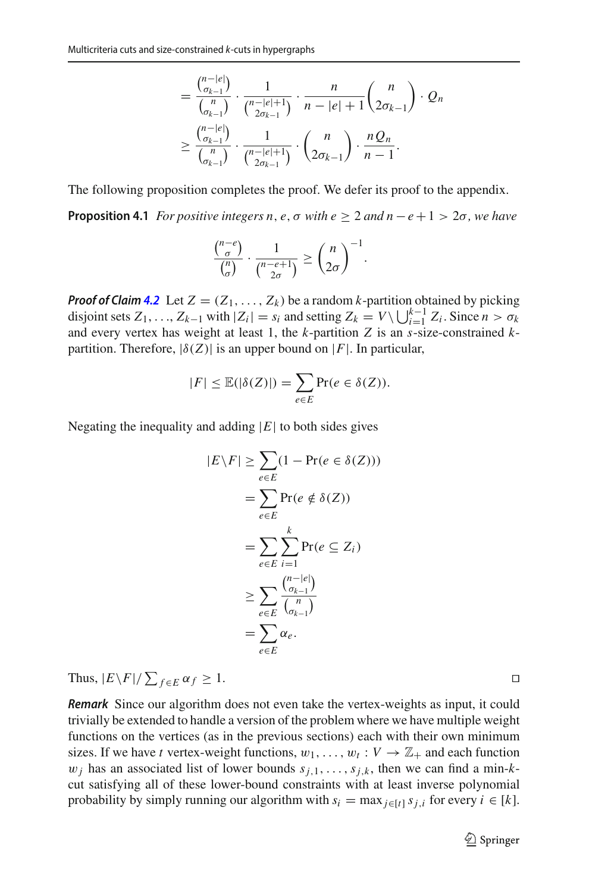$$
= \frac{\binom{n-|e|}{\sigma_{k-1}}}{\binom{n}{\sigma_{k-1}}} \cdot \frac{1}{\binom{n-|e|+1}{2\sigma_{k-1}}} \cdot \frac{n}{n-|e|+1} \binom{n}{2\sigma_{k-1}} \cdot Q_n
$$
  

$$
\geq \frac{\binom{n-|e|}{\sigma_{k-1}}}{\binom{n}{\sigma_{k-1}}} \cdot \frac{1}{\binom{n-|e|+1}{2\sigma_{k-1}}} \cdot \binom{n}{2\sigma_{k-1}} \cdot \frac{nQ_n}{n-1}.
$$

<span id="page-36-0"></span>The following proposition completes the proof. We defer its proof to the appendix.

**Proposition 4.1** *For positive integers n, e, σ with e* > 2 *and n*  $-e+1$  > 2 $\sigma$ *, we have* 

$$
\frac{\binom{n-e}{\sigma}}{\binom{n}{\sigma}} \cdot \frac{1}{\binom{n-e+1}{2\sigma}} \ge \binom{n}{2\sigma}^{-1}.
$$

*Proof of Claim [4.2](#page-34-1)* Let  $Z = (Z_1, \ldots, Z_k)$  be a random *k*-partition obtained by picking disjoint sets  $Z_1, \ldots, Z_{k-1}$  with  $|Z_i| = s_i$  and setting  $Z_k = V \setminus \bigcup_{i=1}^{k-1} Z_i$ . Since  $n > \sigma_k$ and every vertex has weight at least 1, the *k*-partition *Z* is an *s*-size-constrained *k*partition. Therefore,  $|\delta(Z)|$  is an upper bound on |*F*|. In particular,

$$
|F| \leq \mathbb{E}(|\delta(Z)|) = \sum_{e \in E} \Pr(e \in \delta(Z)).
$$

Negating the inequality and adding  $|E|$  to both sides gives

$$
|E \setminus F| \ge \sum_{e \in E} (1 - \Pr(e \in \delta(Z)))
$$
  
= 
$$
\sum_{e \in E} \Pr(e \notin \delta(Z))
$$
  
= 
$$
\sum_{e \in E} \sum_{i=1}^{k} \Pr(e \subseteq Z_i)
$$
  

$$
\ge \sum_{e \in E} \frac{\binom{n - |e|}{\binom{n}{k-1}}}{\binom{n}{\binom{n}{k-1}}}
$$
  
= 
$$
\sum_{e \in E} \alpha_e.
$$

Thus,  $|E \backslash F| / \sum_{f \in E} \alpha_f \ge 1$ .

*Remark* Since our algorithm does not even take the vertex-weights as input, it could trivially be extended to handle a version of the problem where we have multiple weight functions on the vertices (as in the previous sections) each with their own minimum sizes. If we have *t* vertex-weight functions,  $w_1, \ldots, w_t : V \to \mathbb{Z}_+$  and each function  $w_j$  has an associated list of lower bounds  $s_{j,1}, \ldots, s_{j,k}$ , then we can find a min-*k*cut satisfying all of these lower-bound constraints with at least inverse polynomial probability by simply running our algorithm with  $s_i = \max_{i \in [t]} s_{i,i}$  for every  $i \in [k]$ .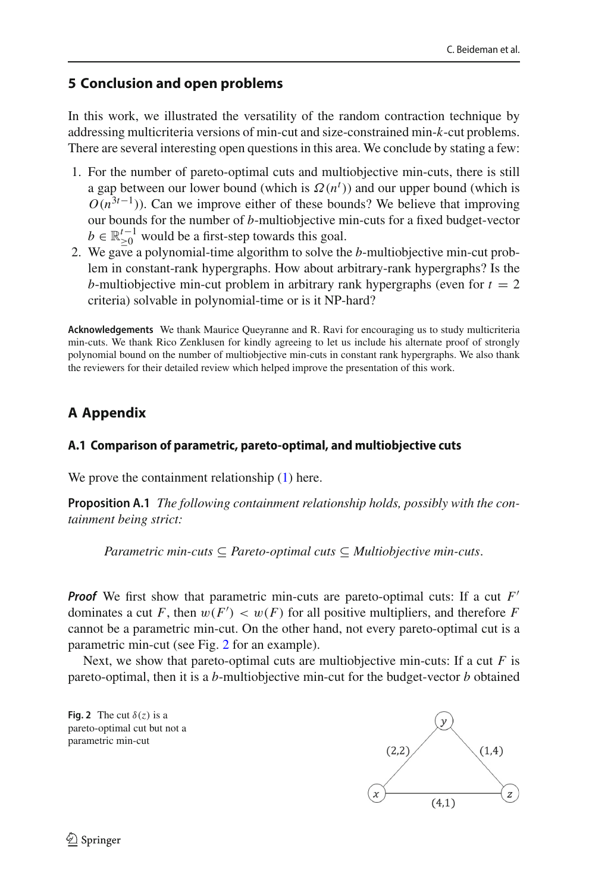# **5 Conclusion and open problems**

In this work, we illustrated the versatility of the random contraction technique by addressing multicriteria versions of min-cut and size-constrained min-*k*-cut problems. There are several interesting open questions in this area. We conclude by stating a few:

- 1. For the number of pareto-optimal cuts and multiobjective min-cuts, there is still a gap between our lower bound (which is  $\Omega(n^t)$ ) and our upper bound (which is  $O(n^{3t-1})$ ). Can we improve either of these bounds? We believe that improving our bounds for the number of *b*-multiobjective min-cuts for a fixed budget-vector  $b \in \mathbb{R}^{t-1}_{\geq 0}$  would be a first-step towards this goal.
- 2. We gave a polynomial-time algorithm to solve the *b*-multiobjective min-cut problem in constant-rank hypergraphs. How about arbitrary-rank hypergraphs? Is the *b*-multiobjective min-cut problem in arbitrary rank hypergraphs (even for  $t = 2$ ) criteria) solvable in polynomial-time or is it NP-hard?

**Acknowledgements** We thank Maurice Queyranne and R. Ravi for encouraging us to study multicriteria min-cuts. We thank Rico Zenklusen for kindly agreeing to let us include his alternate proof of strongly polynomial bound on the number of multiobjective min-cuts in constant rank hypergraphs. We also thank the reviewers for their detailed review which helped improve the presentation of this work.

# **A Appendix**

# **A.1 Comparison of parametric, pareto-optimal, and multiobjective cuts**

We prove the containment relationship  $(1)$  here.

**Proposition A.1** *The following containment relationship holds, possibly with the containment being strict:*

*Parametric min-cuts* ⊆ *Pareto-optimal cuts* ⊆ *Multiobjective min-cuts*.

*Proof* We first show that parametric min-cuts are pareto-optimal cuts: If a cut F' dominates a cut *F*, then  $w(F') < w(F)$  for all positive multipliers, and therefore *F* cannot be a parametric min-cut. On the other hand, not every pareto-optimal cut is a parametric min-cut (see Fig. [2](#page-15-1) for an example).

Next, we show that pareto-optimal cuts are multiobjective min-cuts: If a cut *F* is pareto-optimal, then it is a *b*-multiobjective min-cut for the budget-vector *b* obtained

**Fig. 2** The cut  $\delta(z)$  is a pareto-optimal cut but not a parametric min-cut

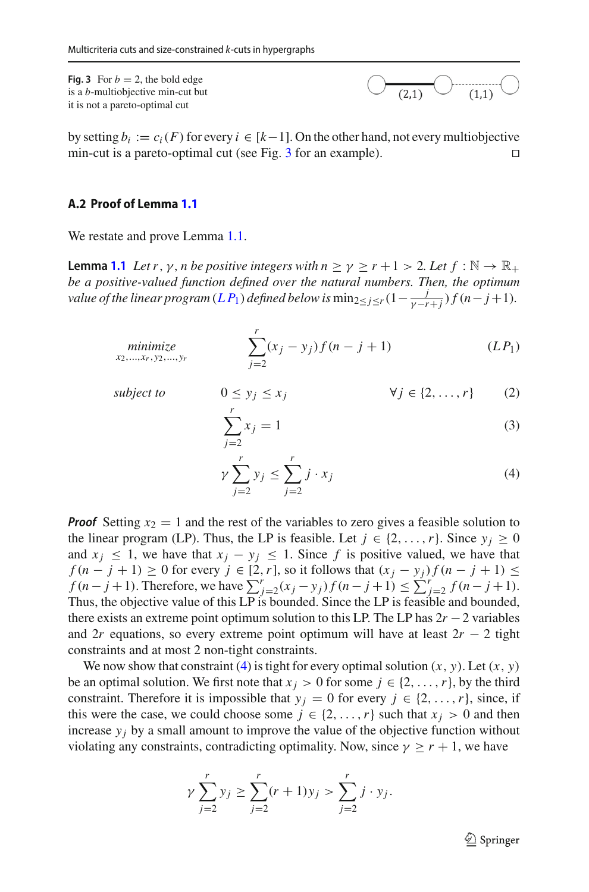**Fig. 3** For  $b = 2$ , the bold edge is a *b*-multiobjective min-cut but it is not a pareto-optimal cut

by setting *b<sub>i</sub>* := *c<sub>i</sub>*(*F*) for every *i* ∈ [*k*−1]. On the other hand, not every multiobjective min-cut is a pareto-optimal cut (see Fig. 3 for an example). min-cut is a pareto-optimal cut (see Fig. [3](#page-17-1) for an example).

## **A.2 Proof of Lemma [1.1](#page-9-2)**

We restate and prove Lemma [1.1.](#page-9-2)

**Lemma [1.1](#page-9-2)** *Let r*, *y*, *n be positive integers with*  $n \ge \gamma \ge r + 1 > 2$ *. Let*  $f : \mathbb{N} \to \mathbb{R}_+$ *be a positive-valued function defined over the natural numbers. Then, the optimum value of the linear program*  $(L P_1)$  $(L P_1)$  $(L P_1)$  *defined below is*  $\min_{2 \leq j \leq r} (1 - \frac{j}{\gamma - r + j}) f(n - j + 1)$ *.* 

minimize  
<sub>x<sub>2</sub>,...,x<sub>r</sub>,y<sub>2</sub>,...,y<sub>r</sub></sub> 
$$
\sum_{j=2}^{r} (x_j - y_j) f(n - j + 1)
$$
 (LP<sub>1</sub>)

subject to 
$$
0 \le y_j \le x_j
$$
  $\forall j \in \{2, ..., r\}$  (2)

$$
\sum_{j=2}^{r} x_j = 1
$$
 (3)

$$
\gamma \sum_{j=2}^{r} y_j \le \sum_{j=2}^{r} j \cdot x_j \tag{4}
$$

*Proof* Setting  $x_2 = 1$  and the rest of the variables to zero gives a feasible solution to the linear program (LP). Thus, the LP is feasible. Let  $j \in \{2, ..., r\}$ . Since  $y_j \ge 0$ and  $x_j \leq 1$ , we have that  $x_j - y_j \leq 1$ . Since f is positive valued, we have that *f* ( $n - j + 1$ ) ≥ 0 for every  $j \in [2, r]$ , so it follows that  $(x_j - y_j) f (n - j + 1)$  ≤ *f* (*n* − *j* + 1). Therefore, we have  $\sum_{j=2}^{r} (x_j - y_j) f (n - j + 1) \le \sum_{j=2}^{r} f (n - j + 1)$ . Thus, the objective value of this LP is bounded. Since the LP is feasible and bounded, there exists an extreme point optimum solution to this LP. The LP has 2*r* −2 variables and 2*r* equations, so every extreme point optimum will have at least  $2r - 2$  tight constraints and at most 2 non-tight constraints.

We now show that constraint [\(4\)](#page-9-3) is tight for every optimal solution  $(x, y)$ . Let  $(x, y)$ be an optimal solution. We first note that  $x_j > 0$  for some  $j \in \{2, ..., r\}$ , by the third constraint. Therefore it is impossible that  $y_j = 0$  for every  $j \in \{2, ..., r\}$ , since, if this were the case, we could choose some  $j \in \{2, ..., r\}$  such that  $x_j > 0$  and then increase  $y_i$  by a small amount to improve the value of the objective function without violating any constraints, contradicting optimality. Now, since  $\gamma \ge r + 1$ , we have

$$
\gamma \sum_{j=2}^{r} y_j \ge \sum_{j=2}^{r} (r+1)y_j > \sum_{j=2}^{r} j \cdot y_j.
$$

 $\mathcal{D}$  Springer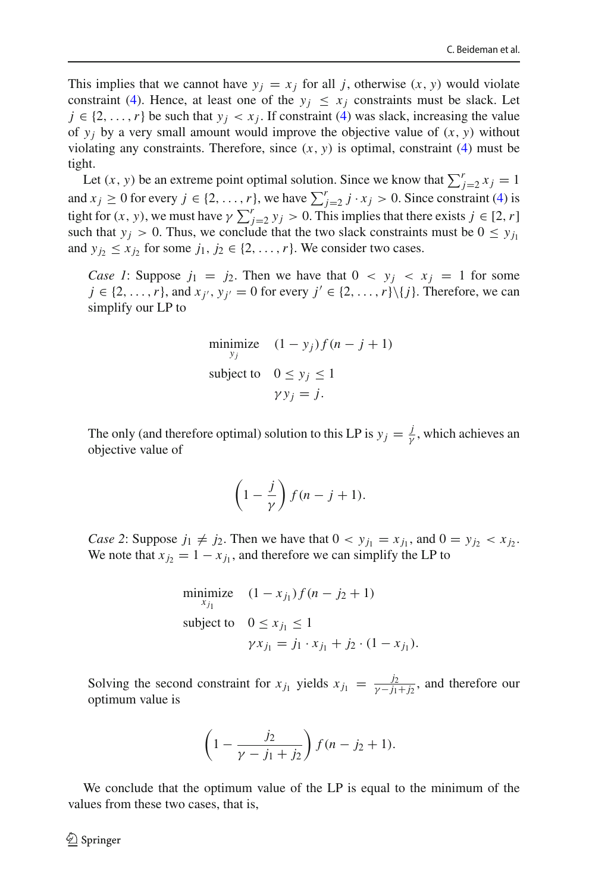This implies that we cannot have  $y_i = x_j$  for all *j*, otherwise  $(x, y)$  would violate constraint [\(4\)](#page-9-3). Hence, at least one of the  $y_i \leq x_j$  constraints must be slack. Let  $j \in \{2, \ldots, r\}$  be such that  $y_i < x_j$ . If constraint [\(4\)](#page-9-3) was slack, increasing the value of  $y_i$  by a very small amount would improve the objective value of  $(x, y)$  without violating any constraints. Therefore, since  $(x, y)$  is optimal, constraint [\(4\)](#page-9-3) must be tight.

Let  $(x, y)$  be an extreme point optimal solution. Since we know that  $\sum_{j=2}^{r} x_j = 1$ and  $x_j \ge 0$  for every  $j \in \{2, ..., r\}$ , we have  $\sum_{j=2}^r j \cdot x_j > 0$ . Since constraint [\(4\)](#page-9-3) is tight for  $(x, y)$ , we must have  $\gamma \sum_{j=2}^{r} y_j > 0$ . This implies that there exists  $j \in [2, r]$ such that  $y_i > 0$ . Thus, we conclude that the two slack constraints must be  $0 \leq y_i$ and  $y_i \leq x_i$  for some  $j_1, j_2 \in \{2, \ldots, r\}$ . We consider two cases.

*Case 1*: Suppose  $j_1 = j_2$ . Then we have that  $0 \lt y_j \lt x_j = 1$  for some  $j \in \{2, \ldots, r\}$ , and  $x_{i'}$ ,  $y_{i'} = 0$  for every  $j' \in \{2, \ldots, r\} \setminus \{j\}$ . Therefore, we can simplify our LP to

$$
\begin{array}{ll}\text{minimize} & (1 - y_j)f(n - j + 1) \\ \text{subject to} & 0 \le y_j \le 1 \\ & \gamma y_j = j. \end{array}
$$

The only (and therefore optimal) solution to this LP is  $y_j = \frac{j}{\gamma}$ , which achieves an objective value of

$$
\left(1-\frac{j}{\gamma}\right)f(n-j+1).
$$

*Case 2*: Suppose  $j_1 \neq j_2$ . Then we have that  $0 < y_{j_1} = x_{j_1}$ , and  $0 = y_{j_2} < x_{j_2}$ . We note that  $x_j = 1 - x_j$ , and therefore we can simplify the LP to

minimize 
$$
(1 - x_{j_1}) f (n - j_2 + 1)
$$
  
\nsubject to  $0 \le x_{j_1} \le 1$   
\n $\gamma x_{j_1} = j_1 \cdot x_{j_1} + j_2 \cdot (1 - x_{j_1}).$ 

Solving the second constraint for  $x_{j_1}$  yields  $x_{j_1} = \frac{j_2}{\gamma - j_1 + j_2}$ , and therefore our optimum value is

$$
\left(1-\frac{j_2}{\gamma-j_1+j_2}\right)f(n-j_2+1).
$$

We conclude that the optimum value of the LP is equal to the minimum of the values from these two cases, that is,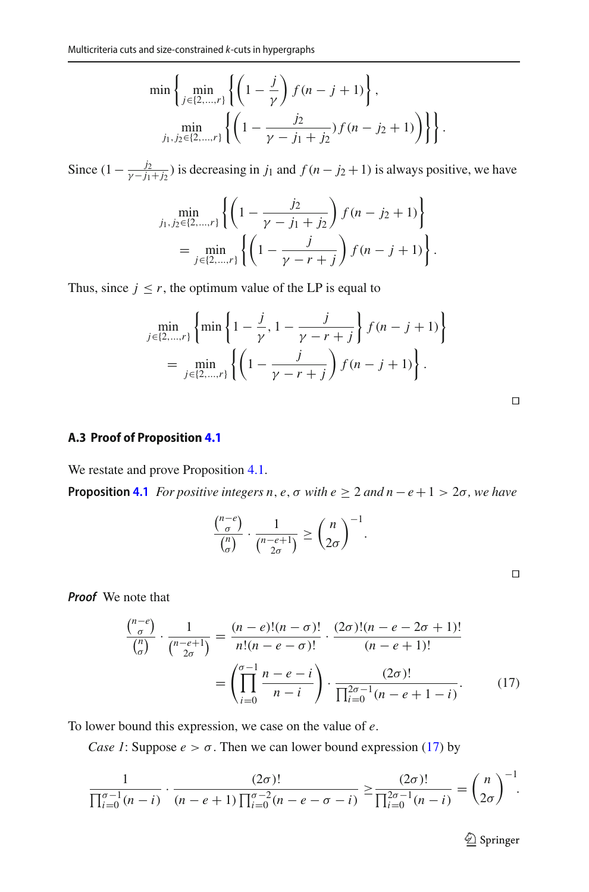$$
\min\left\{\min_{j\in\{2,\dots,r\}}\left\{\left(1-\frac{j}{\gamma}\right)f(n-j+1)\right\},\right\}\n\min_{j_1,j_2\in\{2,\dots,r\}}\left\{\left(1-\frac{j_2}{\gamma-j_1+j_2}\right)f(n-j_2+1)\right\}\right\}.
$$

Since  $(1 - \frac{j_2}{\gamma - j_1 + j_2})$  is decreasing in *j*<sub>1</sub> and *f* (*n* − *j*<sub>2</sub> + 1) is always positive, we have

$$
\min_{j_1, j_2 \in \{2, \dots, r\}} \left\{ \left( 1 - \frac{j_2}{\gamma - j_1 + j_2} \right) f(n - j_2 + 1) \right\}
$$
\n
$$
= \min_{j \in \{2, \dots, r\}} \left\{ \left( 1 - \frac{j}{\gamma - r + j} \right) f(n - j + 1) \right\}.
$$

Thus, since  $j \leq r$ , the optimum value of the LP is equal to

$$
\min_{j \in \{2,\dots,r\}} \left\{ \min \left\{ 1 - \frac{j}{\gamma}, 1 - \frac{j}{\gamma - r + j} \right\} f(n - j + 1) \right\} \n= \min_{j \in \{2,\dots,r\}} \left\{ \left( 1 - \frac{j}{\gamma - r + j} \right) f(n - j + 1) \right\}.
$$

#### **A.3 Proof of Proposition [4.1](#page-36-0)**

We restate and prove Proposition [4.1.](#page-36-0)

**Proposition [4.1](#page-36-0)** *For positive integers n, e,*  $\sigma$  *with e*  $\geq 2$  *and n* − *e* + 1 > 2 $\sigma$ *, we have* 

$$
\frac{\binom{n-e}{\sigma}}{\binom{n}{\sigma}} \cdot \frac{1}{\binom{n-e+1}{2\sigma}} \ge \binom{n}{2\sigma}^{-1}.
$$

<span id="page-40-0"></span>

*Proof* We note that

$$
\frac{\binom{n-e}{\sigma}}{\binom{n}{\sigma}} \cdot \frac{1}{\binom{n-e+1}{2\sigma}} = \frac{(n-e)!(n-\sigma)!}{n!(n-e-\sigma)!} \cdot \frac{(2\sigma)!(n-e-2\sigma+1)!}{(n-e+1)!}
$$
\n
$$
= \left(\prod_{i=0}^{\sigma-1} \frac{n-e-i}{n-i}\right) \cdot \frac{(2\sigma)!}{\prod_{i=0}^{2\sigma-1}(n-e+1-i)}.
$$
\n(17)

To lower bound this expression, we case on the value of *e*.

*Case 1*: Suppose  $e > \sigma$ . Then we can lower bound expression [\(17\)](#page-40-0) by

$$
\frac{1}{\prod_{i=0}^{\sigma-1}(n-i)} \cdot \frac{(2\sigma)!}{(n-e+1)\prod_{i=0}^{\sigma-2}(n-e-\sigma-i)} \geq \frac{(2\sigma)!}{\prod_{i=0}^{2\sigma-1}(n-i)} = {n \choose 2\sigma}^{-1}.
$$

<sup>2</sup> Springer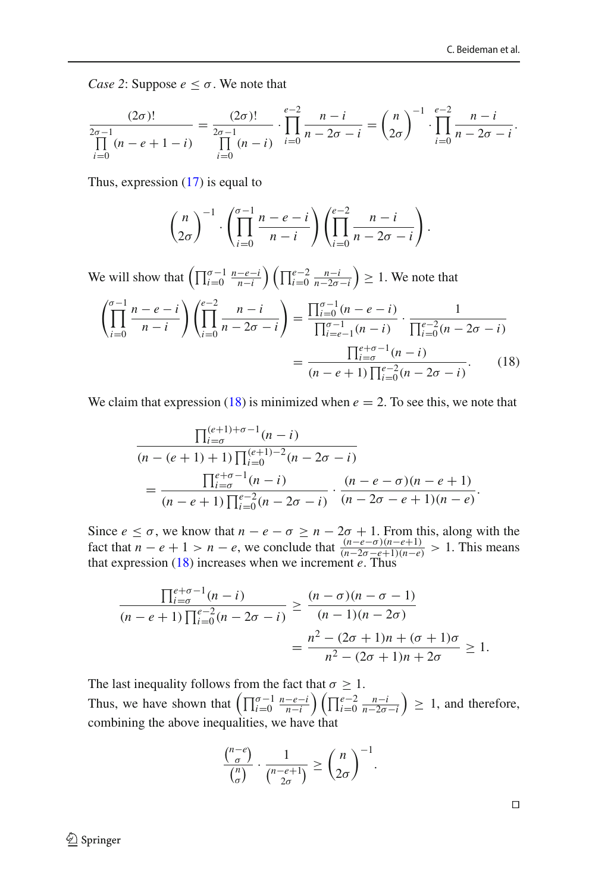*Case 2*: Suppose  $e \leq \sigma$ . We note that

$$
\frac{(2\sigma)!}{\prod_{i=0}^{2\sigma-1} (n-e+1-i)} = \frac{(2\sigma)!}{\prod_{i=0}^{2\sigma-1} (n-i)} \cdot \prod_{i=0}^{e-2} \frac{n-i}{n-2\sigma-i} = {n \choose 2\sigma}^{-1} \cdot \prod_{i=0}^{e-2} \frac{n-i}{n-2\sigma-i}.
$$

Thus, expression [\(17\)](#page-40-0) is equal to

<span id="page-41-0"></span>
$$
\binom{n}{2\sigma}^{-1} \cdot \left(\prod_{i=0}^{\sigma-1} \frac{n-e-i}{n-i}\right) \left(\prod_{i=0}^{e-2} \frac{n-i}{n-2\sigma-i}\right).
$$

We will show that  $\left(\prod_{i=0}^{\sigma-1} \frac{n-e-i}{n-i}\right) \left(\prod_{i=0}^{e-2} \frac{n-i}{n-2\sigma-i}\right) \geq 1$ . We note that

$$
\left(\prod_{i=0}^{\sigma-1} \frac{n-e-i}{n-i}\right)\left(\prod_{i=0}^{e-2} \frac{n-i}{n-2\sigma-i}\right) = \frac{\prod_{i=0}^{\sigma-1} (n-e-i)}{\prod_{i=e-1}^{\sigma-1} (n-i)} \cdot \frac{1}{\prod_{i=0}^{e-2} (n-2\sigma-i)}
$$

$$
= \frac{\prod_{i=\sigma}^{e+\sigma-1} (n-i)}{(n-e+1)\prod_{i=0}^{e-2} (n-2\sigma-i)}.
$$
(18)

We claim that expression  $(18)$  is minimized when  $e = 2$ . To see this, we note that

$$
\frac{\prod_{i=\sigma}^{(e+1)+\sigma-1}(n-i)}{(n-(e+1)+1)\prod_{i=0}^{(e+1)-2}(n-2\sigma-i)} = \frac{\prod_{i=\sigma}^{e+\sigma-1}(n-i)}{(n-e+1)\prod_{i=0}^{e-2}(n-2\sigma-i)} \cdot \frac{(n-e-\sigma)(n-e+1)}{(n-2\sigma-e+1)(n-e)}.
$$

Since  $e \leq \sigma$ , we know that  $n - e - \sigma \geq n - 2\sigma + 1$ . From this, along with the fact that  $n - e + 1 > n - e$ , we conclude that  $\frac{(n-e-\sigma)(n-e+1)}{(n-2\sigma-e+1)(n-e)} > 1$ . This means that expression [\(18\)](#page-41-0) increases when we increment *e*. Thus

$$
\frac{\prod_{i=\sigma}^{e+\sigma-1}(n-i)}{(n-e+1)\prod_{i=0}^{e-2}(n-2\sigma-i)} \ge \frac{(n-\sigma)(n-\sigma-1)}{(n-1)(n-2\sigma)}
$$

$$
= \frac{n^2 - (2\sigma+1)n + (\sigma+1)\sigma}{n^2 - (2\sigma+1)n + 2\sigma} \ge 1.
$$

The last inequality follows from the fact that  $\sigma \geq 1$ . Thus, we have shown that  $\left(\prod_{i=0}^{\sigma-1} \frac{n-e-i}{n-i}\right) \left(\prod_{i=0}^{e-2} \frac{n-i}{n-2\sigma-i}\right) \geq 1$ , and therefore, combining the above inequalities, we have that

$$
\frac{\binom{n-e}{\sigma}}{\binom{n}{\sigma}} \cdot \frac{1}{\binom{n-e+1}{2\sigma}} \ge \binom{n}{2\sigma}^{-1}.
$$

 $\Box$